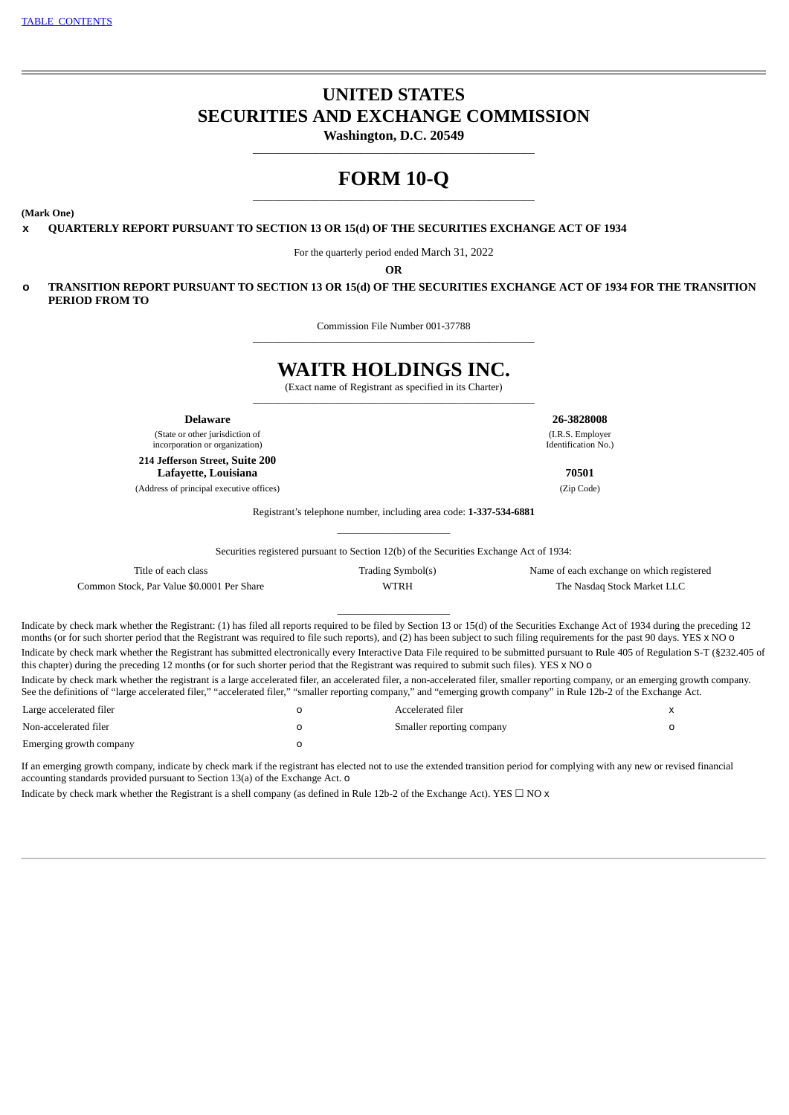# **UNITED STATES SECURITIES AND EXCHANGE COMMISSION**

**Washington, D.C. 20549**  $\mathcal{L}_\text{max}$  and  $\mathcal{L}_\text{max}$  and  $\mathcal{L}_\text{max}$  and  $\mathcal{L}_\text{max}$  and  $\mathcal{L}_\text{max}$  and  $\mathcal{L}_\text{max}$ 

# **FORM 10-Q** \_\_\_\_\_\_\_\_\_\_\_\_\_\_\_\_\_\_\_\_\_\_\_\_\_\_\_\_\_\_\_\_\_\_\_\_\_\_\_\_\_\_\_\_\_\_\_\_\_\_\_\_\_\_\_

**(Mark One)**

# **x QUARTERLY REPORT PURSUANT TO SECTION 13 OR 15(d) OF THE SECURITIES EXCHANGE ACT OF 1934**

For the quarterly period ended March 31, 2022

**OR**

o TRANSITION REPORT PURSUANT TO SECTION 13 OR 15(d) OF THE SECURITIES EXCHANGE ACT OF 1934 FOR THE TRANSITION **PERIOD FROM TO**

> Commission File Number 001-37788  $\mathcal{L}_\text{max}$  and  $\mathcal{L}_\text{max}$  and  $\mathcal{L}_\text{max}$  and  $\mathcal{L}_\text{max}$  and  $\mathcal{L}_\text{max}$  and  $\mathcal{L}_\text{max}$

# **WAITR HOLDINGS INC.**

(Exact name of Registrant as specified in its Charter) \_\_\_\_\_\_\_\_\_\_\_\_\_\_\_\_\_\_\_\_\_\_\_\_\_\_\_\_\_\_\_\_\_\_\_\_\_\_\_\_\_\_\_\_\_\_\_\_\_\_\_\_\_\_\_

(State or other jurisdiction of incorporation or organization)

**214 Jefferson Street, Suite 200 Lafayette, Louisiana 70501**

(Address of principal executive offices) (Zip Code)

**Delaware 26-3828008** (I.R.S. Employer Identification No.)

Registrant's telephone number, including area code: **1-337-534-6881** \_\_\_\_\_\_\_\_\_\_\_\_\_\_\_\_\_\_\_\_\_\_

Securities registered pursuant to Section 12(b) of the Securities Exchange Act of 1934:

| Title of each class                        | Trading Symbol(s) | Name of each exchange on which registered |
|--------------------------------------------|-------------------|-------------------------------------------|
| Common Stock, Par Value \$0.0001 Per Share | WTRH              | The Nasdaq Stock Market LLC               |

 $\frac{1}{2}$  ,  $\frac{1}{2}$  ,  $\frac{1}{2}$  ,  $\frac{1}{2}$  ,  $\frac{1}{2}$  ,  $\frac{1}{2}$  ,  $\frac{1}{2}$  ,  $\frac{1}{2}$  ,  $\frac{1}{2}$  ,  $\frac{1}{2}$  ,  $\frac{1}{2}$  ,  $\frac{1}{2}$  ,  $\frac{1}{2}$  ,  $\frac{1}{2}$  ,  $\frac{1}{2}$  ,  $\frac{1}{2}$  ,  $\frac{1}{2}$  ,  $\frac{1}{2}$  ,  $\frac{1$ 

Indicate by check mark whether the Registrant: (1) has filed all reports required to be filed by Section 13 or 15(d) of the Securities Exchange Act of 1934 during the preceding 12 months (or for such shorter period that the Registrant was required to file such reports), and (2) has been subject to such filing requirements for the past 90 days. YES x NO o Indicate by check mark whether the Registrant has submitted electronically every Interactive Data File required to be submitted pursuant to Rule 405 of Regulation S-T (§232.405 of this chapter) during the preceding 12 months (or for such shorter period that the Registrant was required to submit such files). YES x NO o

Indicate by check mark whether the registrant is a large accelerated filer, an accelerated filer, a non-accelerated filer, smaller reporting company, or an emerging growth company. See the definitions of "large accelerated filer," "accelerated filer," "smaller reporting company," and "emerging growth company" in Rule 12b-2 of the Exchange Act.

| Large accelerated filer | Accelerated filer         |  |
|-------------------------|---------------------------|--|
| Non-accelerated filer   | Smaller reporting company |  |
| Emerging growth company |                           |  |

If an emerging growth company, indicate by check mark if the registrant has elected not to use the extended transition period for complying with any new or revised financial accounting standards provided pursuant to Section 13(a) of the Exchange Act. o

Indicate by check mark whether the Registrant is a shell company (as defined in Rule 12b-2 of the Exchange Act). YES  $\Box$  NO x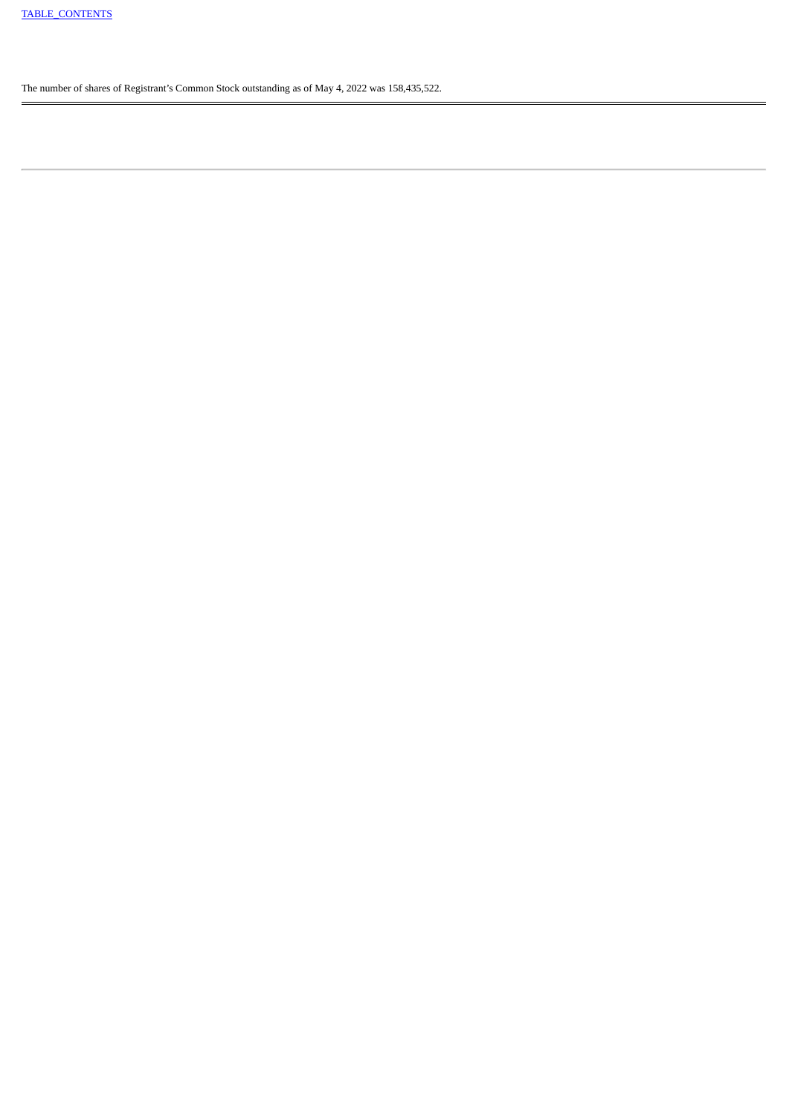<span id="page-1-0"></span>The number of shares of Registrant's Common Stock outstanding as of May 4, 2022 was 158,435,522.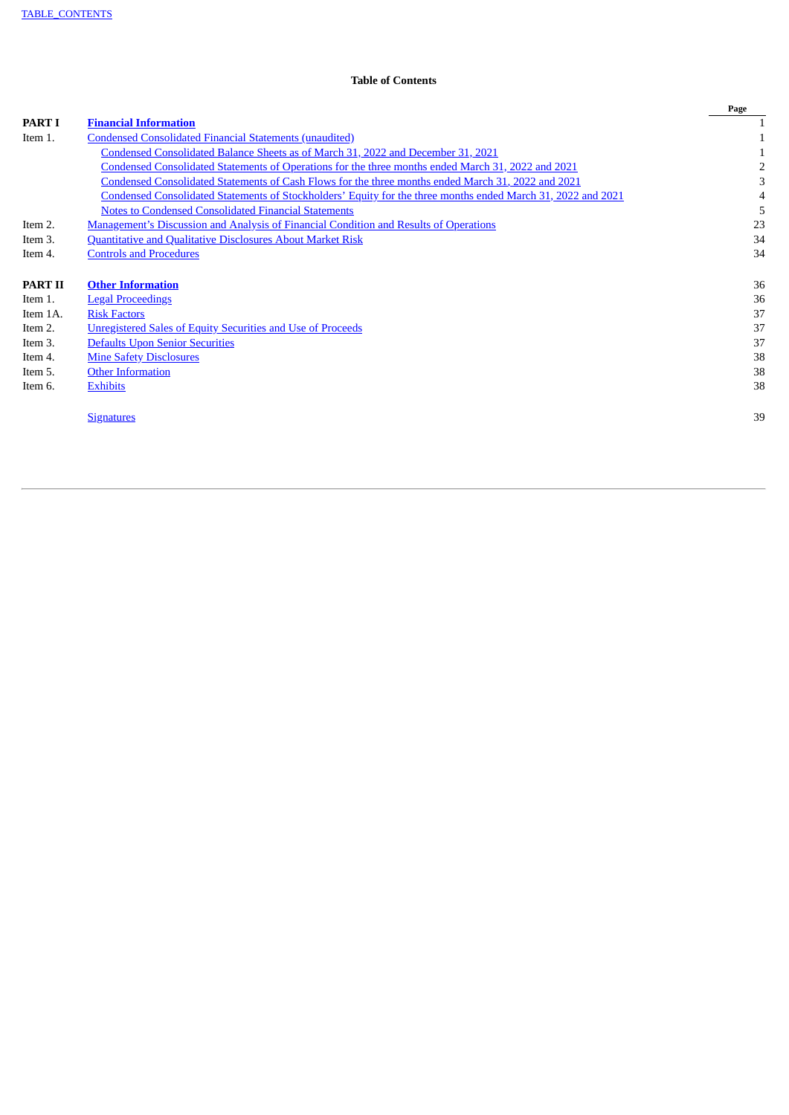# **Table of Contents**

<span id="page-2-0"></span>

|                |                                                                                                              | Page |
|----------------|--------------------------------------------------------------------------------------------------------------|------|
| <b>PART I</b>  | <b>Financial Information</b>                                                                                 |      |
| Item 1.        | <b>Condensed Consolidated Financial Statements (unaudited)</b>                                               |      |
|                | Condensed Consolidated Balance Sheets as of March 31, 2022 and December 31, 2021                             |      |
|                | Condensed Consolidated Statements of Operations for the three months ended March 31, 2022 and 2021           |      |
|                | Condensed Consolidated Statements of Cash Flows for the three months ended March 31, 2022 and 2021           |      |
|                | Condensed Consolidated Statements of Stockholders' Equity for the three months ended March 31, 2022 and 2021 |      |
|                | <b>Notes to Condensed Consolidated Financial Statements</b>                                                  | 5    |
| Item 2.        | <b>Management's Discussion and Analysis of Financial Condition and Results of Operations</b>                 | 23   |
| Item 3.        | Quantitative and Qualitative Disclosures About Market Risk                                                   | 34   |
| Item 4.        | <b>Controls and Procedures</b>                                                                               | 34   |
|                |                                                                                                              |      |
| <b>PART II</b> | <b>Other Information</b>                                                                                     | 36   |
| Item 1.        | <b>Legal Proceedings</b>                                                                                     | 36   |
| Item 1A.       | <b>Risk Factors</b>                                                                                          | 37   |
| Item 2.        | <b>Unregistered Sales of Equity Securities and Use of Proceeds</b>                                           | 37   |
| Item 3.        | <b>Defaults Upon Senior Securities</b>                                                                       | 37   |
| Item 4.        | <b>Mine Safety Disclosures</b>                                                                               | 38   |
| Item 5.        | <b>Other Information</b>                                                                                     | 38   |
| Item 6.        | <b>Exhibits</b>                                                                                              | 38   |
|                |                                                                                                              |      |
|                | <b>Signatures</b>                                                                                            | 39   |
|                |                                                                                                              |      |
|                |                                                                                                              |      |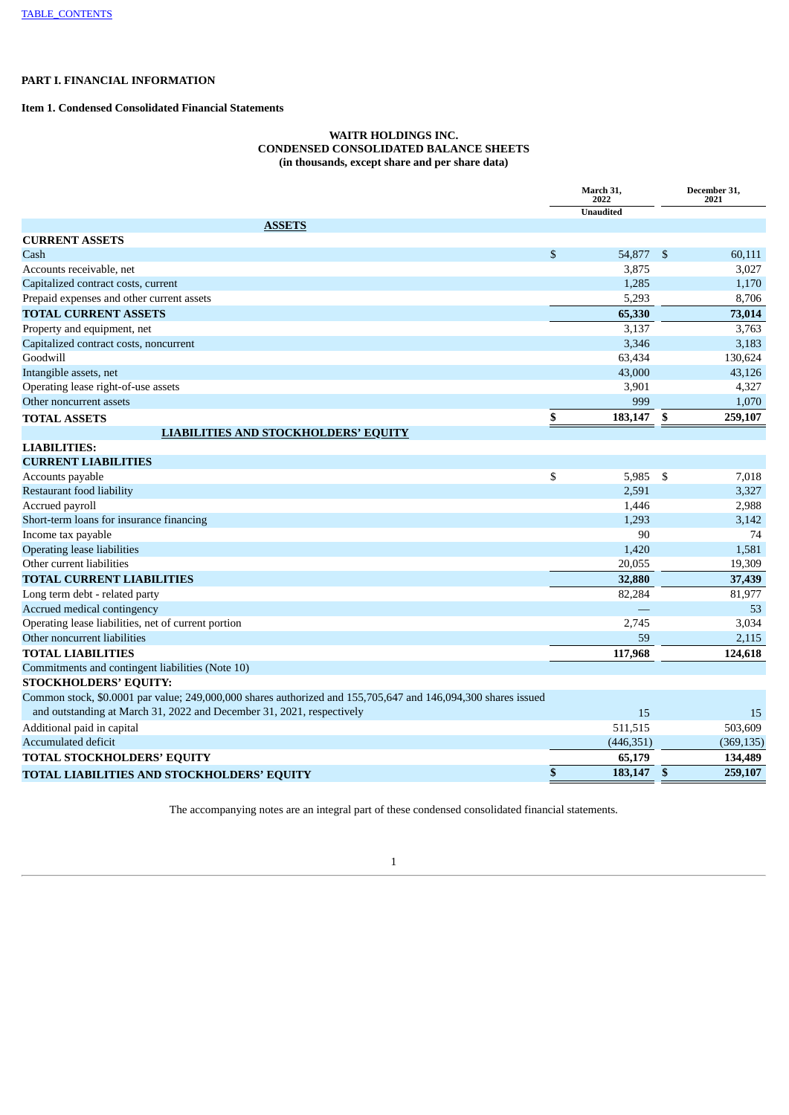# **PART I. FINANCIAL INFORMATION**

# <span id="page-3-1"></span><span id="page-3-0"></span>**Item 1. Condensed Consolidated Financial Statements**

# **WAITR HOLDINGS INC. CONDENSED CONSOLIDATED BALANCE SHEETS (in thousands, except share and per share data)**

|                                                                                                               | March 31,<br>2022           |      | December 31,<br>2021 |
|---------------------------------------------------------------------------------------------------------------|-----------------------------|------|----------------------|
|                                                                                                               | <b>Unaudited</b>            |      |                      |
| <b>ASSETS</b>                                                                                                 |                             |      |                      |
| <b>CURRENT ASSETS</b>                                                                                         |                             |      |                      |
| Cash                                                                                                          | $\mathfrak{S}$<br>54.877 \$ |      | 60,111               |
| Accounts receivable, net                                                                                      | 3,875                       |      | 3,027                |
| Capitalized contract costs, current                                                                           | 1,285                       |      | 1,170                |
| Prepaid expenses and other current assets                                                                     | 5,293                       |      | 8,706                |
| <b>TOTAL CURRENT ASSETS</b>                                                                                   | 65,330                      |      | 73,014               |
| Property and equipment, net                                                                                   | 3,137                       |      | 3,763                |
| Capitalized contract costs, noncurrent                                                                        | 3,346                       |      | 3,183                |
| Goodwill                                                                                                      | 63,434                      |      | 130,624              |
| Intangible assets, net                                                                                        | 43,000                      |      | 43,126               |
| Operating lease right-of-use assets                                                                           | 3,901                       |      | 4,327                |
| Other noncurrent assets                                                                                       | 999                         |      | 1,070                |
| <b>TOTAL ASSETS</b>                                                                                           | \$<br>183,147               | \$   | 259,107              |
| <b>LIABILITIES AND STOCKHOLDERS' EQUITY</b>                                                                   |                             |      |                      |
| <b>LIABILITIES:</b>                                                                                           |                             |      |                      |
| <b>CURRENT LIABILITIES</b>                                                                                    |                             |      |                      |
| Accounts payable                                                                                              | \$<br>5,985                 | - \$ | 7,018                |
| Restaurant food liability                                                                                     | 2,591                       |      | 3,327                |
| Accrued payroll                                                                                               | 1,446                       |      | 2,988                |
| Short-term loans for insurance financing                                                                      | 1,293                       |      | 3,142                |
| Income tax payable                                                                                            | 90                          |      | 74                   |
| <b>Operating lease liabilities</b>                                                                            | 1,420                       |      | 1,581                |
| Other current liabilities                                                                                     | 20,055                      |      | 19,309               |
| <b>TOTAL CURRENT LIABILITIES</b>                                                                              | 32,880                      |      | 37,439               |
| Long term debt - related party                                                                                | 82,284                      |      | 81,977               |
| Accrued medical contingency                                                                                   |                             |      | 53                   |
| Operating lease liabilities, net of current portion                                                           | 2,745                       |      | 3,034                |
| Other noncurrent liabilities                                                                                  | 59                          |      | 2,115                |
| <b>TOTAL LIABILITIES</b>                                                                                      | 117,968                     |      | 124,618              |
| Commitments and contingent liabilities (Note 10)                                                              |                             |      |                      |
| <b>STOCKHOLDERS' EQUITY:</b>                                                                                  |                             |      |                      |
| Common stock, \$0.0001 par value; 249,000,000 shares authorized and 155,705,647 and 146,094,300 shares issued |                             |      |                      |
| and outstanding at March 31, 2022 and December 31, 2021, respectively                                         | 15                          |      | 15                   |
| Additional paid in capital                                                                                    | 511,515                     |      | 503,609              |
| <b>Accumulated deficit</b>                                                                                    | (446, 351)                  |      | (369, 135)           |
| TOTAL STOCKHOLDERS' EQUITY                                                                                    | 65,179                      |      | 134,489              |
| TOTAL LIABILITIES AND STOCKHOLDERS' EQUITY                                                                    | \$<br>183,147               | \$   | 259,107              |
|                                                                                                               |                             |      |                      |

<span id="page-3-2"></span>The accompanying notes are an integral part of these condensed consolidated financial statements.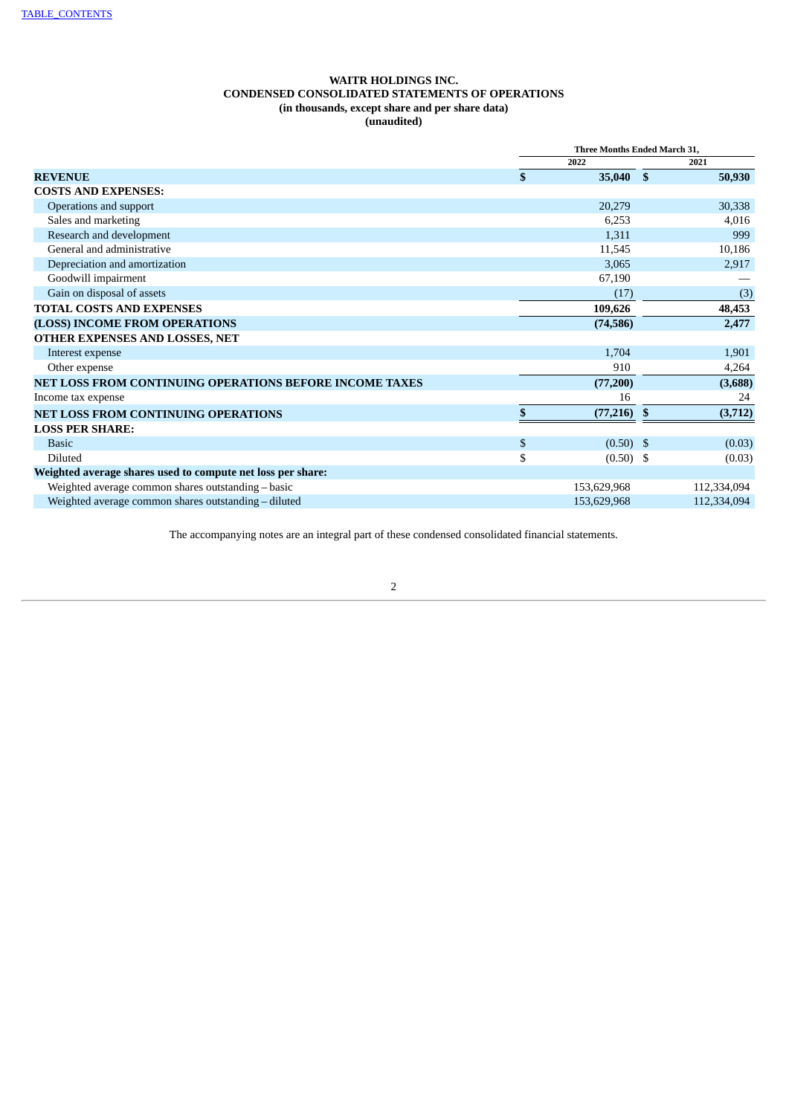# **WAITR HOLDINGS INC. CONDENSED CONSOLIDATED STATEMENTS OF OPERATIONS (in thousands, except share and per share data) (unaudited)**

|                                                                |              | <b>Three Months Ended March 31.</b> |              |             |  |  |
|----------------------------------------------------------------|--------------|-------------------------------------|--------------|-------------|--|--|
|                                                                |              | 2022                                |              | 2021        |  |  |
| <b>REVENUE</b>                                                 | $\mathbf{s}$ | 35,040                              | $\mathbf{s}$ | 50,930      |  |  |
| <b>COSTS AND EXPENSES:</b>                                     |              |                                     |              |             |  |  |
| Operations and support                                         |              | 20,279                              |              | 30,338      |  |  |
| Sales and marketing                                            |              | 6,253                               |              | 4,016       |  |  |
| Research and development                                       |              | 1,311                               |              | 999         |  |  |
| General and administrative                                     |              | 11,545                              |              | 10,186      |  |  |
| Depreciation and amortization                                  |              | 3,065                               |              | 2,917       |  |  |
| Goodwill impairment                                            |              | 67,190                              |              |             |  |  |
| Gain on disposal of assets                                     |              | (17)                                |              | (3)         |  |  |
| <b>TOTAL COSTS AND EXPENSES</b>                                |              | 109,626                             |              | 48,453      |  |  |
| (LOSS) INCOME FROM OPERATIONS                                  |              | (74, 586)                           |              | 2,477       |  |  |
| OTHER EXPENSES AND LOSSES, NET                                 |              |                                     |              |             |  |  |
| Interest expense                                               |              | 1.704                               |              | 1,901       |  |  |
| Other expense                                                  |              | 910                                 |              | 4,264       |  |  |
| <b>NET LOSS FROM CONTINUING OPERATIONS BEFORE INCOME TAXES</b> |              | (77,200)                            |              | (3,688)     |  |  |
| Income tax expense                                             |              | 16                                  |              | 24          |  |  |
| <b>NET LOSS FROM CONTINUING OPERATIONS</b>                     |              | (77, 216)                           | \$           | (3,712)     |  |  |
| <b>LOSS PER SHARE:</b>                                         |              |                                     |              |             |  |  |
| <b>Basic</b>                                                   | \$           | $(0.50)$ \$                         |              | (0.03)      |  |  |
| Diluted                                                        | \$           | $(0.50)$ \$                         |              | (0.03)      |  |  |
| Weighted average shares used to compute net loss per share:    |              |                                     |              |             |  |  |
| Weighted average common shares outstanding - basic             |              | 153,629,968                         |              | 112,334,094 |  |  |
| Weighted average common shares outstanding - diluted           |              | 153,629,968                         |              | 112,334,094 |  |  |
|                                                                |              |                                     |              |             |  |  |

<span id="page-4-0"></span>The accompanying notes are an integral part of these condensed consolidated financial statements.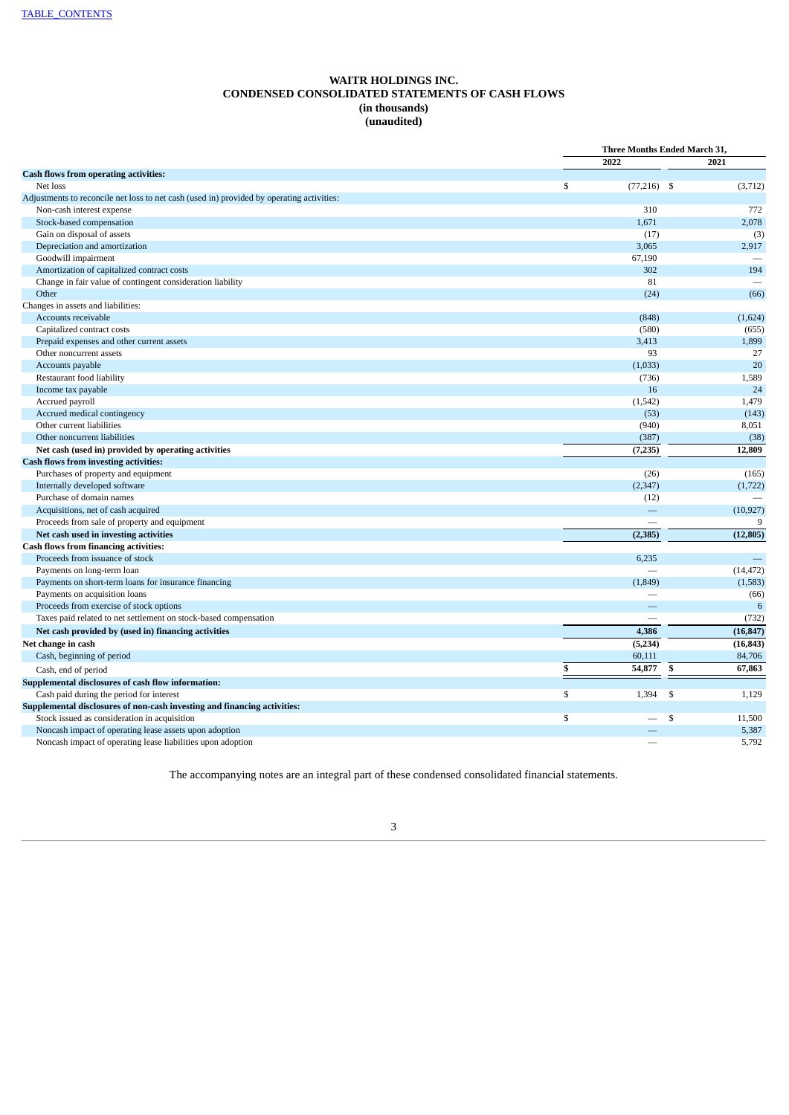# **WAITR HOLDINGS INC. CONDENSED CONSOLIDATED STATEMENTS OF CASH FLOWS (in thousands) (unaudited)**

|                                                                                           |      | Three Months Ended March 31, |    |           |
|-------------------------------------------------------------------------------------------|------|------------------------------|----|-----------|
|                                                                                           | 2022 |                              |    | 2021      |
| <b>Cash flows from operating activities:</b>                                              |      |                              |    |           |
| Net loss                                                                                  | \$   | $(77,216)$ \$                |    | (3,712)   |
| Adjustments to reconcile net loss to net cash (used in) provided by operating activities: |      |                              |    |           |
| Non-cash interest expense                                                                 |      | 310                          |    | 772       |
| Stock-based compensation                                                                  |      | 1,671                        |    | 2,078     |
| Gain on disposal of assets                                                                |      | (17)                         |    | (3)       |
| Depreciation and amortization                                                             |      | 3,065                        |    | 2,917     |
| Goodwill impairment                                                                       |      | 67,190                       |    |           |
| Amortization of capitalized contract costs                                                |      | 302                          |    | 194       |
| Change in fair value of contingent consideration liability                                |      | 81                           |    |           |
| Other                                                                                     |      | (24)                         |    | (66)      |
| Changes in assets and liabilities:                                                        |      |                              |    |           |
| Accounts receivable                                                                       |      | (848)                        |    | (1,624)   |
| Capitalized contract costs                                                                |      | (580)                        |    | (655)     |
| Prepaid expenses and other current assets                                                 |      | 3,413                        |    | 1,899     |
| Other noncurrent assets                                                                   |      | 93                           |    | 27        |
| Accounts payable                                                                          |      | (1,033)                      |    | 20        |
| Restaurant food liability                                                                 |      | (736)                        |    | 1,589     |
| Income tax payable                                                                        |      | 16                           |    | 24        |
| Accrued payroll                                                                           |      | (1, 542)                     |    | 1,479     |
| Accrued medical contingency                                                               |      | (53)                         |    | (143)     |
| Other current liabilities                                                                 |      | (940)                        |    | 8,051     |
| Other noncurrent liabilities                                                              |      | (387)                        |    | (38)      |
| Net cash (used in) provided by operating activities                                       |      | (7,235)                      |    | 12,809    |
| <b>Cash flows from investing activities:</b>                                              |      |                              |    |           |
| Purchases of property and equipment                                                       |      | (26)                         |    | (165)     |
| Internally developed software                                                             |      | (2,347)                      |    | (1, 722)  |
| Purchase of domain names                                                                  |      | (12)                         |    |           |
| Acquisitions, net of cash acquired                                                        |      |                              |    | (10, 927) |
| Proceeds from sale of property and equipment                                              |      |                              |    | 9         |
| Net cash used in investing activities                                                     |      | (2, 385)                     |    | (12, 805) |
| Cash flows from financing activities:                                                     |      |                              |    |           |
| Proceeds from issuance of stock                                                           |      | 6,235                        |    | $\equiv$  |
| Payments on long-term loan                                                                |      |                              |    | (14, 472) |
| Payments on short-term loans for insurance financing                                      |      | (1,849)                      |    | (1,583)   |
| Payments on acquisition loans                                                             |      |                              |    | (66)      |
| Proceeds from exercise of stock options                                                   |      |                              |    | 6         |
| Taxes paid related to net settlement on stock-based compensation                          |      | $\overline{\phantom{0}}$     |    | (732)     |
| Net cash provided by (used in) financing activities                                       |      | 4.386                        |    | (16, 847) |
| Net change in cash                                                                        |      | (5,234)                      |    | (16, 843) |
| Cash, beginning of period                                                                 |      | 60,111                       |    | 84,706    |
|                                                                                           | \$   | 54,877                       | \$ | 67,863    |
| Cash, end of period                                                                       |      |                              |    |           |
| Supplemental disclosures of cash flow information:                                        |      |                              |    |           |
| Cash paid during the period for interest                                                  | \$   | 1,394                        | \$ | 1,129     |
| Supplemental disclosures of non-cash investing and financing activities:                  |      |                              |    |           |
| Stock issued as consideration in acquisition                                              | \$   |                              | \$ | 11,500    |
| Noncash impact of operating lease assets upon adoption                                    |      |                              |    | 5,387     |
| Noncash impact of operating lease liabilities upon adoption                               |      |                              |    | 5,792     |

<span id="page-5-0"></span>The accompanying notes are an integral part of these condensed consolidated financial statements.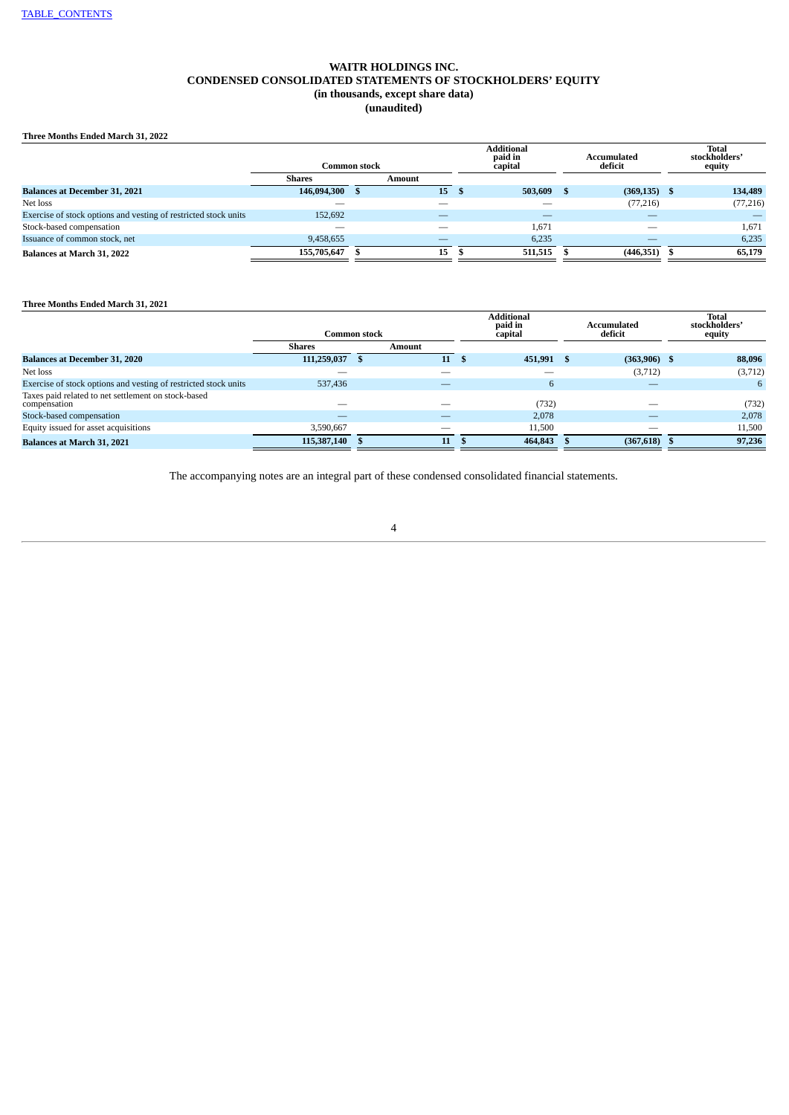# **WAITR HOLDINGS INC. CONDENSED CONSOLIDATED STATEMENTS OF STOCKHOLDERS' EQUITY (in thousands, except share data) (unaudited)**

**Three Months Ended March 31, 2022**

|                                                                 | <b>Common stock</b> |        |                          | <b>Additional</b><br>paid in<br>capital |         | Accumulated<br>deficit |                | Total<br>stockholders'<br>equity |           |
|-----------------------------------------------------------------|---------------------|--------|--------------------------|-----------------------------------------|---------|------------------------|----------------|----------------------------------|-----------|
|                                                                 | <b>Shares</b>       | Amount |                          |                                         |         |                        |                |                                  |           |
| <b>Balances at December 31, 2021</b>                            | 146,094,300         |        | 15                       | - 30                                    | 503,609 | - 56                   | $(369,135)$ \$ |                                  | 134,489   |
| Net loss                                                        |                     |        |                          |                                         |         |                        | (77,216)       |                                  | (77, 216) |
| Exercise of stock options and vesting of restricted stock units | 152,692             |        |                          |                                         |         |                        |                |                                  |           |
| Stock-based compensation                                        |                     |        |                          |                                         | 1,671   |                        |                |                                  | 1,671     |
| Issuance of common stock, net                                   | 9,458,655           |        | $\overline{\phantom{a}}$ |                                         | 6,235   |                        |                |                                  | 6,235     |
| <b>Balances at March 31, 2022</b>                               | 155,705,647         |        | 15                       |                                         | 511.515 |                        | (446, 351)     |                                  | 65,179    |

#### **Three Months Ended March 31, 2021**

|                                                                     |               |              | <b>Additional</b><br>paid in | Accumulated    | <b>Total</b><br>stockholders' |
|---------------------------------------------------------------------|---------------|--------------|------------------------------|----------------|-------------------------------|
|                                                                     |               | Common stock | capital                      | deficit        | equity                        |
|                                                                     | <b>Shares</b> | Amount       |                              |                |                               |
| <b>Balances at December 31, 2020</b>                                | 111,259,037   | <b>11</b>    | 451,991 \$                   | $(363,906)$ \$ | 88,096                        |
| Net loss                                                            |               |              |                              | (3,712)        | (3,712)                       |
| Exercise of stock options and vesting of restricted stock units     | 537,436       |              | h                            |                | 6                             |
| Taxes paid related to net settlement on stock-based<br>compensation |               |              | (732)                        |                | (732)                         |
| Stock-based compensation                                            |               |              | 2,078                        |                | 2,078                         |
| Equity issued for asset acquisitions                                | 3,590,667     |              | 11,500                       |                | 11,500                        |
| <b>Balances at March 31, 2021</b>                                   | 115,387,140   | 11           | 464,843                      | (367, 618)     | 97,236                        |

<span id="page-6-0"></span>The accompanying notes are an integral part of these condensed consolidated financial statements.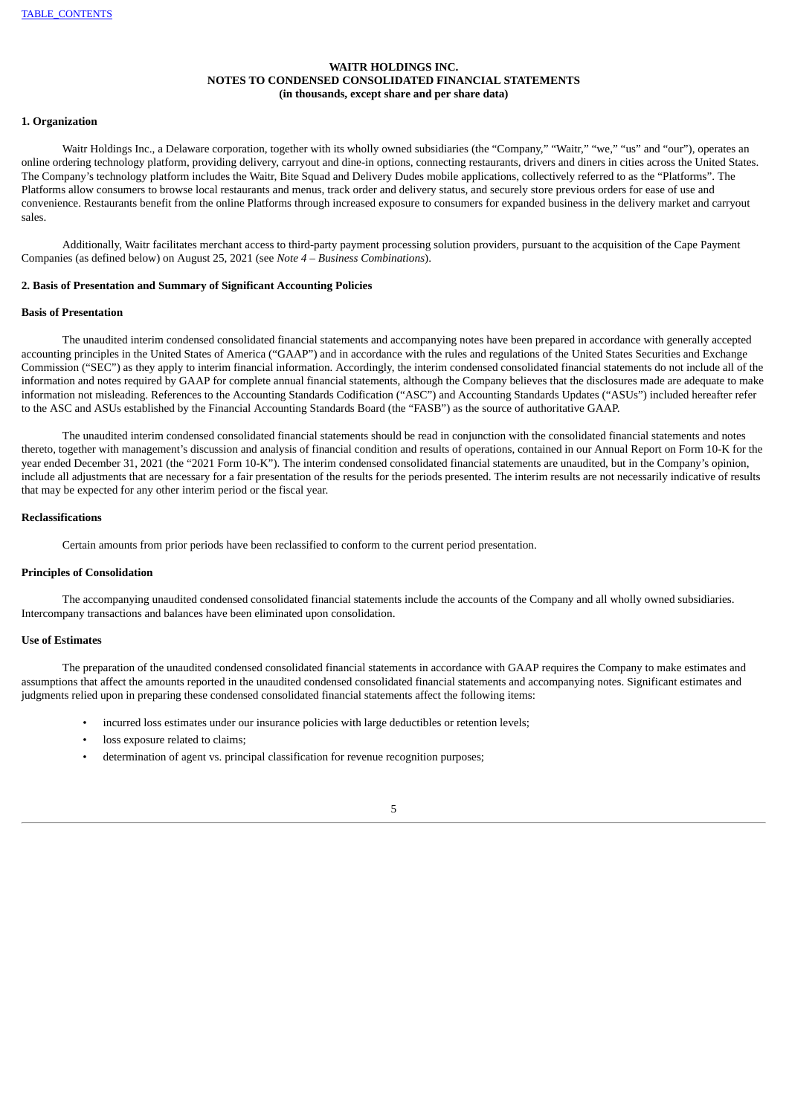# **WAITR HOLDINGS INC. NOTES TO CONDENSED CONSOLIDATED FINANCIAL STATEMENTS (in thousands, except share and per share data)**

# **1. Organization**

Waitr Holdings Inc., a Delaware corporation, together with its wholly owned subsidiaries (the "Company," "Waitr," "we," "us" and "our"), operates an online ordering technology platform, providing delivery, carryout and dine-in options, connecting restaurants, drivers and diners in cities across the United States. The Company's technology platform includes the Waitr, Bite Squad and Delivery Dudes mobile applications, collectively referred to as the "Platforms". The Platforms allow consumers to browse local restaurants and menus, track order and delivery status, and securely store previous orders for ease of use and convenience. Restaurants benefit from the online Platforms through increased exposure to consumers for expanded business in the delivery market and carryout sales.

Additionally, Waitr facilitates merchant access to third-party payment processing solution providers, pursuant to the acquisition of the Cape Payment Companies (as defined below) on August 25, 2021 (see *Note 4* – *Business Combinations*).

### **2. Basis of Presentation and Summary of Significant Accounting Policies**

### **Basis of Presentation**

The unaudited interim condensed consolidated financial statements and accompanying notes have been prepared in accordance with generally accepted accounting principles in the United States of America ("GAAP") and in accordance with the rules and regulations of the United States Securities and Exchange Commission ("SEC") as they apply to interim financial information. Accordingly, the interim condensed consolidated financial statements do not include all of the information and notes required by GAAP for complete annual financial statements, although the Company believes that the disclosures made are adequate to make information not misleading. References to the Accounting Standards Codification ("ASC") and Accounting Standards Updates ("ASUs") included hereafter refer to the ASC and ASUs established by the Financial Accounting Standards Board (the "FASB") as the source of authoritative GAAP.

The unaudited interim condensed consolidated financial statements should be read in conjunction with the consolidated financial statements and notes thereto, together with management's discussion and analysis of financial condition and results of operations, contained in our Annual Report on Form 10-K for the year ended December 31, 2021 (the "2021 Form 10-K"). The interim condensed consolidated financial statements are unaudited, but in the Company's opinion, include all adjustments that are necessary for a fair presentation of the results for the periods presented. The interim results are not necessarily indicative of results that may be expected for any other interim period or the fiscal year.

### **Reclassifications**

Certain amounts from prior periods have been reclassified to conform to the current period presentation.

### **Principles of Consolidation**

The accompanying unaudited condensed consolidated financial statements include the accounts of the Company and all wholly owned subsidiaries. Intercompany transactions and balances have been eliminated upon consolidation.

# **Use of Estimates**

The preparation of the unaudited condensed consolidated financial statements in accordance with GAAP requires the Company to make estimates and assumptions that affect the amounts reported in the unaudited condensed consolidated financial statements and accompanying notes. Significant estimates and judgments relied upon in preparing these condensed consolidated financial statements affect the following items:

- incurred loss estimates under our insurance policies with large deductibles or retention levels;
- loss exposure related to claims;
- determination of agent vs. principal classification for revenue recognition purposes;

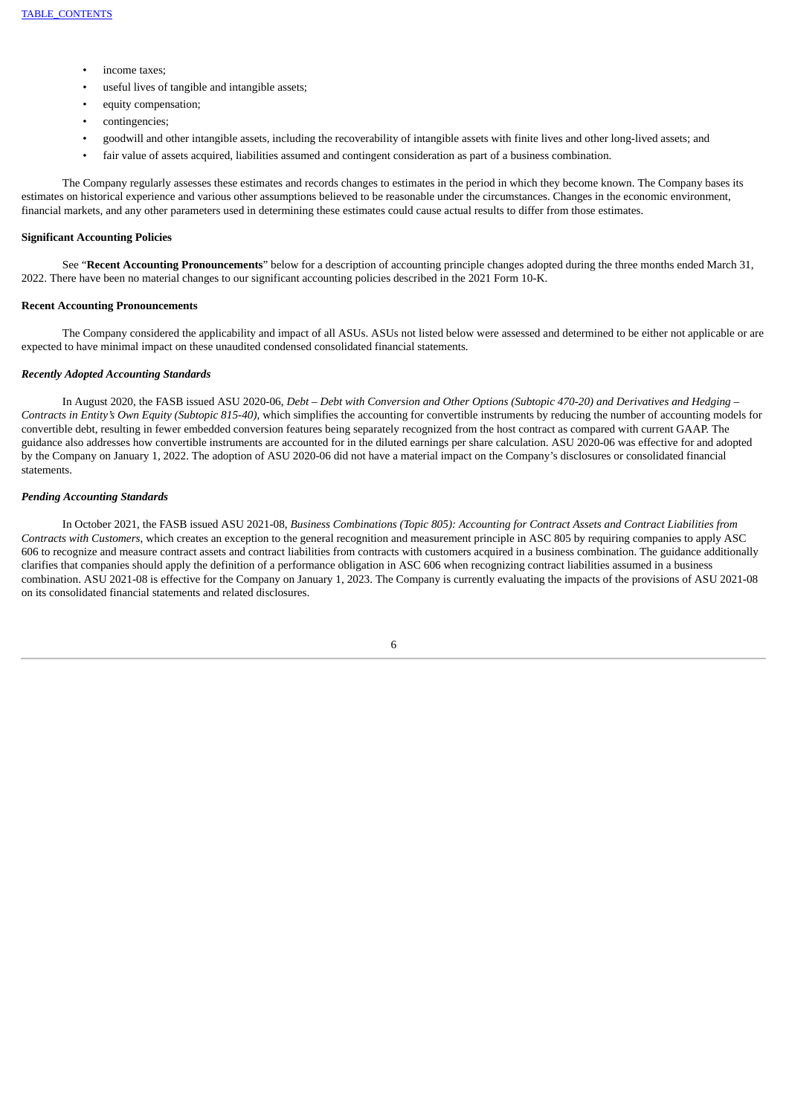- income taxes:
- useful lives of tangible and intangible assets;
- equity compensation;
- contingencies;
- goodwill and other intangible assets, including the recoverability of intangible assets with finite lives and other long-lived assets; and
- fair value of assets acquired, liabilities assumed and contingent consideration as part of a business combination.

The Company regularly assesses these estimates and records changes to estimates in the period in which they become known. The Company bases its estimates on historical experience and various other assumptions believed to be reasonable under the circumstances. Changes in the economic environment, financial markets, and any other parameters used in determining these estimates could cause actual results to differ from those estimates.

### **Significant Accounting Policies**

See "**Recent Accounting Pronouncements**" below for a description of accounting principle changes adopted during the three months ended March 31, 2022. There have been no material changes to our significant accounting policies described in the 2021 Form 10-K.

#### **Recent Accounting Pronouncements**

The Company considered the applicability and impact of all ASUs. ASUs not listed below were assessed and determined to be either not applicable or are expected to have minimal impact on these unaudited condensed consolidated financial statements.

#### *Recently Adopted Accounting Standards*

In August 2020, the FASB issued ASU 2020-06, Debt – Debt with Conversion and Other Options (Subtopic 470-20) and Derivatives and Hedaina – *Contracts in Entity's Own Equity (Subtopic 815-40)*, which simplifies the accounting for convertible instruments by reducing the number of accounting models for convertible debt, resulting in fewer embedded conversion features being separately recognized from the host contract as compared with current GAAP. The guidance also addresses how convertible instruments are accounted for in the diluted earnings per share calculation. ASU 2020-06 was effective for and adopted by the Company on January 1, 2022. The adoption of ASU 2020-06 did not have a material impact on the Company's disclosures or consolidated financial statements.

### *Pending Accounting Standards*

In October 2021, the FASB issued ASU 2021-08, Business Combinations (Topic 805): Accounting for Contract Assets and Contract Liabilities from *Contracts with Customers*, which creates an exception to the general recognition and measurement principle in ASC 805 by requiring companies to apply ASC 606 to recognize and measure contract assets and contract liabilities from contracts with customers acquired in a business combination. The guidance additionally clarifies that companies should apply the definition of a performance obligation in ASC 606 when recognizing contract liabilities assumed in a business combination. ASU 2021-08 is effective for the Company on January 1, 2023. The Company is currently evaluating the impacts of the provisions of ASU 2021-08 on its consolidated financial statements and related disclosures.

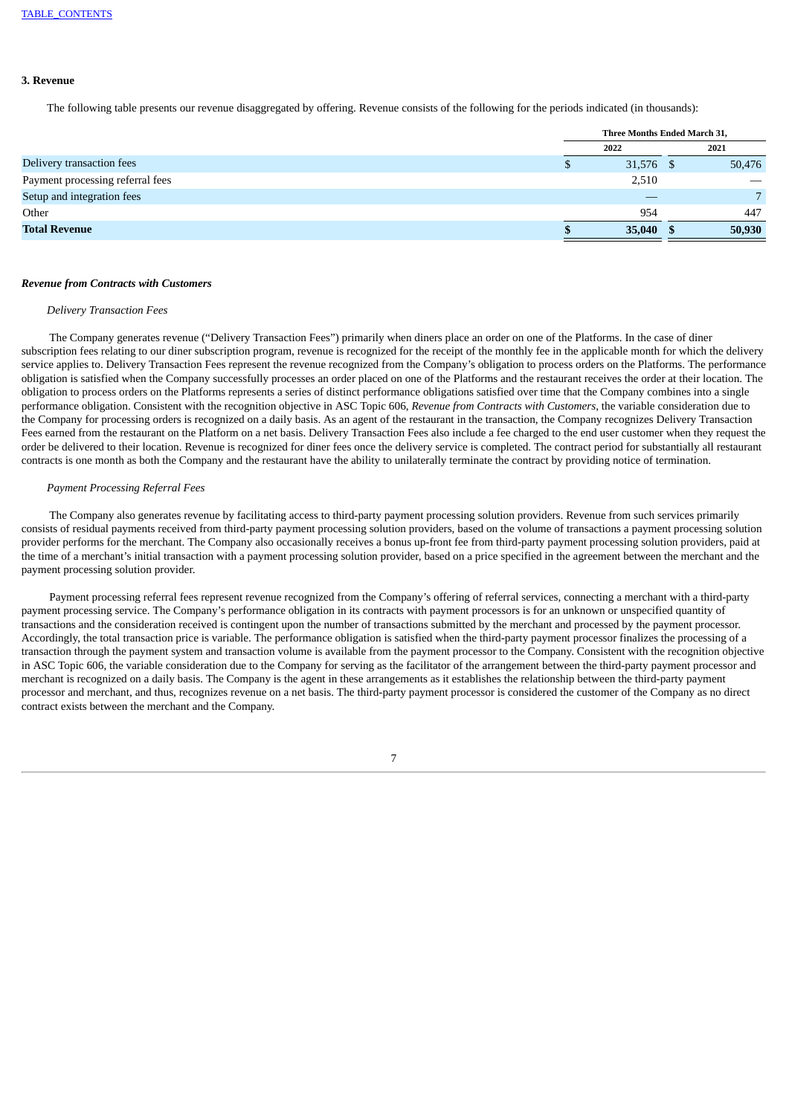#### **3. Revenue**

The following table presents our revenue disaggregated by offering. Revenue consists of the following for the periods indicated (in thousands):

|   | Three Months Ended March 31, |  |             |  |
|---|------------------------------|--|-------------|--|
|   | 2022                         |  | 2021        |  |
| D |                              |  | 50,476      |  |
|   | 2,510                        |  |             |  |
|   |                              |  | $7^{\circ}$ |  |
|   | 954                          |  | 447         |  |
|   | 35,040                       |  | 50,930      |  |
|   |                              |  | 31,576 \$   |  |

#### *Revenue from Contracts with Customers*

### *Delivery Transaction Fees*

The Company generates revenue ("Delivery Transaction Fees") primarily when diners place an order on one of the Platforms. In the case of diner subscription fees relating to our diner subscription program, revenue is recognized for the receipt of the monthly fee in the applicable month for which the delivery service applies to. Delivery Transaction Fees represent the revenue recognized from the Company's obligation to process orders on the Platforms. The performance obligation is satisfied when the Company successfully processes an order placed on one of the Platforms and the restaurant receives the order at their location. The obligation to process orders on the Platforms represents a series of distinct performance obligations satisfied over time that the Company combines into a single performance obligation. Consistent with the recognition objective in ASC Topic 606, *Revenue from Contracts with Customers*, the variable consideration due to the Company for processing orders is recognized on a daily basis. As an agent of the restaurant in the transaction, the Company recognizes Delivery Transaction Fees earned from the restaurant on the Platform on a net basis. Delivery Transaction Fees also include a fee charged to the end user customer when they request the order be delivered to their location. Revenue is recognized for diner fees once the delivery service is completed. The contract period for substantially all restaurant contracts is one month as both the Company and the restaurant have the ability to unilaterally terminate the contract by providing notice of termination.

#### *Payment Processing Referral Fees*

The Company also generates revenue by facilitating access to third-party payment processing solution providers. Revenue from such services primarily consists of residual payments received from third-party payment processing solution providers, based on the volume of transactions a payment processing solution provider performs for the merchant. The Company also occasionally receives a bonus up-front fee from third-party payment processing solution providers, paid at the time of a merchant's initial transaction with a payment processing solution provider, based on a price specified in the agreement between the merchant and the payment processing solution provider.

Payment processing referral fees represent revenue recognized from the Company's offering of referral services, connecting a merchant with a third-party payment processing service. The Company's performance obligation in its contracts with payment processors is for an unknown or unspecified quantity of transactions and the consideration received is contingent upon the number of transactions submitted by the merchant and processed by the payment processor. Accordingly, the total transaction price is variable. The performance obligation is satisfied when the third-party payment processor finalizes the processing of a transaction through the payment system and transaction volume is available from the payment processor to the Company. Consistent with the recognition objective in ASC Topic 606, the variable consideration due to the Company for serving as the facilitator of the arrangement between the third-party payment processor and merchant is recognized on a daily basis. The Company is the agent in these arrangements as it establishes the relationship between the third-party payment processor and merchant, and thus, recognizes revenue on a net basis. The third-party payment processor is considered the customer of the Company as no direct contract exists between the merchant and the Company.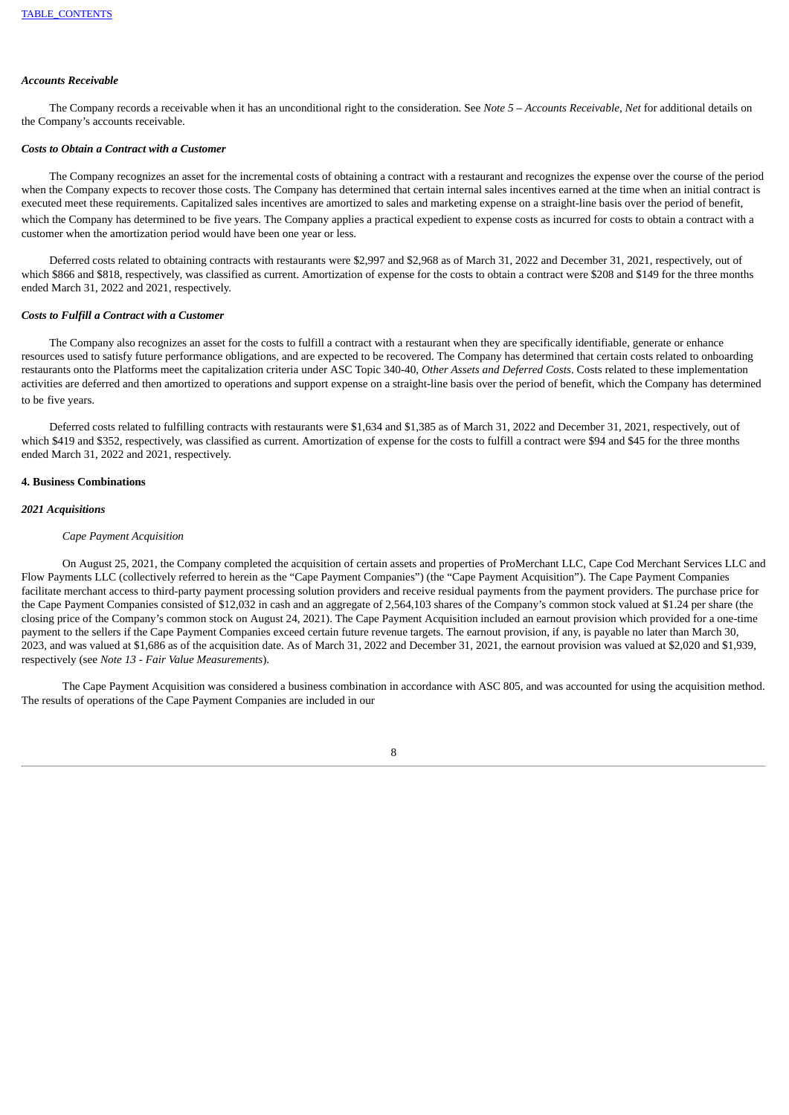# *Accounts Receivable*

The Company records a receivable when it has an unconditional right to the consideration. See *Note 5 – Accounts Receivable, Net* for additional details on the Company's accounts receivable.

# *Costs to Obtain a Contract with a Customer*

The Company recognizes an asset for the incremental costs of obtaining a contract with a restaurant and recognizes the expense over the course of the period when the Company expects to recover those costs. The Company has determined that certain internal sales incentives earned at the time when an initial contract is executed meet these requirements. Capitalized sales incentives are amortized to sales and marketing expense on a straight-line basis over the period of benefit, which the Company has determined to be five years. The Company applies a practical expedient to expense costs as incurred for costs to obtain a contract with a customer when the amortization period would have been one year or less.

Deferred costs related to obtaining contracts with restaurants were \$2,997 and \$2,968 as of March 31, 2022 and December 31, 2021, respectively, out of which \$866 and \$818, respectively, was classified as current. Amortization of expense for the costs to obtain a contract were \$208 and \$149 for the three months ended March 31, 2022 and 2021, respectively.

# *Costs to Fulfill a Contract with a Customer*

The Company also recognizes an asset for the costs to fulfill a contract with a restaurant when they are specifically identifiable, generate or enhance resources used to satisfy future performance obligations, and are expected to be recovered. The Company has determined that certain costs related to onboarding restaurants onto the Platforms meet the capitalization criteria under ASC Topic 340-40, *Other Assets and Deferred Costs*. Costs related to these implementation activities are deferred and then amortized to operations and support expense on a straight-line basis over the period of benefit, which the Company has determined to be five years.

Deferred costs related to fulfilling contracts with restaurants were \$1,634 and \$1,385 as of March 31, 2022 and December 31, 2021, respectively, out of which \$419 and \$352, respectively, was classified as current. Amortization of expense for the costs to fulfill a contract were \$94 and \$45 for the three months ended March 31, 2022 and 2021, respectively.

#### **4. Business Combinations**

#### *2021 Acquisitions*

#### *Cape Payment Acquisition*

On August 25, 2021, the Company completed the acquisition of certain assets and properties of ProMerchant LLC, Cape Cod Merchant Services LLC and Flow Payments LLC (collectively referred to herein as the "Cape Payment Companies") (the "Cape Payment Acquisition"). The Cape Payment Companies facilitate merchant access to third-party payment processing solution providers and receive residual payments from the payment providers. The purchase price for the Cape Payment Companies consisted of \$12,032 in cash and an aggregate of 2,564,103 shares of the Company's common stock valued at \$1.24 per share (the closing price of the Company's common stock on August 24, 2021). The Cape Payment Acquisition included an earnout provision which provided for a one-time payment to the sellers if the Cape Payment Companies exceed certain future revenue targets. The earnout provision, if any, is payable no later than March 30, 2023, and was valued at \$1,686 as of the acquisition date. As of March 31, 2022 and December 31, 2021, the earnout provision was valued at \$2,020 and \$1,939, respectively (see *Note 13 - Fair Value Measurements*).

The Cape Payment Acquisition was considered a business combination in accordance with ASC 805, and was accounted for using the acquisition method. The results of operations of the Cape Payment Companies are included in our

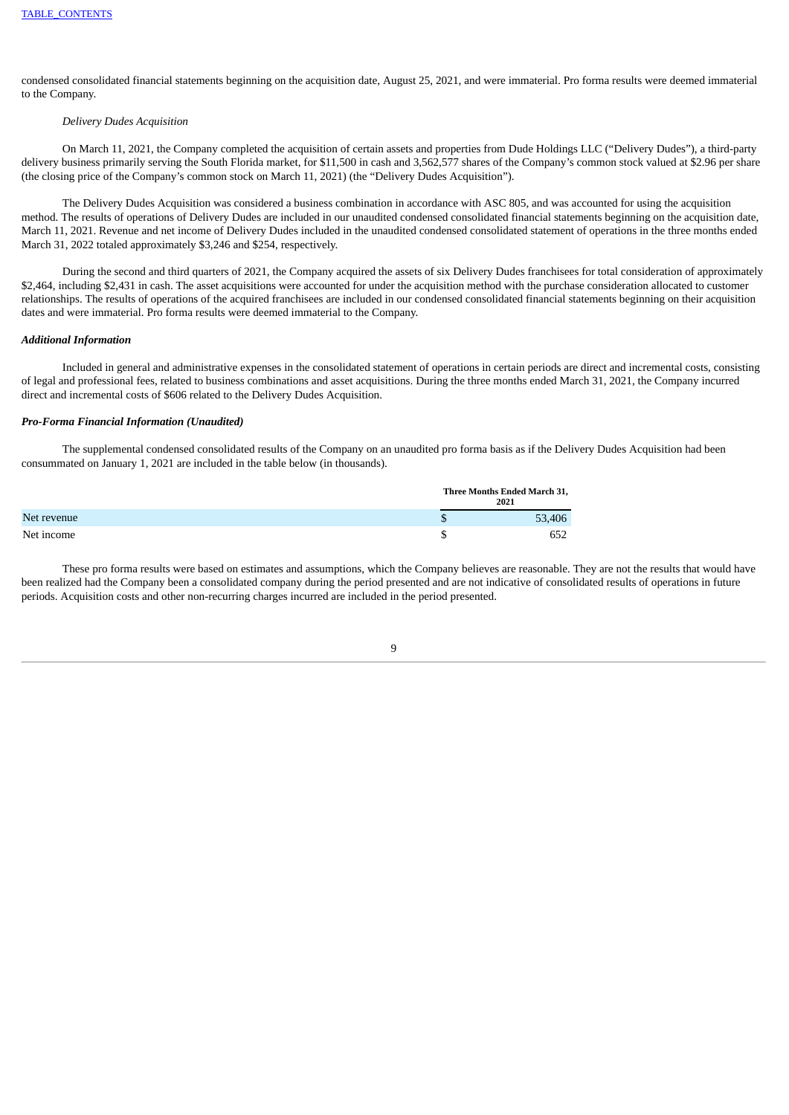condensed consolidated financial statements beginning on the acquisition date, August 25, 2021, and were immaterial. Pro forma results were deemed immaterial to the Company.

#### *Delivery Dudes Acquisition*

On March 11, 2021, the Company completed the acquisition of certain assets and properties from Dude Holdings LLC ("Delivery Dudes"), a third-party delivery business primarily serving the South Florida market, for \$11,500 in cash and 3,562,577 shares of the Company's common stock valued at \$2.96 per share (the closing price of the Company's common stock on March 11, 2021) (the "Delivery Dudes Acquisition").

The Delivery Dudes Acquisition was considered a business combination in accordance with ASC 805, and was accounted for using the acquisition method. The results of operations of Delivery Dudes are included in our unaudited condensed consolidated financial statements beginning on the acquisition date, March 11, 2021. Revenue and net income of Delivery Dudes included in the unaudited condensed consolidated statement of operations in the three months ended March 31, 2022 totaled approximately \$3,246 and \$254, respectively.

During the second and third quarters of 2021, the Company acquired the assets of six Delivery Dudes franchisees for total consideration of approximately \$2,464, including \$2,431 in cash. The asset acquisitions were accounted for under the acquisition method with the purchase consideration allocated to customer relationships. The results of operations of the acquired franchisees are included in our condensed consolidated financial statements beginning on their acquisition dates and were immaterial. Pro forma results were deemed immaterial to the Company.

#### *Additional Information*

Included in general and administrative expenses in the consolidated statement of operations in certain periods are direct and incremental costs, consisting of legal and professional fees, related to business combinations and asset acquisitions. During the three months ended March 31, 2021, the Company incurred direct and incremental costs of \$606 related to the Delivery Dudes Acquisition.

#### *Pro-Forma Financial Information (Unaudited)*

The supplemental condensed consolidated results of the Company on an unaudited pro forma basis as if the Delivery Dudes Acquisition had been consummated on January 1, 2021 are included in the table below (in thousands).

|             | Three Months Ended March 31,<br>2021 |
|-------------|--------------------------------------|
| Net revenue | 53,406                               |
| Net income  | 652                                  |

These pro forma results were based on estimates and assumptions, which the Company believes are reasonable. They are not the results that would have been realized had the Company been a consolidated company during the period presented and are not indicative of consolidated results of operations in future periods. Acquisition costs and other non-recurring charges incurred are included in the period presented.

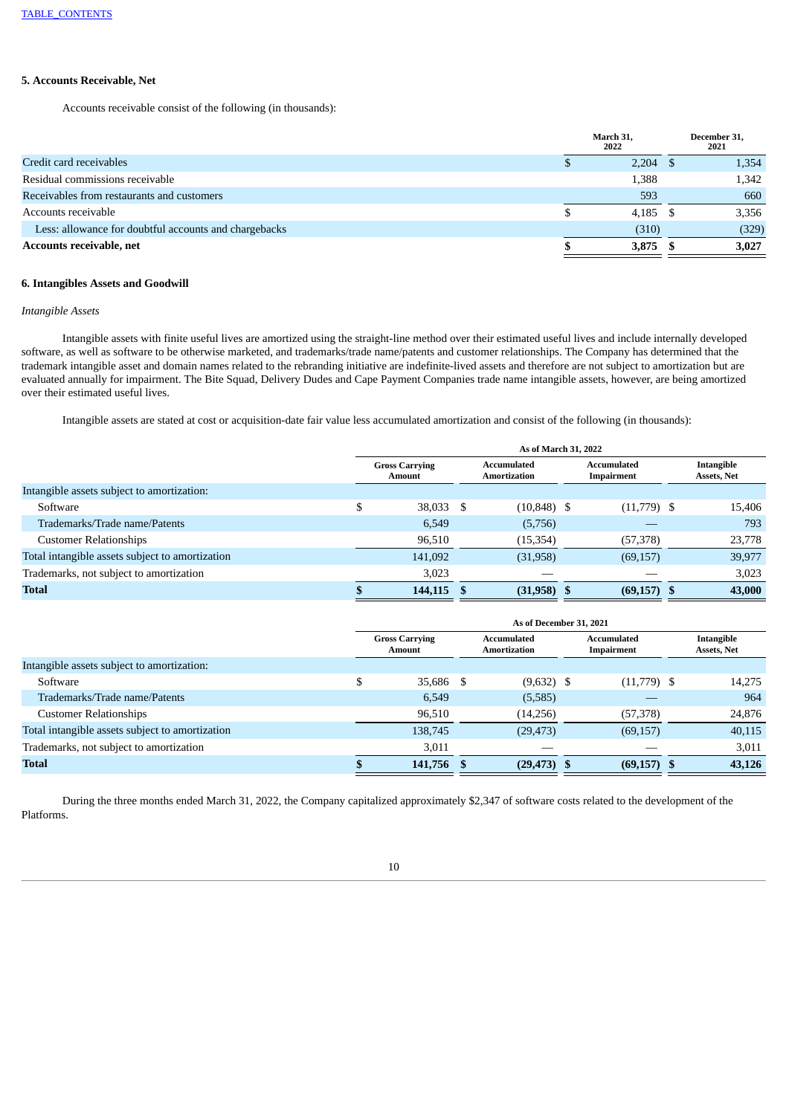# **5. Accounts Receivable, Net**

Accounts receivable consist of the following (in thousands):

|                                                       | March 31.<br>2022 | December 31.<br>2021 |
|-------------------------------------------------------|-------------------|----------------------|
| Credit card receivables                               | 2,204             | 1,354                |
| Residual commissions receivable                       | 1,388             | 1,342                |
| Receivables from restaurants and customers            | 593               | 660                  |
| Accounts receivable                                   | 4,185             | 3,356                |
| Less: allowance for doubtful accounts and chargebacks | (310)             | (329)                |
| Accounts receivable, net                              | 3,875             | 3,027                |

# **6. Intangibles Assets and Goodwill**

# *Intangible Assets*

Intangible assets with finite useful lives are amortized using the straight-line method over their estimated useful lives and include internally developed software, as well as software to be otherwise marketed, and trademarks/trade name/patents and customer relationships. The Company has determined that the trademark intangible asset and domain names related to the rebranding initiative are indefinite-lived assets and therefore are not subject to amortization but are evaluated annually for impairment. The Bite Squad, Delivery Dudes and Cape Payment Companies trade name intangible assets, however, are being amortized over their estimated useful lives.

Intangible assets are stated at cost or acquisition-date fair value less accumulated amortization and consist of the following (in thousands):

|                                                 | As of March 31, 2022 |                                 |      |                                           |  |                           |  |                           |
|-------------------------------------------------|----------------------|---------------------------------|------|-------------------------------------------|--|---------------------------|--|---------------------------|
|                                                 |                      | <b>Gross Carrying</b><br>Amount |      | <b>Accumulated</b><br><b>Amortization</b> |  | Accumulated<br>Impairment |  | Intangible<br>Assets, Net |
| Intangible assets subject to amortization:      |                      |                                 |      |                                           |  |                           |  |                           |
| Software                                        | \$                   | 38,033                          | - \$ | $(10, 848)$ \$                            |  | $(11,779)$ \$             |  | 15,406                    |
| Trademarks/Trade name/Patents                   |                      | 6,549                           |      | (5,756)                                   |  |                           |  | 793                       |
| <b>Customer Relationships</b>                   |                      | 96,510                          |      | (15, 354)                                 |  | (57, 378)                 |  | 23,778                    |
| Total intangible assets subject to amortization |                      | 141,092                         |      | (31,958)                                  |  | (69, 157)                 |  | 39,977                    |
| Trademarks, not subject to amortization         |                      | 3,023                           |      |                                           |  |                           |  | 3,023                     |
| <b>Total</b>                                    |                      | 144,115                         |      | $(31,958)$ \$                             |  | $(69,157)$ \$             |  | 43,000                    |

|                                                 | As of December 31, 2021         |           |     |                                    |  |                           |  |                           |  |
|-------------------------------------------------|---------------------------------|-----------|-----|------------------------------------|--|---------------------------|--|---------------------------|--|
|                                                 | <b>Gross Carrying</b><br>Amount |           |     | Accumulated<br><b>Amortization</b> |  | Accumulated<br>Impairment |  | Intangible<br>Assets, Net |  |
| Intangible assets subject to amortization:      |                                 |           |     |                                    |  |                           |  |                           |  |
| Software                                        | \$                              | 35,686 \$ |     | $(9,632)$ \$                       |  | $(11,779)$ \$             |  | 14,275                    |  |
| Trademarks/Trade name/Patents                   |                                 | 6,549     |     | (5,585)                            |  | __                        |  | 964                       |  |
| <b>Customer Relationships</b>                   |                                 | 96,510    |     | (14,256)                           |  | (57, 378)                 |  | 24,876                    |  |
| Total intangible assets subject to amortization |                                 | 138,745   |     | (29, 473)                          |  | (69, 157)                 |  | 40,115                    |  |
| Trademarks, not subject to amortization         |                                 | 3,011     |     |                                    |  |                           |  | 3,011                     |  |
| <b>Total</b>                                    |                                 | 141,756   | - 8 | $(29, 473)$ \$                     |  | $(69, 157)$ \$            |  | 43,126                    |  |

During the three months ended March 31, 2022, the Company capitalized approximately \$2,347 of software costs related to the development of the Platforms.

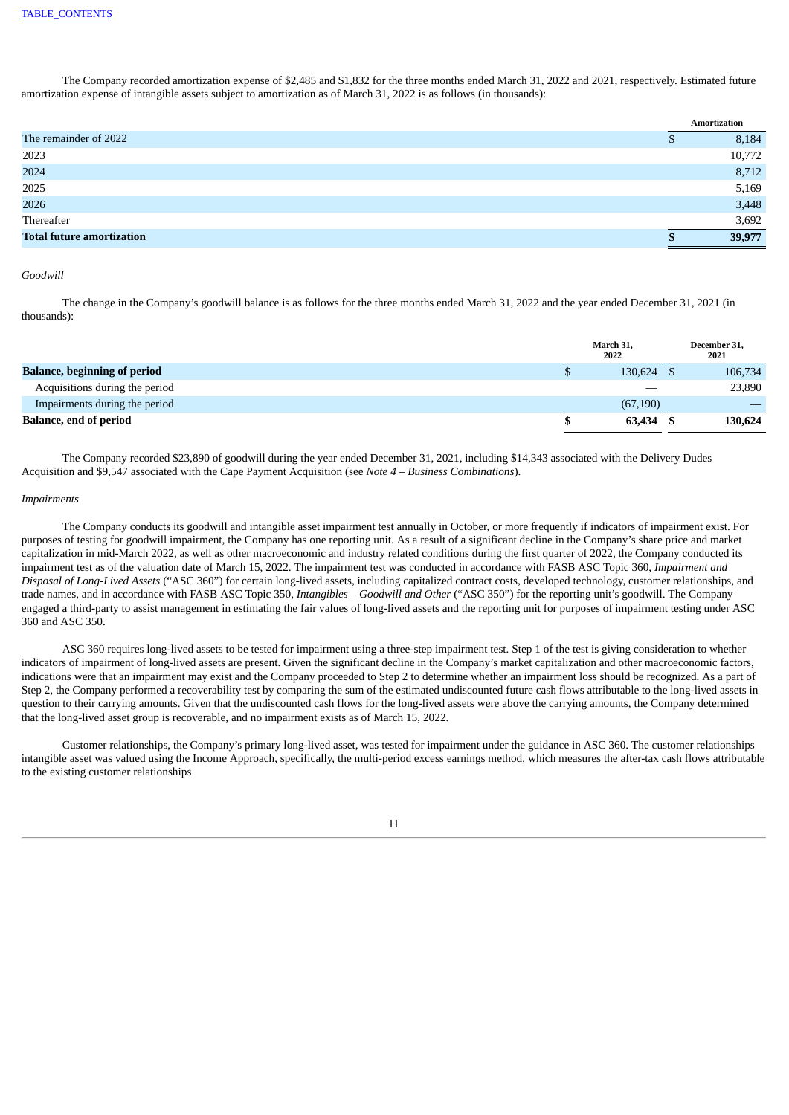The Company recorded amortization expense of \$2,485 and \$1,832 for the three months ended March 31, 2022 and 2021, respectively. Estimated future amortization expense of intangible assets subject to amortization as of March 31, 2022 is as follows (in thousands):

|                                  | Amortization |
|----------------------------------|--------------|
| The remainder of 2022            | 8,184        |
| 2023                             | 10,772       |
| 2024                             | 8,712        |
| 2025                             | 5,169        |
| 2026                             | 3,448        |
| Thereafter                       | 3,692        |
| <b>Total future amortization</b> | 39,977       |

### *Goodwill*

The change in the Company's goodwill balance is as follows for the three months ended March 31, 2022 and the year ended December 31, 2021 (in thousands):

|                                     | March 31,<br>2022 | December 31,<br>2021 |
|-------------------------------------|-------------------|----------------------|
| <b>Balance, beginning of period</b> | 130.624           | 106,734              |
| Acquisitions during the period      |                   | 23,890               |
| Impairments during the period       | (67, 190)         |                      |
| <b>Balance, end of period</b>       | 63,434            | 130,624              |

The Company recorded \$23,890 of goodwill during the year ended December 31, 2021, including \$14,343 associated with the Delivery Dudes Acquisition and \$9,547 associated with the Cape Payment Acquisition (see *Note 4 – Business Combinations*).

### *Impairments*

The Company conducts its goodwill and intangible asset impairment test annually in October, or more frequently if indicators of impairment exist. For purposes of testing for goodwill impairment, the Company has one reporting unit. As a result of a significant decline in the Company's share price and market capitalization in mid-March 2022, as well as other macroeconomic and industry related conditions during the first quarter of 2022, the Company conducted its impairment test as of the valuation date of March 15, 2022. The impairment test was conducted in accordance with FASB ASC Topic 360, *Impairment and Disposal of Long-Lived Assets* ("ASC 360") for certain long-lived assets, including capitalized contract costs, developed technology, customer relationships, and trade names, and in accordance with FASB ASC Topic 350, *Intangibles – Goodwill and Other* ("ASC 350") for the reporting unit's goodwill. The Company engaged a third-party to assist management in estimating the fair values of long-lived assets and the reporting unit for purposes of impairment testing under ASC 360 and ASC 350.

ASC 360 requires long-lived assets to be tested for impairment using a three-step impairment test. Step 1 of the test is giving consideration to whether indicators of impairment of long-lived assets are present. Given the significant decline in the Company's market capitalization and other macroeconomic factors, indications were that an impairment may exist and the Company proceeded to Step 2 to determine whether an impairment loss should be recognized. As a part of Step 2, the Company performed a recoverability test by comparing the sum of the estimated undiscounted future cash flows attributable to the long-lived assets in question to their carrying amounts. Given that the undiscounted cash flows for the long-lived assets were above the carrying amounts, the Company determined that the long-lived asset group is recoverable, and no impairment exists as of March 15, 2022.

Customer relationships, the Company's primary long-lived asset, was tested for impairment under the guidance in ASC 360. The customer relationships intangible asset was valued using the Income Approach, specifically, the multi-period excess earnings method, which measures the after-tax cash flows attributable to the existing customer relationships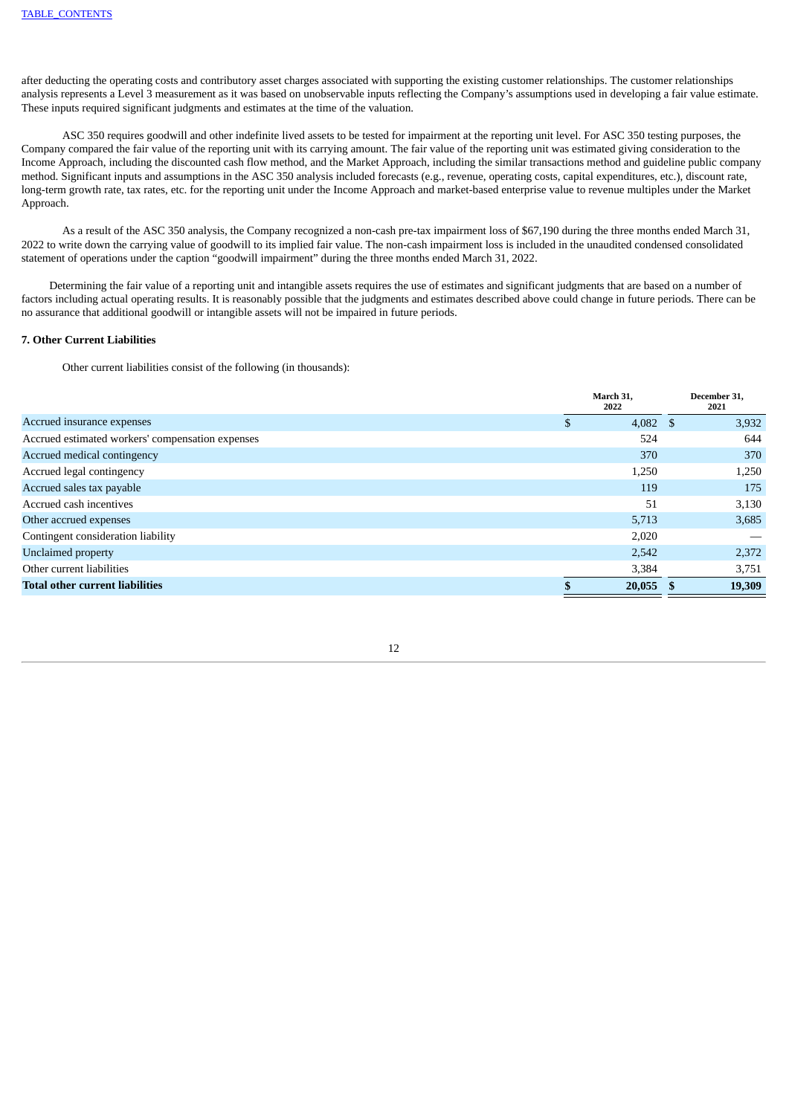after deducting the operating costs and contributory asset charges associated with supporting the existing customer relationships. The customer relationships analysis represents a Level 3 measurement as it was based on unobservable inputs reflecting the Company's assumptions used in developing a fair value estimate. These inputs required significant judgments and estimates at the time of the valuation.

ASC 350 requires goodwill and other indefinite lived assets to be tested for impairment at the reporting unit level. For ASC 350 testing purposes, the Company compared the fair value of the reporting unit with its carrying amount. The fair value of the reporting unit was estimated giving consideration to the Income Approach, including the discounted cash flow method, and the Market Approach, including the similar transactions method and guideline public company method. Significant inputs and assumptions in the ASC 350 analysis included forecasts (e.g., revenue, operating costs, capital expenditures, etc.), discount rate, long-term growth rate, tax rates, etc. for the reporting unit under the Income Approach and market-based enterprise value to revenue multiples under the Market Approach.

As a result of the ASC 350 analysis, the Company recognized a non-cash pre-tax impairment loss of \$67,190 during the three months ended March 31, 2022 to write down the carrying value of goodwill to its implied fair value. The non-cash impairment loss is included in the unaudited condensed consolidated statement of operations under the caption "goodwill impairment" during the three months ended March 31, 2022.

Determining the fair value of a reporting unit and intangible assets requires the use of estimates and significant judgments that are based on a number of factors including actual operating results. It is reasonably possible that the judgments and estimates described above could change in future periods. There can be no assurance that additional goodwill or intangible assets will not be impaired in future periods.

# **7. Other Current Liabilities**

Other current liabilities consist of the following (in thousands):

|                                                  | March 31,<br>2022      | December 31,<br>2021 |
|--------------------------------------------------|------------------------|----------------------|
| Accrued insurance expenses                       | $4,082$ \$<br><b>D</b> | 3,932                |
| Accrued estimated workers' compensation expenses | 524                    | 644                  |
| Accrued medical contingency                      | 370                    | 370                  |
| Accrued legal contingency                        | 1,250                  | 1,250                |
| Accrued sales tax payable                        | 119                    | 175                  |
| Accrued cash incentives                          | 51                     | 3,130                |
| Other accrued expenses                           | 5,713                  | 3,685                |
| Contingent consideration liability               | 2,020                  |                      |
| <b>Unclaimed property</b>                        | 2,542                  | 2,372                |
| Other current liabilities                        | 3,384                  | 3,751                |
| <b>Total other current liabilities</b>           | 20,055                 | 19,309               |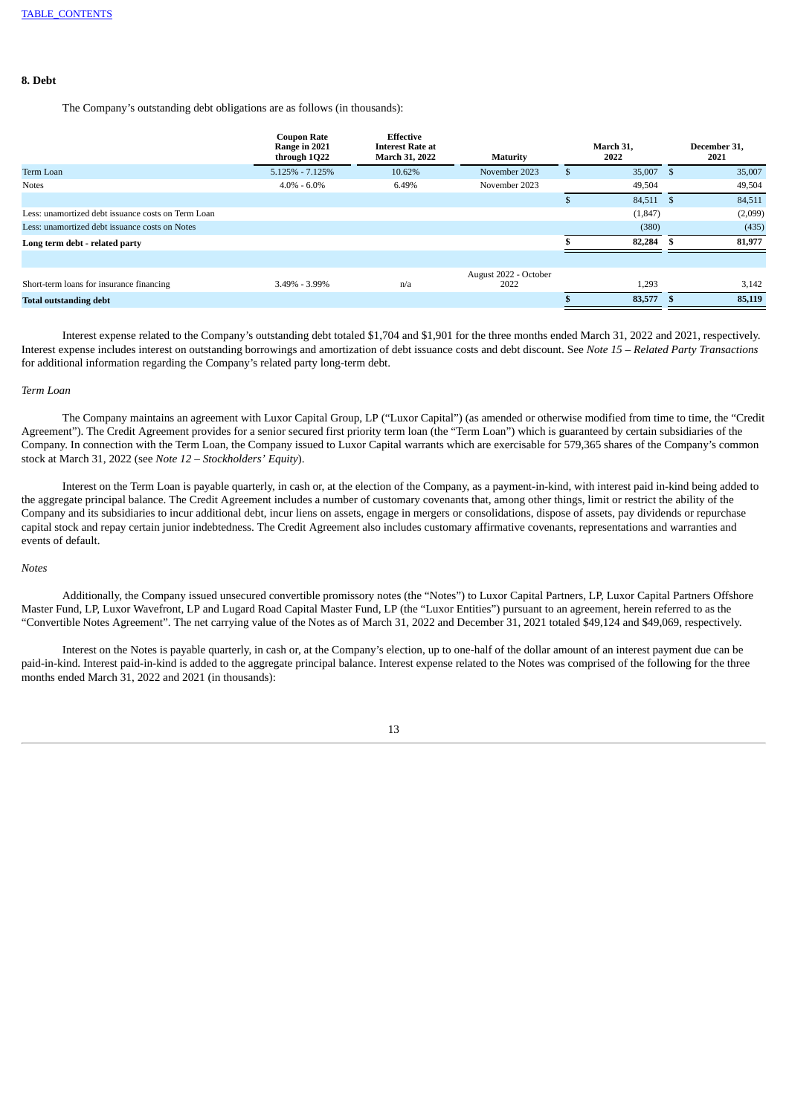### **8. Debt**

The Company's outstanding debt obligations are as follows (in thousands):

|                                                    | <b>Coupon Rate</b><br>Range in 2021<br>through 1Q22 | <b>Effective</b><br><b>Interest Rate at</b><br><b>March 31, 2022</b> | Maturity              | March 31,<br>2022 |      | December 31,<br>2021 |
|----------------------------------------------------|-----------------------------------------------------|----------------------------------------------------------------------|-----------------------|-------------------|------|----------------------|
| Term Loan                                          | $5.125\% - 7.125\%$                                 | 10.62%                                                               | November 2023         | 35,007            | -S   | 35,007               |
| <b>Notes</b>                                       | $4.0\% - 6.0\%$                                     | 6.49%                                                                | November 2023         | 49,504            |      | 49,504               |
|                                                    |                                                     |                                                                      |                       | 84,511 \$         |      | 84,511               |
| Less: unamortized debt issuance costs on Term Loan |                                                     |                                                                      |                       | (1,847)           |      | (2,099)              |
| Less: unamortized debt issuance costs on Notes     |                                                     |                                                                      |                       | (380)             |      | (435)                |
| Long term debt - related party                     |                                                     |                                                                      |                       | 82,284            | - 55 | 81,977               |
|                                                    |                                                     |                                                                      |                       |                   |      |                      |
|                                                    |                                                     |                                                                      | August 2022 - October |                   |      |                      |
| Short-term loans for insurance financing           | $3.49\% - 3.99\%$                                   | n/a                                                                  | 2022                  | 1,293             |      | 3,142                |
| <b>Total outstanding debt</b>                      |                                                     |                                                                      |                       | 83,577            | - 55 | 85,119               |
|                                                    |                                                     |                                                                      |                       |                   |      |                      |

Interest expense related to the Company's outstanding debt totaled \$1,704 and \$1,901 for the three months ended March 31, 2022 and 2021, respectively. Interest expense includes interest on outstanding borrowings and amortization of debt issuance costs and debt discount. See *Note 15 – Related Party Transactions* for additional information regarding the Company's related party long-term debt.

### *Term Loan*

The Company maintains an agreement with Luxor Capital Group, LP ("Luxor Capital") (as amended or otherwise modified from time to time, the "Credit Agreement"). The Credit Agreement provides for a senior secured first priority term loan (the "Term Loan") which is guaranteed by certain subsidiaries of the Company. In connection with the Term Loan, the Company issued to Luxor Capital warrants which are exercisable for 579,365 shares of the Company's common stock at March 31, 2022 (see *Note 12 – Stockholders' Equity*).

Interest on the Term Loan is payable quarterly, in cash or, at the election of the Company, as a payment-in-kind, with interest paid in-kind being added to the aggregate principal balance. The Credit Agreement includes a number of customary covenants that, among other things, limit or restrict the ability of the Company and its subsidiaries to incur additional debt, incur liens on assets, engage in mergers or consolidations, dispose of assets, pay dividends or repurchase capital stock and repay certain junior indebtedness. The Credit Agreement also includes customary affirmative covenants, representations and warranties and events of default.

#### *Notes*

Additionally, the Company issued unsecured convertible promissory notes (the "Notes") to Luxor Capital Partners, LP, Luxor Capital Partners Offshore Master Fund, LP, Luxor Wavefront, LP and Lugard Road Capital Master Fund, LP (the "Luxor Entities") pursuant to an agreement, herein referred to as the "Convertible Notes Agreement". The net carrying value of the Notes as of March 31, 2022 and December 31, 2021 totaled \$49,124 and \$49,069, respectively.

Interest on the Notes is payable quarterly, in cash or, at the Company's election, up to one-half of the dollar amount of an interest payment due can be paid-in-kind. Interest paid-in-kind is added to the aggregate principal balance. Interest expense related to the Notes was comprised of the following for the three months ended March 31, 2022 and 2021 (in thousands):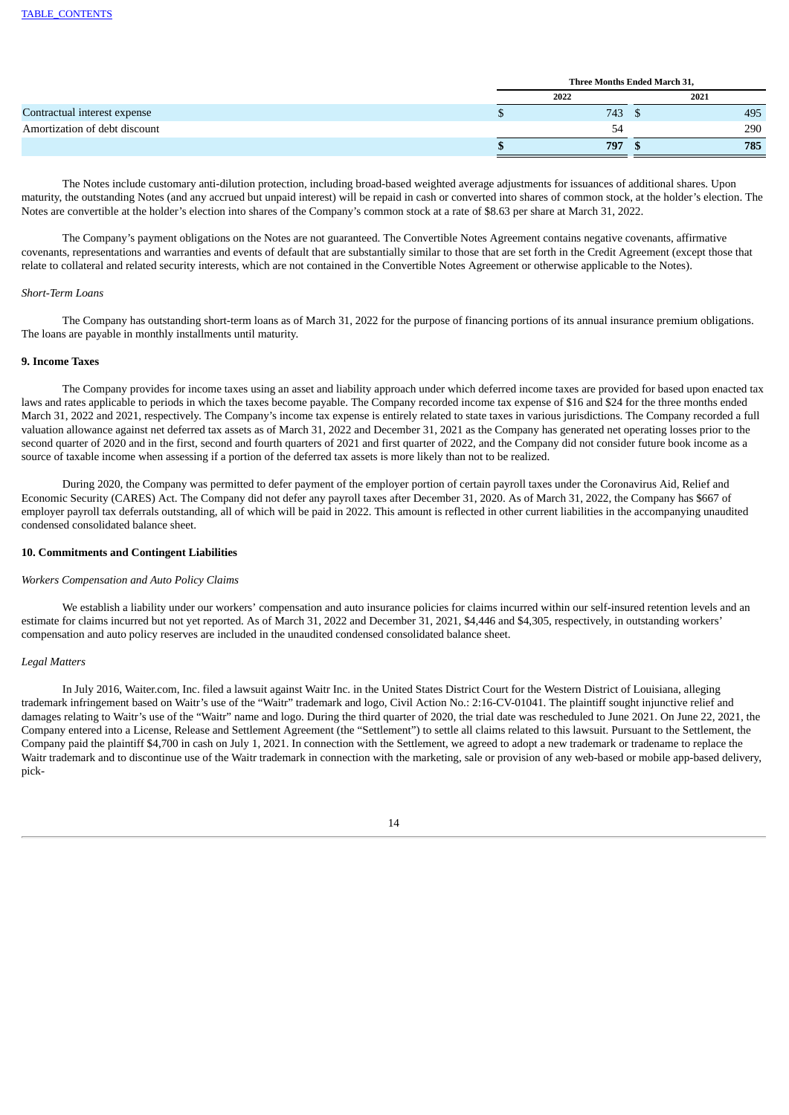|                               | Three Months Ended March 31, |      |  |      |  |  |
|-------------------------------|------------------------------|------|--|------|--|--|
|                               |                              | 2022 |  | 2021 |  |  |
| Contractual interest expense  |                              | 743  |  | 495  |  |  |
| Amortization of debt discount |                              | 54   |  | 290  |  |  |
|                               |                              | 797  |  | 785  |  |  |

The Notes include customary anti-dilution protection, including broad-based weighted average adjustments for issuances of additional shares. Upon maturity, the outstanding Notes (and any accrued but unpaid interest) will be repaid in cash or converted into shares of common stock, at the holder's election. The Notes are convertible at the holder's election into shares of the Company's common stock at a rate of \$8.63 per share at March 31, 2022.

The Company's payment obligations on the Notes are not guaranteed. The Convertible Notes Agreement contains negative covenants, affirmative covenants, representations and warranties and events of default that are substantially similar to those that are set forth in the Credit Agreement (except those that relate to collateral and related security interests, which are not contained in the Convertible Notes Agreement or otherwise applicable to the Notes).

#### *Short-Term Loans*

The Company has outstanding short-term loans as of March 31, 2022 for the purpose of financing portions of its annual insurance premium obligations. The loans are payable in monthly installments until maturity.

# **9. Income Taxes**

The Company provides for income taxes using an asset and liability approach under which deferred income taxes are provided for based upon enacted tax laws and rates applicable to periods in which the taxes become payable. The Company recorded income tax expense of \$16 and \$24 for the three months ended March 31, 2022 and 2021, respectively. The Company's income tax expense is entirely related to state taxes in various jurisdictions. The Company recorded a full valuation allowance against net deferred tax assets as of March 31, 2022 and December 31, 2021 as the Company has generated net operating losses prior to the second quarter of 2020 and in the first, second and fourth quarters of 2021 and first quarter of 2022, and the Company did not consider future book income as a source of taxable income when assessing if a portion of the deferred tax assets is more likely than not to be realized.

During 2020, the Company was permitted to defer payment of the employer portion of certain payroll taxes under the Coronavirus Aid, Relief and Economic Security (CARES) Act. The Company did not defer any payroll taxes after December 31, 2020. As of March 31, 2022, the Company has \$667 of employer payroll tax deferrals outstanding, all of which will be paid in 2022. This amount is reflected in other current liabilities in the accompanying unaudited condensed consolidated balance sheet.

#### **10. Commitments and Contingent Liabilities**

#### *Workers Compensation and Auto Policy Claims*

We establish a liability under our workers' compensation and auto insurance policies for claims incurred within our self-insured retention levels and an estimate for claims incurred but not yet reported. As of March 31, 2022 and December 31, 2021, \$4,446 and \$4,305, respectively, in outstanding workers' compensation and auto policy reserves are included in the unaudited condensed consolidated balance sheet.

### *Legal Matters*

In July 2016, Waiter.com, Inc. filed a lawsuit against Waitr Inc. in the United States District Court for the Western District of Louisiana, alleging trademark infringement based on Waitr's use of the "Waitr" trademark and logo, Civil Action No.: 2:16-CV-01041. The plaintiff sought injunctive relief and damages relating to Waitr's use of the "Waitr" name and logo. During the third quarter of 2020, the trial date was rescheduled to June 2021. On June 22, 2021, the Company entered into a License, Release and Settlement Agreement (the "Settlement") to settle all claims related to this lawsuit. Pursuant to the Settlement, the Company paid the plaintiff \$4,700 in cash on July 1, 2021. In connection with the Settlement, we agreed to adopt a new trademark or tradename to replace the Waitr trademark and to discontinue use of the Waitr trademark in connection with the marketing, sale or provision of any web-based or mobile app-based delivery, pick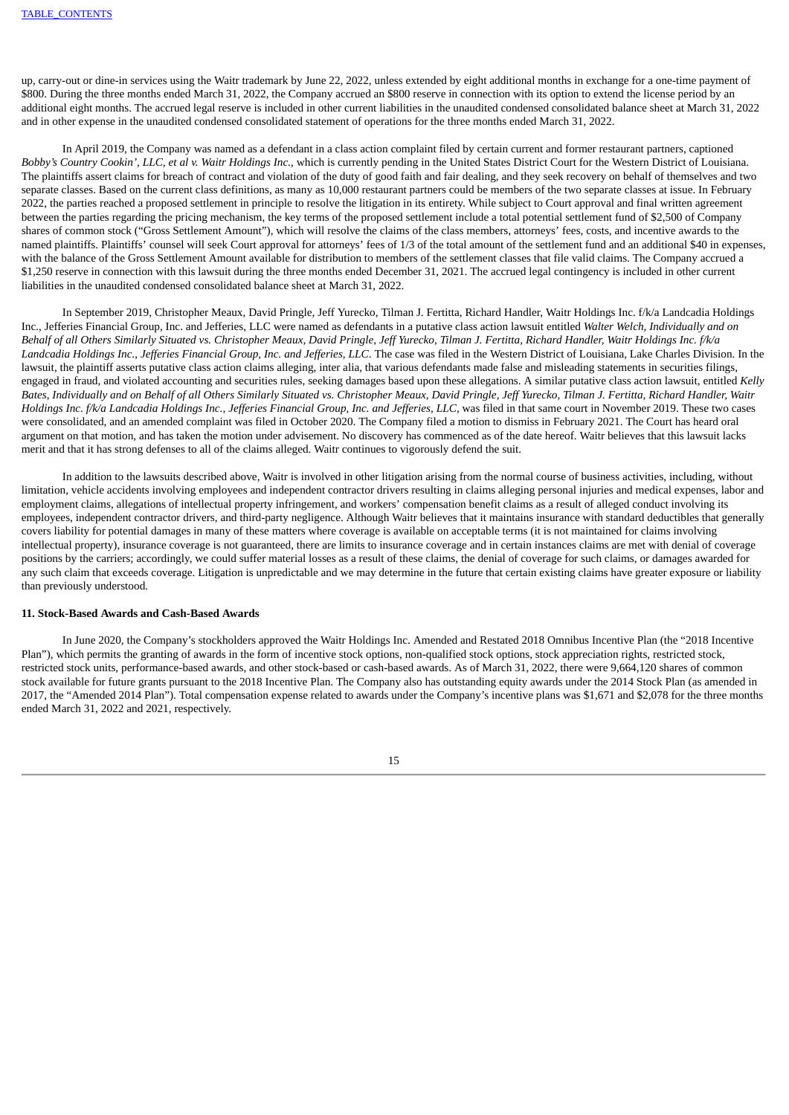up, carry-out or dine-in services using the Waitr trademark by June 22, 2022, unless extended by eight additional months in exchange for a one-time payment of \$800. During the three months ended March 31, 2022, the Company accrued an \$800 reserve in connection with its option to extend the license period by an additional eight months. The accrued legal reserve is included in other current liabilities in the unaudited condensed consolidated balance sheet at March 31, 2022 and in other expense in the unaudited condensed consolidated statement of operations for the three months ended March 31, 2022.

In April 2019, the Company was named as a defendant in a class action complaint filed by certain current and former restaurant partners, captioned Bobby's Country Cookin', LLC, et al v. Waitr Holdings Inc., which is currently pending in the United States District Court for the Western District of Louisiana. The plaintiffs assert claims for breach of contract and violation of the duty of good faith and fair dealing, and they seek recovery on behalf of themselves and two separate classes. Based on the current class definitions, as many as 10,000 restaurant partners could be members of the two separate classes at issue. In February 2022, the parties reached a proposed settlement in principle to resolve the litigation in its entirety. While subject to Court approval and final written agreement between the parties regarding the pricing mechanism, the key terms of the proposed settlement include a total potential settlement fund of \$2,500 of Company shares of common stock ("Gross Settlement Amount"), which will resolve the claims of the class members, attorneys' fees, costs, and incentive awards to the named plaintiffs. Plaintiffs' counsel will seek Court approval for attorneys' fees of 1/3 of the total amount of the settlement fund and an additional \$40 in expenses, with the balance of the Gross Settlement Amount available for distribution to members of the settlement classes that file valid claims. The Company accrued a \$1,250 reserve in connection with this lawsuit during the three months ended December 31, 2021. The accrued legal contingency is included in other current liabilities in the unaudited condensed consolidated balance sheet at March 31, 2022.

In September 2019, Christopher Meaux, David Pringle, Jeff Yurecko, Tilman J. Fertitta, Richard Handler, Waitr Holdings Inc. f/k/a Landcadia Holdings Inc., Jefferies Financial Group, Inc. and Jefferies, LLC were named as defendants in a putative class action lawsuit entitled *Walter Welch, Individually and on* Behalf of all Others Similarly Situated vs. Christopher Meaux, David Pringle, Jeff Yurecko, Tilman J. Fertitta, Richard Handler, Waitr Holdings Inc. f/k/a Landcadia Holdings Inc., Jefferies Financial Group, Inc. and Jefferies, LLC. The case was filed in the Western District of Louisiana, Lake Charles Division. In the lawsuit, the plaintiff asserts putative class action claims alleging, inter alia, that various defendants made false and misleading statements in securities filings, engaged in fraud, and violated accounting and securities rules, seeking damages based upon these allegations. A similar putative class action lawsuit, entitled *Kelly* Bates, Individually and on Behalf of all Others Similarly Situated vs. Christopher Meaux, David Pringle, Jeff Yurecko, Tilman J. Fertitta, Richard Handler, Waitr Holdings Inc. f/k/a Landcadia Holdings Inc., Jefferies Financial Group, Inc. and Jefferies, LLC, was filed in that same court in November 2019. These two cases were consolidated, and an amended complaint was filed in October 2020. The Company filed a motion to dismiss in February 2021. The Court has heard oral argument on that motion, and has taken the motion under advisement. No discovery has commenced as of the date hereof. Waitr believes that this lawsuit lacks merit and that it has strong defenses to all of the claims alleged. Waitr continues to vigorously defend the suit.

In addition to the lawsuits described above, Waitr is involved in other litigation arising from the normal course of business activities, including, without limitation, vehicle accidents involving employees and independent contractor drivers resulting in claims alleging personal injuries and medical expenses, labor and employment claims, allegations of intellectual property infringement, and workers' compensation benefit claims as a result of alleged conduct involving its employees, independent contractor drivers, and third-party negligence. Although Waitr believes that it maintains insurance with standard deductibles that generally covers liability for potential damages in many of these matters where coverage is available on acceptable terms (it is not maintained for claims involving intellectual property), insurance coverage is not guaranteed, there are limits to insurance coverage and in certain instances claims are met with denial of coverage positions by the carriers; accordingly, we could suffer material losses as a result of these claims, the denial of coverage for such claims, or damages awarded for any such claim that exceeds coverage. Litigation is unpredictable and we may determine in the future that certain existing claims have greater exposure or liability than previously understood.

### **11. Stock-Based Awards and Cash-Based Awards**

In June 2020, the Company's stockholders approved the Waitr Holdings Inc. Amended and Restated 2018 Omnibus Incentive Plan (the "2018 Incentive Plan"), which permits the granting of awards in the form of incentive stock options, non-qualified stock options, stock appreciation rights, restricted stock, restricted stock units, performance-based awards, and other stock-based or cash-based awards. As of March 31, 2022, there were 9,664,120 shares of common stock available for future grants pursuant to the 2018 Incentive Plan. The Company also has outstanding equity awards under the 2014 Stock Plan (as amended in 2017, the "Amended 2014 Plan"). Total compensation expense related to awards under the Company's incentive plans was \$1,671 and \$2,078 for the three months ended March 31, 2022 and 2021, respectively.

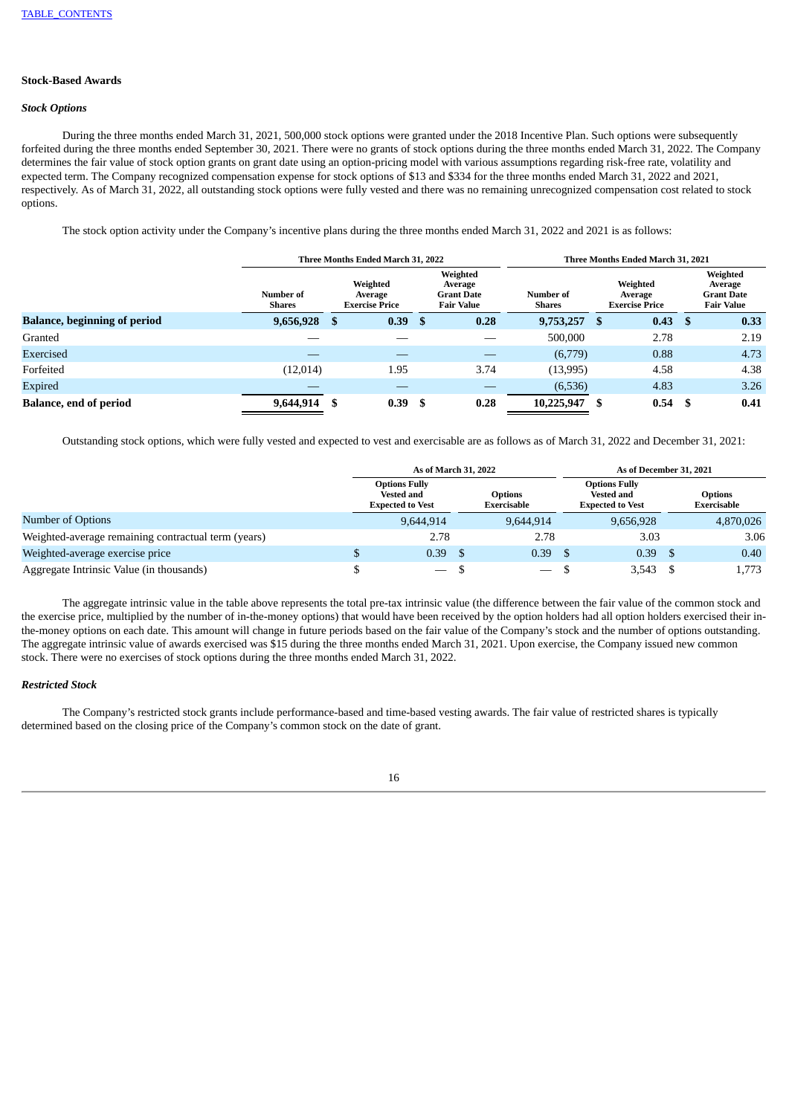# **Stock-Based Awards**

# *Stock Options*

During the three months ended March 31, 2021, 500,000 stock options were granted under the 2018 Incentive Plan. Such options were subsequently forfeited during the three months ended September 30, 2021. There were no grants of stock options during the three months ended March 31, 2022. The Company determines the fair value of stock option grants on grant date using an option-pricing model with various assumptions regarding risk-free rate, volatility and expected term. The Company recognized compensation expense for stock options of \$13 and \$334 for the three months ended March 31, 2022 and 2021, respectively. As of March 31, 2022, all outstanding stock options were fully vested and there was no remaining unrecognized compensation cost related to stock options.

The stock option activity under the Company's incentive plans during the three months ended March 31, 2022 and 2021 is as follows:

|                                     |                            |   | Three Months Ended March 31, 2022            |    |                                                               | Three Months Ended March 31, 2021 |    |                                              |          |                                                               |  |
|-------------------------------------|----------------------------|---|----------------------------------------------|----|---------------------------------------------------------------|-----------------------------------|----|----------------------------------------------|----------|---------------------------------------------------------------|--|
|                                     | Number of<br><b>Shares</b> |   | Weighted<br>Average<br><b>Exercise Price</b> |    | Weighted<br>Average<br><b>Grant Date</b><br><b>Fair Value</b> | Number of<br><b>Shares</b>        |    | Weighted<br>Average<br><b>Exercise Price</b> |          | Weighted<br>Average<br><b>Grant Date</b><br><b>Fair Value</b> |  |
| <b>Balance, beginning of period</b> | 9,656,928                  | S | 0.39                                         | -S | 0.28                                                          | 9,753,257                         | S  | 0.43                                         | <b>S</b> | 0.33                                                          |  |
| Granted                             |                            |   |                                              |    |                                                               | 500,000                           |    | 2.78                                         |          | 2.19                                                          |  |
| Exercised                           |                            |   |                                              |    |                                                               | (6,779)                           |    | 0.88                                         |          | 4.73                                                          |  |
| Forfeited                           | (12, 014)                  |   | 1.95                                         |    | 3.74                                                          | (13,995)                          |    | 4.58                                         |          | 4.38                                                          |  |
| Expired                             |                            |   |                                              |    |                                                               | (6,536)                           |    | 4.83                                         |          | 3.26                                                          |  |
| <b>Balance, end of period</b>       | 9,644,914                  |   | 0.39                                         | S  | 0.28                                                          | 10,225,947                        | \$ | 0.54                                         |          | 0.41                                                          |  |

Outstanding stock options, which were fully vested and expected to vest and exercisable are as follows as of March 31, 2022 and December 31, 2021:

|                                                     | As of March 31, 2022                                          |                                                    |                   |  | As of December 31, 2021                         |                               |           |  |
|-----------------------------------------------------|---------------------------------------------------------------|----------------------------------------------------|-------------------|--|-------------------------------------------------|-------------------------------|-----------|--|
|                                                     | <b>Options Fully</b><br>Vested and<br><b>Expected to Vest</b> | <b>Options</b><br><b>Vested and</b><br>Exercisable |                   |  | <b>Options Fully</b><br><b>Expected to Vest</b> | <b>Options</b><br>Exercisable |           |  |
| Number of Options                                   | 9,644,914                                                     |                                                    | 9,644,914         |  | 9,656,928                                       |                               | 4,870,026 |  |
| Weighted-average remaining contractual term (years) | 2.78                                                          |                                                    | 2.78              |  | 3.03                                            |                               | 3.06      |  |
| Weighted-average exercise price                     | 0.39                                                          |                                                    | 0.39              |  | 0.39                                            |                               | 0.40      |  |
| Aggregate Intrinsic Value (in thousands)            | $\hspace{0.1mm}-\hspace{0.1mm}$                               |                                                    | $\hspace{0.05cm}$ |  | 3,543                                           |                               | 1.773     |  |

The aggregate intrinsic value in the table above represents the total pre-tax intrinsic value (the difference between the fair value of the common stock and the exercise price, multiplied by the number of in-the-money options) that would have been received by the option holders had all option holders exercised their inthe-money options on each date. This amount will change in future periods based on the fair value of the Company's stock and the number of options outstanding. The aggregate intrinsic value of awards exercised was \$15 during the three months ended March 31, 2021. Upon exercise, the Company issued new common stock. There were no exercises of stock options during the three months ended March 31, 2022.

# *Restricted Stock*

The Company's restricted stock grants include performance-based and time-based vesting awards. The fair value of restricted shares is typically determined based on the closing price of the Company's common stock on the date of grant.

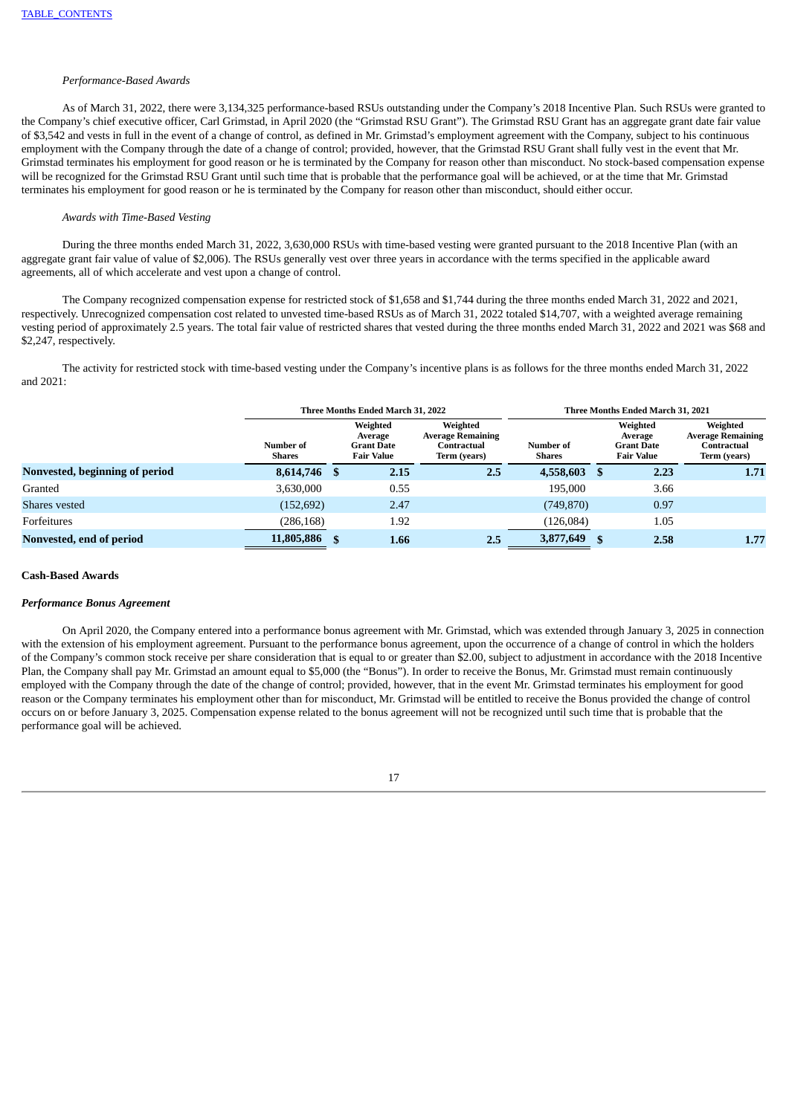#### *Performance-Based Awards*

As of March 31, 2022, there were 3,134,325 performance-based RSUs outstanding under the Company's 2018 Incentive Plan. Such RSUs were granted to the Company's chief executive officer, Carl Grimstad, in April 2020 (the "Grimstad RSU Grant"). The Grimstad RSU Grant has an aggregate grant date fair value of \$3,542 and vests in full in the event of a change of control, as defined in Mr. Grimstad's employment agreement with the Company, subject to his continuous employment with the Company through the date of a change of control; provided, however, that the Grimstad RSU Grant shall fully vest in the event that Mr. Grimstad terminates his employment for good reason or he is terminated by the Company for reason other than misconduct. No stock-based compensation expense will be recognized for the Grimstad RSU Grant until such time that is probable that the performance goal will be achieved, or at the time that Mr. Grimstad terminates his employment for good reason or he is terminated by the Company for reason other than misconduct, should either occur.

#### *Awards with Time-Based Vesting*

During the three months ended March 31, 2022, 3,630,000 RSUs with time-based vesting were granted pursuant to the 2018 Incentive Plan (with an aggregate grant fair value of value of \$2,006). The RSUs generally vest over three years in accordance with the terms specified in the applicable award agreements, all of which accelerate and vest upon a change of control.

The Company recognized compensation expense for restricted stock of \$1,658 and \$1,744 during the three months ended March 31, 2022 and 2021, respectively. Unrecognized compensation cost related to unvested time-based RSUs as of March 31, 2022 totaled \$14,707, with a weighted average remaining vesting period of approximately 2.5 years. The total fair value of restricted shares that vested during the three months ended March 31, 2022 and 2021 was \$68 and \$2,247, respectively.

The activity for restricted stock with time-based vesting under the Company's incentive plans is as follows for the three months ended March 31, 2022 and 2021:

|                                |                     |     | Three Months Ended March 31, 2022                             |                                                                     | Three Months Ended March 31, 2021 |   |                                                               |                                                                     |  |  |
|--------------------------------|---------------------|-----|---------------------------------------------------------------|---------------------------------------------------------------------|-----------------------------------|---|---------------------------------------------------------------|---------------------------------------------------------------------|--|--|
|                                | Number of<br>Shares |     | Weighted<br>Average<br><b>Grant Date</b><br><b>Fair Value</b> | Weighted<br><b>Average Remaining</b><br>Contractual<br>Term (years) | Number of<br><b>Shares</b>        |   | Weighted<br>Average<br><b>Grant Date</b><br><b>Fair Value</b> | Weighted<br><b>Average Remaining</b><br>Contractual<br>Term (years) |  |  |
| Nonvested, beginning of period | 8,614,746           | - 5 | 2.15                                                          | 2.5                                                                 | 4,558,603                         | S | 2.23                                                          | 1.71                                                                |  |  |
| Granted                        | 3,630,000           |     | 0.55                                                          |                                                                     | 195,000                           |   | 3.66                                                          |                                                                     |  |  |
| Shares vested                  | (152, 692)          |     | 2.47                                                          |                                                                     | (749, 870)                        |   | 0.97                                                          |                                                                     |  |  |
| Forfeitures                    | (286, 168)          |     | 1.92                                                          |                                                                     | (126,084)                         |   | 1.05                                                          |                                                                     |  |  |
| Nonvested, end of period       | 11,805,886          |     | 1.66                                                          | 2.5                                                                 | 3,877,649                         |   | 2.58                                                          | 1.77                                                                |  |  |

#### **Cash-Based Awards**

#### *Performance Bonus Agreement*

On April 2020, the Company entered into a performance bonus agreement with Mr. Grimstad, which was extended through January 3, 2025 in connection with the extension of his employment agreement. Pursuant to the performance bonus agreement, upon the occurrence of a change of control in which the holders of the Company's common stock receive per share consideration that is equal to or greater than \$2.00, subject to adjustment in accordance with the 2018 Incentive Plan, the Company shall pay Mr. Grimstad an amount equal to \$5,000 (the "Bonus"). In order to receive the Bonus, Mr. Grimstad must remain continuously employed with the Company through the date of the change of control; provided, however, that in the event Mr. Grimstad terminates his employment for good reason or the Company terminates his employment other than for misconduct, Mr. Grimstad will be entitled to receive the Bonus provided the change of control occurs on or before January 3, 2025. Compensation expense related to the bonus agreement will not be recognized until such time that is probable that the performance goal will be achieved.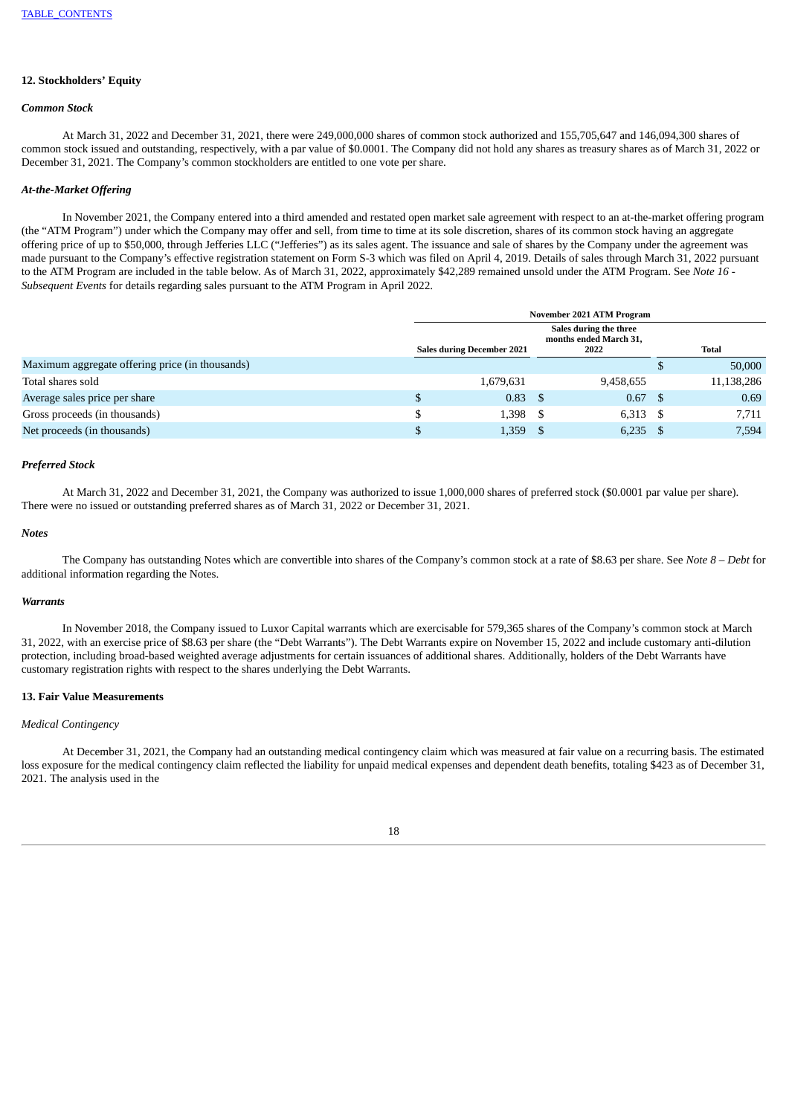# **12. Stockholders' Equity**

# *Common Stock*

At March 31, 2022 and December 31, 2021, there were 249,000,000 shares of common stock authorized and 155,705,647 and 146,094,300 shares of common stock issued and outstanding, respectively, with a par value of \$0.0001. The Company did not hold any shares as treasury shares as of March 31, 2022 or December 31, 2021. The Company's common stockholders are entitled to one vote per share.

# *At-the-Market Offering*

In November 2021, the Company entered into a third amended and restated open market sale agreement with respect to an at-the-market offering program (the "ATM Program") under which the Company may offer and sell, from time to time at its sole discretion, shares of its common stock having an aggregate offering price of up to \$50,000, through Jefferies LLC ("Jefferies") as its sales agent. The issuance and sale of shares by the Company under the agreement was made pursuant to the Company's effective registration statement on Form S-3 which was filed on April 4, 2019. Details of sales through March 31, 2022 pursuant to the ATM Program are included in the table below. As of March 31, 2022, approximately \$42,289 remained unsold under the ATM Program. See *Note 16 - Subsequent Events* for details regarding sales pursuant to the ATM Program in April 2022.

|                                                 | November 2021 ATM Program |                                   |  |                                                          |  |            |  |  |  |
|-------------------------------------------------|---------------------------|-----------------------------------|--|----------------------------------------------------------|--|------------|--|--|--|
|                                                 |                           | <b>Sales during December 2021</b> |  | Sales during the three<br>months ended March 31,<br>2022 |  | Total      |  |  |  |
| Maximum aggregate offering price (in thousands) |                           |                                   |  |                                                          |  | 50,000     |  |  |  |
| Total shares sold                               |                           | 1,679,631                         |  | 9,458,655                                                |  | 11,138,286 |  |  |  |
| Average sales price per share                   |                           | $0.83 \quad$ \$                   |  | $0.67$ \$                                                |  | 0.69       |  |  |  |
| Gross proceeds (in thousands)                   |                           | 1,398                             |  | $6,313$ \$                                               |  | 7.711      |  |  |  |
| Net proceeds (in thousands)                     |                           | 1,359                             |  | 6,235                                                    |  | 7,594      |  |  |  |

#### *Preferred Stock*

At March 31, 2022 and December 31, 2021, the Company was authorized to issue 1,000,000 shares of preferred stock (\$0.0001 par value per share). There were no issued or outstanding preferred shares as of March 31, 2022 or December 31, 2021.

### *Notes*

The Company has outstanding Notes which are convertible into shares of the Company's common stock at a rate of \$8.63 per share. See *Note 8 – Debt* for additional information regarding the Notes.

#### *Warrants*

In November 2018, the Company issued to Luxor Capital warrants which are exercisable for 579,365 shares of the Company's common stock at March 31, 2022, with an exercise price of \$8.63 per share (the "Debt Warrants"). The Debt Warrants expire on November 15, 2022 and include customary anti-dilution protection, including broad-based weighted average adjustments for certain issuances of additional shares. Additionally, holders of the Debt Warrants have customary registration rights with respect to the shares underlying the Debt Warrants.

#### **13. Fair Value Measurements**

#### *Medical Contingency*

At December 31, 2021, the Company had an outstanding medical contingency claim which was measured at fair value on a recurring basis. The estimated loss exposure for the medical contingency claim reflected the liability for unpaid medical expenses and dependent death benefits, totaling \$423 as of December 31, 2021. The analysis used in the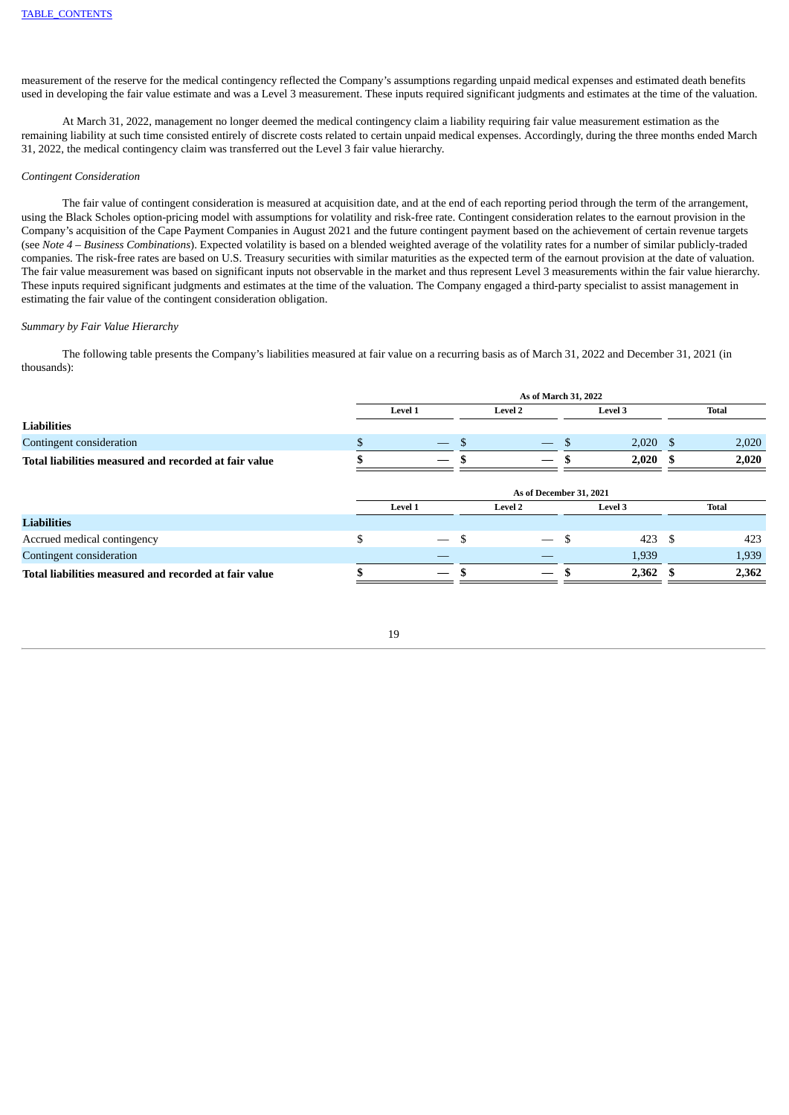measurement of the reserve for the medical contingency reflected the Company's assumptions regarding unpaid medical expenses and estimated death benefits used in developing the fair value estimate and was a Level 3 measurement. These inputs required significant judgments and estimates at the time of the valuation.

At March 31, 2022, management no longer deemed the medical contingency claim a liability requiring fair value measurement estimation as the remaining liability at such time consisted entirely of discrete costs related to certain unpaid medical expenses. Accordingly, during the three months ended March 31, 2022, the medical contingency claim was transferred out the Level 3 fair value hierarchy.

#### *Contingent Consideration*

The fair value of contingent consideration is measured at acquisition date, and at the end of each reporting period through the term of the arrangement, using the Black Scholes option-pricing model with assumptions for volatility and risk-free rate. Contingent consideration relates to the earnout provision in the Company's acquisition of the Cape Payment Companies in August 2021 and the future contingent payment based on the achievement of certain revenue targets (see *Note 4 – Business Combinations*). Expected volatility is based on a blended weighted average of the volatility rates for a number of similar publicly-traded companies. The risk-free rates are based on U.S. Treasury securities with similar maturities as the expected term of the earnout provision at the date of valuation. The fair value measurement was based on significant inputs not observable in the market and thus represent Level 3 measurements within the fair value hierarchy. These inputs required significant judgments and estimates at the time of the valuation. The Company engaged a third-party specialist to assist management in estimating the fair value of the contingent consideration obligation.

### *Summary by Fair Value Hierarchy*

The following table presents the Company's liabilities measured at fair value on a recurring basis as of March 31, 2022 and December 31, 2021 (in thousands):

|                                                       | As of March 31, 2022    |                          |    |                          |      |            |     |              |  |
|-------------------------------------------------------|-------------------------|--------------------------|----|--------------------------|------|------------|-----|--------------|--|
|                                                       |                         | Level 1                  |    | Level 2                  |      | Level 3    |     | <b>Total</b> |  |
| <b>Liabilities</b>                                    |                         |                          |    |                          |      |            |     |              |  |
| Contingent consideration                              |                         | $\overline{\phantom{m}}$ |    | $\overline{\phantom{m}}$ |      | $2,020$ \$ |     | 2,020        |  |
| Total liabilities measured and recorded at fair value |                         |                          |    |                          |      | 2,020S     |     | 2,020        |  |
|                                                       | As of December 31, 2021 |                          |    |                          |      |            |     |              |  |
|                                                       |                         | Level 1                  |    | Level 2                  |      | Level 3    |     | <b>Total</b> |  |
| <b>Liabilities</b>                                    |                         |                          |    |                          |      |            |     |              |  |
| Accrued medical contingency                           | \$                      | $\overline{\phantom{a}}$ | \$ |                          | - \$ | 423        | -\$ | 423          |  |
| Contingent consideration                              |                         |                          |    |                          |      | 1,939      |     | 1,939        |  |
| Total liabilities measured and recorded at fair value |                         |                          |    | $\overline{\phantom{m}}$ |      | $2,362$ \$ |     | 2,362        |  |
|                                                       |                         |                          |    |                          |      |            |     |              |  |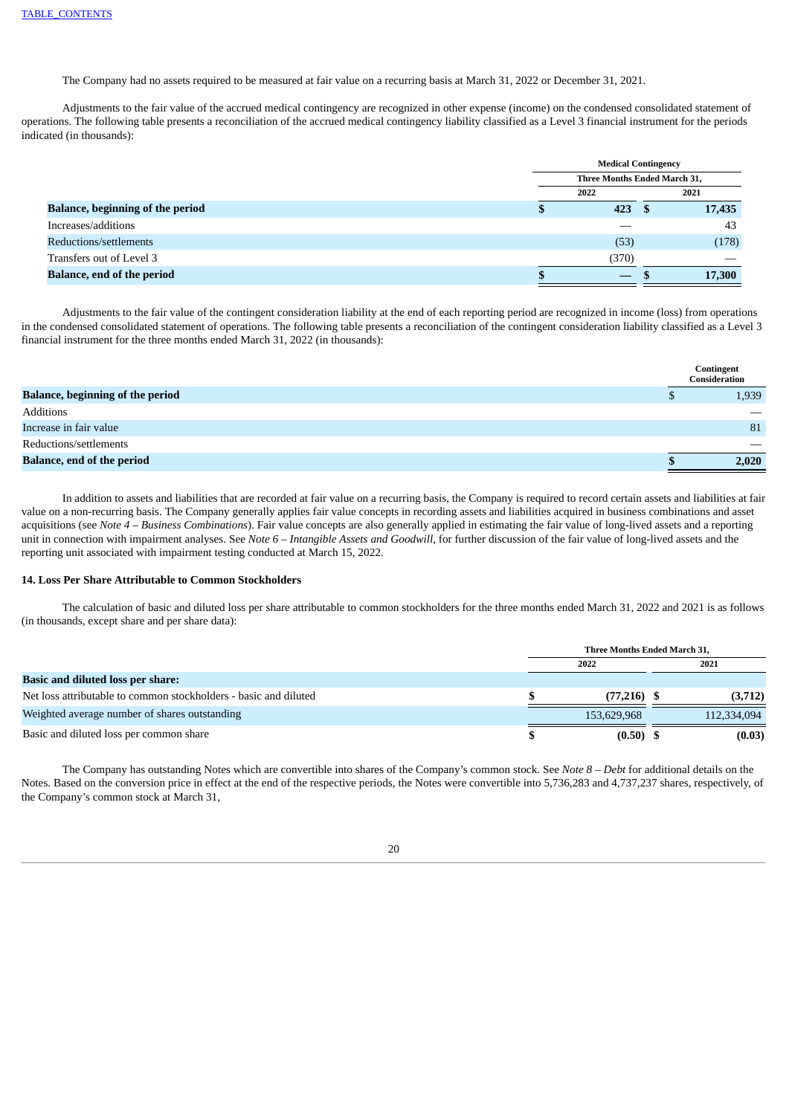The Company had no assets required to be measured at fair value on a recurring basis at March 31, 2022 or December 31, 2021.

Adjustments to the fair value of the accrued medical contingency are recognized in other expense (income) on the condensed consolidated statement of operations. The following table presents a reconciliation of the accrued medical contingency liability classified as a Level 3 financial instrument for the periods indicated (in thousands):

|  | <b>Medical Contingency</b><br>Three Months Ended March 31, |  |        |  |  |  |
|--|------------------------------------------------------------|--|--------|--|--|--|
|  |                                                            |  |        |  |  |  |
|  | 2022                                                       |  | 2021   |  |  |  |
|  | 423                                                        |  | 17,435 |  |  |  |
|  |                                                            |  | 43     |  |  |  |
|  | (53)                                                       |  | (178)  |  |  |  |
|  | (370)                                                      |  |        |  |  |  |
|  |                                                            |  | 17,300 |  |  |  |
|  |                                                            |  |        |  |  |  |

Adjustments to the fair value of the contingent consideration liability at the end of each reporting period are recognized in income (loss) from operations in the condensed consolidated statement of operations. The following table presents a reconciliation of the contingent consideration liability classified as a Level 3 financial instrument for the three months ended March 31, 2022 (in thousands):

|                                         |    | Contingent<br>Consideration |
|-----------------------------------------|----|-----------------------------|
| <b>Balance, beginning of the period</b> | æ. | 1,939                       |
| Additions                               |    |                             |
| Increase in fair value                  |    | 81                          |
| Reductions/settlements                  |    |                             |
| <b>Balance, end of the period</b>       |    | 2,020                       |

In addition to assets and liabilities that are recorded at fair value on a recurring basis, the Company is required to record certain assets and liabilities at fair value on a non-recurring basis. The Company generally applies fair value concepts in recording assets and liabilities acquired in business combinations and asset acquisitions (see *Note 4 – Business Combinations*). Fair value concepts are also generally applied in estimating the fair value of long-lived assets and a reporting unit in connection with impairment analyses. See *Note 6 – Intangible Assets and Goodwill*, for further discussion of the fair value of long-lived assets and the reporting unit associated with impairment testing conducted at March 15, 2022.

#### **14. Loss Per Share Attributable to Common Stockholders**

The calculation of basic and diluted loss per share attributable to common stockholders for the three months ended March 31, 2022 and 2021 is as follows (in thousands, except share and per share data):

|                                                                  | Three Months Ended March 31, |  |             |  |
|------------------------------------------------------------------|------------------------------|--|-------------|--|
|                                                                  | 2022                         |  | 2021        |  |
| <b>Basic and diluted loss per share:</b>                         |                              |  |             |  |
| Net loss attributable to common stockholders - basic and diluted | $(77,216)$ \$                |  | (3,712)     |  |
| Weighted average number of shares outstanding                    | 153,629,968                  |  | 112,334,094 |  |
| Basic and diluted loss per common share                          | $(0.50)$ \$                  |  | (0.03)      |  |

The Company has outstanding Notes which are convertible into shares of the Company's common stock. See *Note 8 – Debt* for additional details on the Notes. Based on the conversion price in effect at the end of the respective periods, the Notes were convertible into 5,736,283 and 4,737,237 shares, respectively, of the Company's common stock at March 31,

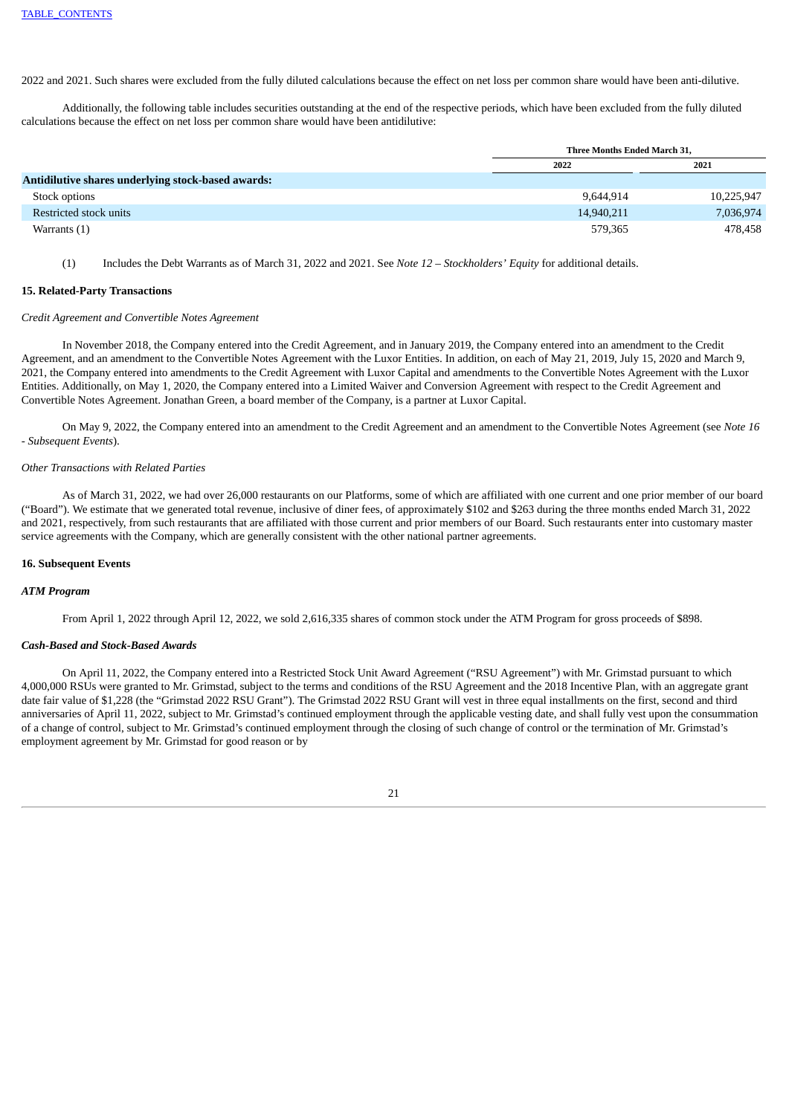2022 and 2021. Such shares were excluded from the fully diluted calculations because the effect on net loss per common share would have been anti-dilutive.

Additionally, the following table includes securities outstanding at the end of the respective periods, which have been excluded from the fully diluted calculations because the effect on net loss per common share would have been antidilutive:

|                                                    | Three Months Ended March 31, |            |  |  |
|----------------------------------------------------|------------------------------|------------|--|--|
|                                                    | 2022                         | 2021       |  |  |
| Antidilutive shares underlying stock-based awards: |                              |            |  |  |
| Stock options                                      | 9,644,914                    | 10,225,947 |  |  |
| Restricted stock units                             | 14,940,211                   | 7,036,974  |  |  |
| Warrants $(1)$                                     | 579,365                      | 478,458    |  |  |

(1) Includes the Debt Warrants as of March 31, 2022 and 2021. See *Note 12 – Stockholders' Equity* for additional details.

#### **15. Related-Party Transactions**

#### *Credit Agreement and Convertible Notes Agreement*

In November 2018, the Company entered into the Credit Agreement, and in January 2019, the Company entered into an amendment to the Credit Agreement, and an amendment to the Convertible Notes Agreement with the Luxor Entities. In addition, on each of May 21, 2019, July 15, 2020 and March 9, 2021, the Company entered into amendments to the Credit Agreement with Luxor Capital and amendments to the Convertible Notes Agreement with the Luxor Entities. Additionally, on May 1, 2020, the Company entered into a Limited Waiver and Conversion Agreement with respect to the Credit Agreement and Convertible Notes Agreement. Jonathan Green, a board member of the Company, is a partner at Luxor Capital.

On May 9, 2022, the Company entered into an amendment to the Credit Agreement and an amendment to the Convertible Notes Agreement (see *Note 16 - Subsequent Events*).

#### *Other Transactions with Related Parties*

As of March 31, 2022, we had over 26,000 restaurants on our Platforms, some of which are affiliated with one current and one prior member of our board ("Board"). We estimate that we generated total revenue, inclusive of diner fees, of approximately \$102 and \$263 during the three months ended March 31, 2022 and 2021, respectively, from such restaurants that are affiliated with those current and prior members of our Board. Such restaurants enter into customary master service agreements with the Company, which are generally consistent with the other national partner agreements.

#### **16. Subsequent Events**

#### *ATM Program*

From April 1, 2022 through April 12, 2022, we sold 2,616,335 shares of common stock under the ATM Program for gross proceeds of \$898.

#### *Cash-Based and Stock-Based Awards*

On April 11, 2022, the Company entered into a Restricted Stock Unit Award Agreement ("RSU Agreement") with Mr. Grimstad pursuant to which 4,000,000 RSUs were granted to Mr. Grimstad, subject to the terms and conditions of the RSU Agreement and the 2018 Incentive Plan, with an aggregate grant date fair value of \$1,228 (the "Grimstad 2022 RSU Grant"). The Grimstad 2022 RSU Grant will vest in three equal installments on the first, second and third anniversaries of April 11, 2022, subject to Mr. Grimstad's continued employment through the applicable vesting date, and shall fully vest upon the consummation of a change of control, subject to Mr. Grimstad's continued employment through the closing of such change of control or the termination of Mr. Grimstad's employment agreement by Mr. Grimstad for good reason or by

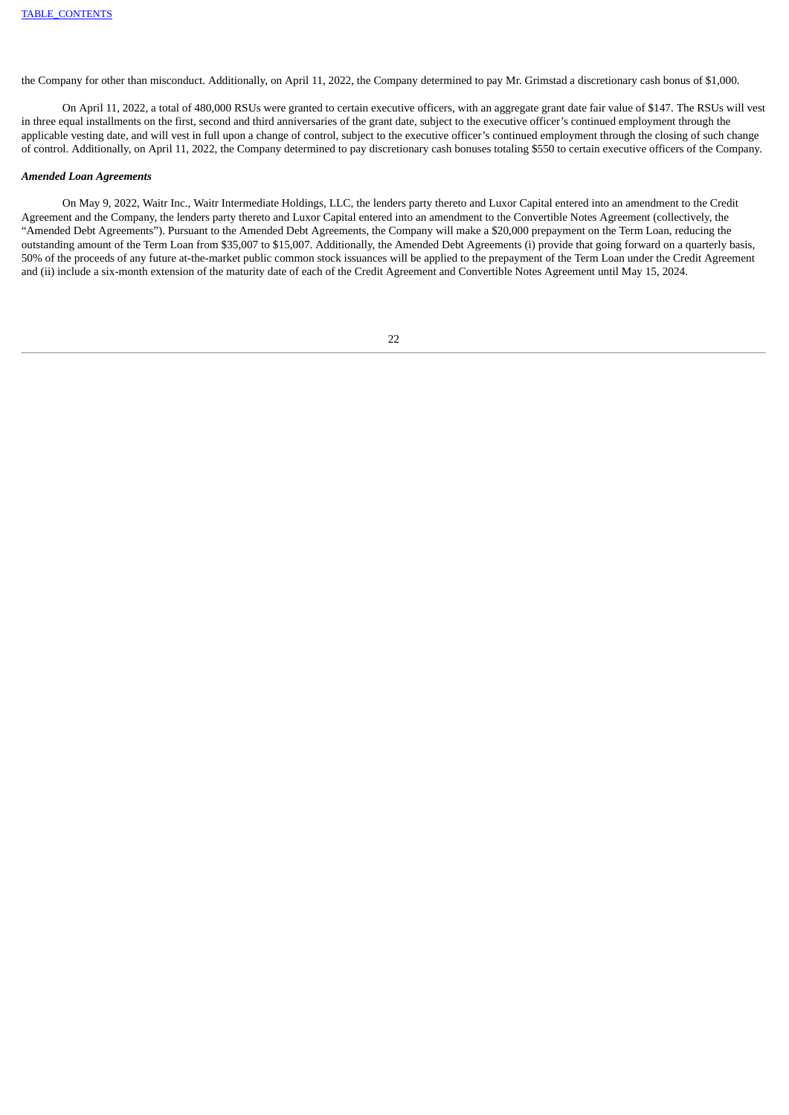the Company for other than misconduct. Additionally, on April 11, 2022, the Company determined to pay Mr. Grimstad a discretionary cash bonus of \$1,000.

On April 11, 2022, a total of 480,000 RSUs were granted to certain executive officers, with an aggregate grant date fair value of \$147. The RSUs will vest in three equal installments on the first, second and third anniversaries of the grant date, subject to the executive officer's continued employment through the applicable vesting date, and will vest in full upon a change of control, subject to the executive officer's continued employment through the closing of such change of control. Additionally, on April 11, 2022, the Company determined to pay discretionary cash bonuses totaling \$550 to certain executive officers of the Company.

#### *Amended Loan Agreements*

<span id="page-24-0"></span>On May 9, 2022, Waitr Inc., Waitr Intermediate Holdings, LLC, the lenders party thereto and Luxor Capital entered into an amendment to the Credit Agreement and the Company, the lenders party thereto and Luxor Capital entered into an amendment to the Convertible Notes Agreement (collectively, the "Amended Debt Agreements"). Pursuant to the Amended Debt Agreements, the Company will make a \$20,000 prepayment on the Term Loan, reducing the outstanding amount of the Term Loan from \$35,007 to \$15,007. Additionally, the Amended Debt Agreements (i) provide that going forward on a quarterly basis, 50% of the proceeds of any future at-the-market public common stock issuances will be applied to the prepayment of the Term Loan under the Credit Agreement and (ii) include a six-month extension of the maturity date of each of the Credit Agreement and Convertible Notes Agreement until May 15, 2024.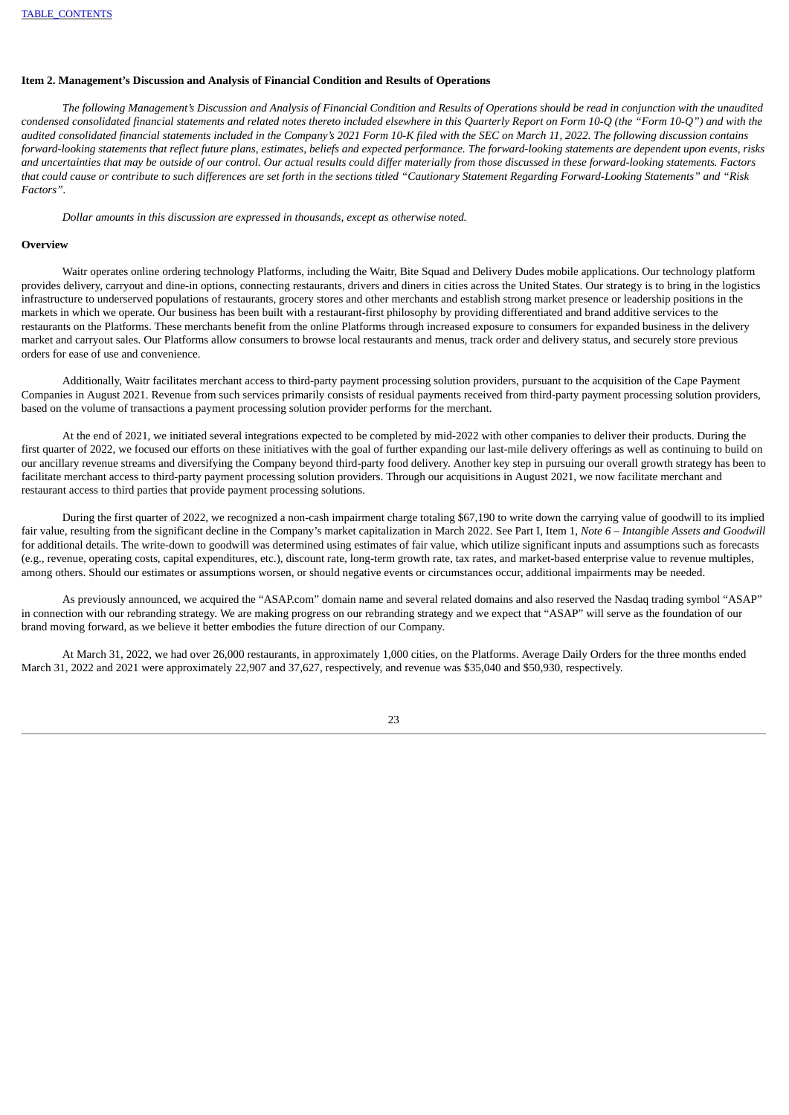# **Item 2. Management's Discussion and Analysis of Financial Condition and Results of Operations**

The following Management's Discussion and Analysis of Financial Condition and Results of Operations should be read in conjunction with the unaudited condensed consolidated financial statements and related notes thereto included elsewhere in this Quarterly Report on Form 10-Q (the "Form 10-Q") and with the audited consolidated financial statements included in the Company's 2021 Form 10-K filed with the SEC on March 11, 2022. The following discussion contains forward-looking statements that reflect future plans, estimates, beliefs and expected performance. The forward-looking statements are dependent upon events, risks and uncertainties that may be outside of our control. Our actual results could differ materially from those discussed in these forward-looking statements. Factors that could cause or contribute to such differences are set forth in the sections titled "Cautionary Statement Regarding Forward-Looking Statements" and "Risk *Factors".*

*Dollar amounts in this discussion are expressed in thousands, except as otherwise noted.*

#### **Overview**

Waitr operates online ordering technology Platforms, including the Waitr, Bite Squad and Delivery Dudes mobile applications. Our technology platform provides delivery, carryout and dine-in options, connecting restaurants, drivers and diners in cities across the United States. Our strategy is to bring in the logistics infrastructure to underserved populations of restaurants, grocery stores and other merchants and establish strong market presence or leadership positions in the markets in which we operate. Our business has been built with a restaurant-first philosophy by providing differentiated and brand additive services to the restaurants on the Platforms. These merchants benefit from the online Platforms through increased exposure to consumers for expanded business in the delivery market and carryout sales. Our Platforms allow consumers to browse local restaurants and menus, track order and delivery status, and securely store previous orders for ease of use and convenience.

Additionally, Waitr facilitates merchant access to third-party payment processing solution providers, pursuant to the acquisition of the Cape Payment Companies in August 2021. Revenue from such services primarily consists of residual payments received from third-party payment processing solution providers, based on the volume of transactions a payment processing solution provider performs for the merchant.

At the end of 2021, we initiated several integrations expected to be completed by mid-2022 with other companies to deliver their products. During the first quarter of 2022, we focused our efforts on these initiatives with the goal of further expanding our last-mile delivery offerings as well as continuing to build on our ancillary revenue streams and diversifying the Company beyond third-party food delivery. Another key step in pursuing our overall growth strategy has been to facilitate merchant access to third-party payment processing solution providers. Through our acquisitions in August 2021, we now facilitate merchant and restaurant access to third parties that provide payment processing solutions.

During the first quarter of 2022, we recognized a non-cash impairment charge totaling \$67,190 to write down the carrying value of goodwill to its implied fair value, resulting from the significant decline in the Company's market capitalization in March 2022. See Part I, Item 1, *Note 6 – Intangible Assets and Goodwill* for additional details. The write-down to goodwill was determined using estimates of fair value, which utilize significant inputs and assumptions such as forecasts (e.g., revenue, operating costs, capital expenditures, etc.), discount rate, long-term growth rate, tax rates, and market-based enterprise value to revenue multiples, among others. Should our estimates or assumptions worsen, or should negative events or circumstances occur, additional impairments may be needed.

As previously announced, we acquired the "ASAP.com" domain name and several related domains and also reserved the Nasdaq trading symbol "ASAP" in connection with our rebranding strategy. We are making progress on our rebranding strategy and we expect that "ASAP" will serve as the foundation of our brand moving forward, as we believe it better embodies the future direction of our Company.

At March 31, 2022, we had over 26,000 restaurants, in approximately 1,000 cities, on the Platforms. Average Daily Orders for the three months ended March 31, 2022 and 2021 were approximately 22,907 and 37,627, respectively, and revenue was \$35,040 and \$50,930, respectively.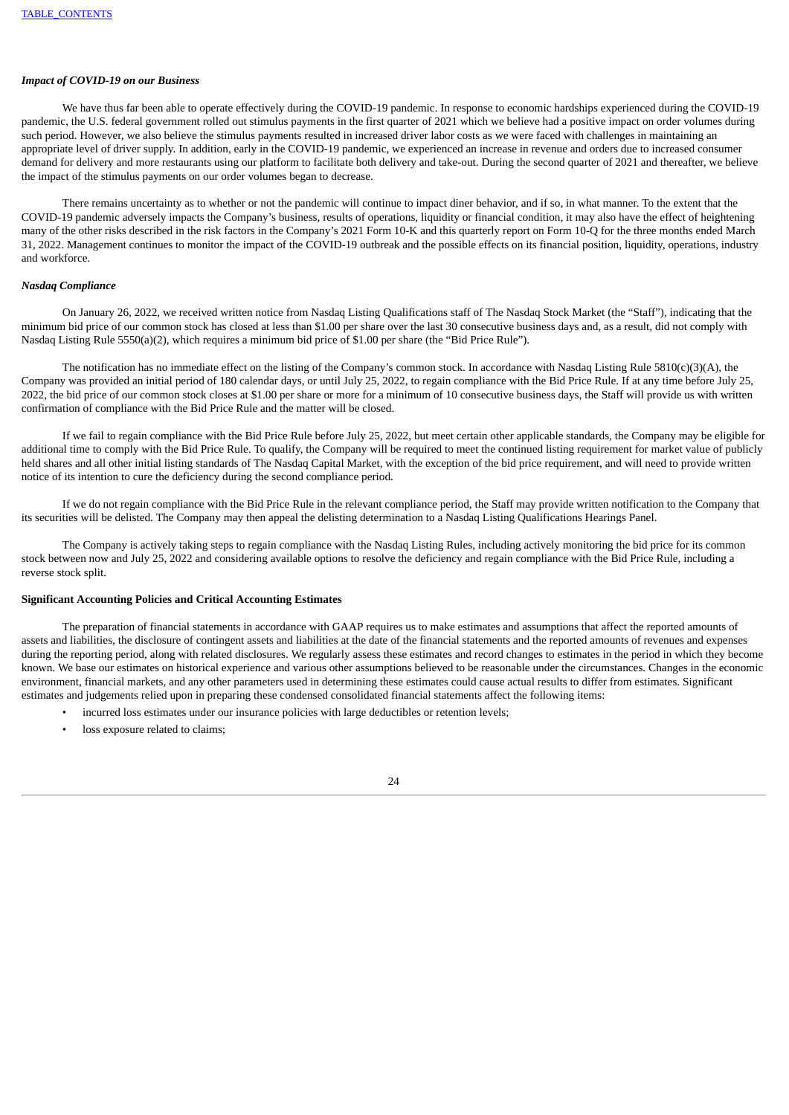# *Impact of COVID-19 on our Business*

We have thus far been able to operate effectively during the COVID-19 pandemic. In response to economic hardships experienced during the COVID-19 pandemic, the U.S. federal government rolled out stimulus payments in the first quarter of 2021 which we believe had a positive impact on order volumes during such period. However, we also believe the stimulus payments resulted in increased driver labor costs as we were faced with challenges in maintaining an appropriate level of driver supply. In addition, early in the COVID-19 pandemic, we experienced an increase in revenue and orders due to increased consumer demand for delivery and more restaurants using our platform to facilitate both delivery and take-out. During the second quarter of 2021 and thereafter, we believe the impact of the stimulus payments on our order volumes began to decrease.

There remains uncertainty as to whether or not the pandemic will continue to impact diner behavior, and if so, in what manner. To the extent that the COVID-19 pandemic adversely impacts the Company's business, results of operations, liquidity or financial condition, it may also have the effect of heightening many of the other risks described in the risk factors in the Company's 2021 Form 10-K and this quarterly report on Form 10-Q for the three months ended March 31, 2022. Management continues to monitor the impact of the COVID-19 outbreak and the possible effects on its financial position, liquidity, operations, industry and workforce.

# *Nasdaq Compliance*

On January 26, 2022, we received written notice from Nasdaq Listing Qualifications staff of The Nasdaq Stock Market (the "Staff"), indicating that the minimum bid price of our common stock has closed at less than \$1.00 per share over the last 30 consecutive business days and, as a result, did not comply with Nasdaq Listing Rule 5550(a)(2), which requires a minimum bid price of \$1.00 per share (the "Bid Price Rule").

The notification has no immediate effect on the listing of the Company's common stock. In accordance with Nasdaq Listing Rule 5810(c)(3)(A), the Company was provided an initial period of 180 calendar days, or until July 25, 2022, to regain compliance with the Bid Price Rule. If at any time before July 25, 2022, the bid price of our common stock closes at \$1.00 per share or more for a minimum of 10 consecutive business days, the Staff will provide us with written confirmation of compliance with the Bid Price Rule and the matter will be closed.

If we fail to regain compliance with the Bid Price Rule before July 25, 2022, but meet certain other applicable standards, the Company may be eligible for additional time to comply with the Bid Price Rule. To qualify, the Company will be required to meet the continued listing requirement for market value of publicly held shares and all other initial listing standards of The Nasdaq Capital Market, with the exception of the bid price requirement, and will need to provide written notice of its intention to cure the deficiency during the second compliance period.

If we do not regain compliance with the Bid Price Rule in the relevant compliance period, the Staff may provide written notification to the Company that its securities will be delisted. The Company may then appeal the delisting determination to a Nasdaq Listing Qualifications Hearings Panel.

The Company is actively taking steps to regain compliance with the Nasdaq Listing Rules, including actively monitoring the bid price for its common stock between now and July 25, 2022 and considering available options to resolve the deficiency and regain compliance with the Bid Price Rule, including a reverse stock split.

# **Significant Accounting Policies and Critical Accounting Estimates**

The preparation of financial statements in accordance with GAAP requires us to make estimates and assumptions that affect the reported amounts of assets and liabilities, the disclosure of contingent assets and liabilities at the date of the financial statements and the reported amounts of revenues and expenses during the reporting period, along with related disclosures. We regularly assess these estimates and record changes to estimates in the period in which they become known. We base our estimates on historical experience and various other assumptions believed to be reasonable under the circumstances. Changes in the economic environment, financial markets, and any other parameters used in determining these estimates could cause actual results to differ from estimates. Significant estimates and judgements relied upon in preparing these condensed consolidated financial statements affect the following items:

- incurred loss estimates under our insurance policies with large deductibles or retention levels;
- loss exposure related to claims: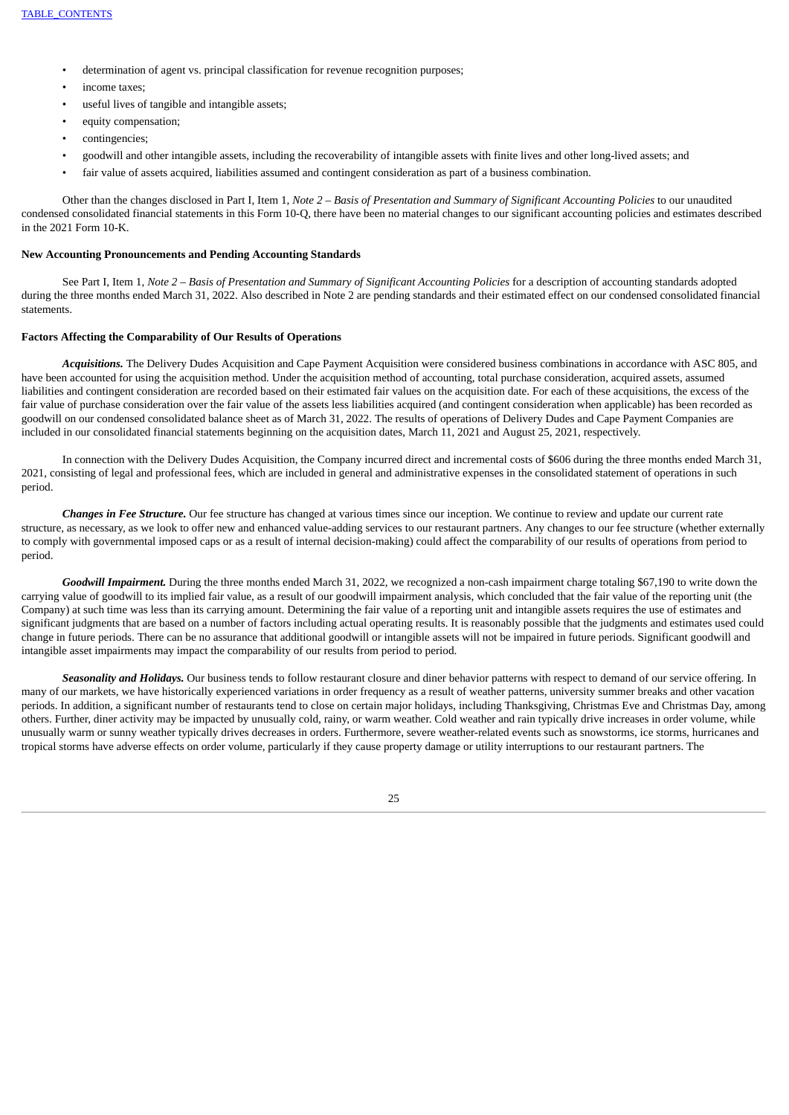- determination of agent vs. principal classification for revenue recognition purposes;
- income taxes;
- useful lives of tangible and intangible assets;
- equity compensation;
- contingencies;
- goodwill and other intangible assets, including the recoverability of intangible assets with finite lives and other long-lived assets; and
- fair value of assets acquired, liabilities assumed and contingent consideration as part of a business combination.

Other than the changes disclosed in Part I. Item 1, Note 2 – Basis of Presentation and Summary of Significant Accounting Policies to our unaudited condensed consolidated financial statements in this Form 10-Q, there have been no material changes to our significant accounting policies and estimates described in the 2021 Form 10-K.

### **New Accounting Pronouncements and Pending Accounting Standards**

See Part I, Item 1, Note 2 - Basis of Presentation and Summary of Significant Accounting Policies for a description of accounting standards adopted during the three months ended March 31, 2022. Also described in Note 2 are pending standards and their estimated effect on our condensed consolidated financial statements.

#### **Factors Affecting the Comparability of Our Results of Operations**

*Acquisitions.* The Delivery Dudes Acquisition and Cape Payment Acquisition were considered business combinations in accordance with ASC 805, and have been accounted for using the acquisition method. Under the acquisition method of accounting, total purchase consideration, acquired assets, assumed liabilities and contingent consideration are recorded based on their estimated fair values on the acquisition date. For each of these acquisitions, the excess of the fair value of purchase consideration over the fair value of the assets less liabilities acquired (and contingent consideration when applicable) has been recorded as goodwill on our condensed consolidated balance sheet as of March 31, 2022. The results of operations of Delivery Dudes and Cape Payment Companies are included in our consolidated financial statements beginning on the acquisition dates, March 11, 2021 and August 25, 2021, respectively.

In connection with the Delivery Dudes Acquisition, the Company incurred direct and incremental costs of \$606 during the three months ended March 31, 2021, consisting of legal and professional fees, which are included in general and administrative expenses in the consolidated statement of operations in such period.

*Changes in Fee Structure.* Our fee structure has changed at various times since our inception. We continue to review and update our current rate structure, as necessary, as we look to offer new and enhanced value-adding services to our restaurant partners. Any changes to our fee structure (whether externally to comply with governmental imposed caps or as a result of internal decision-making) could affect the comparability of our results of operations from period to period.

*Goodwill Impairment.* During the three months ended March 31, 2022, we recognized a non-cash impairment charge totaling \$67,190 to write down the carrying value of goodwill to its implied fair value, as a result of our goodwill impairment analysis, which concluded that the fair value of the reporting unit (the Company) at such time was less than its carrying amount. Determining the fair value of a reporting unit and intangible assets requires the use of estimates and significant judgments that are based on a number of factors including actual operating results. It is reasonably possible that the judgments and estimates used could change in future periods. There can be no assurance that additional goodwill or intangible assets will not be impaired in future periods. Significant goodwill and intangible asset impairments may impact the comparability of our results from period to period.

*Seasonality and Holidays.* Our business tends to follow restaurant closure and diner behavior patterns with respect to demand of our service offering. In many of our markets, we have historically experienced variations in order frequency as a result of weather patterns, university summer breaks and other vacation periods. In addition, a significant number of restaurants tend to close on certain major holidays, including Thanksgiving, Christmas Eve and Christmas Day, among others. Further, diner activity may be impacted by unusually cold, rainy, or warm weather. Cold weather and rain typically drive increases in order volume, while unusually warm or sunny weather typically drives decreases in orders. Furthermore, severe weather-related events such as snowstorms, ice storms, hurricanes and tropical storms have adverse effects on order volume, particularly if they cause property damage or utility interruptions to our restaurant partners. The

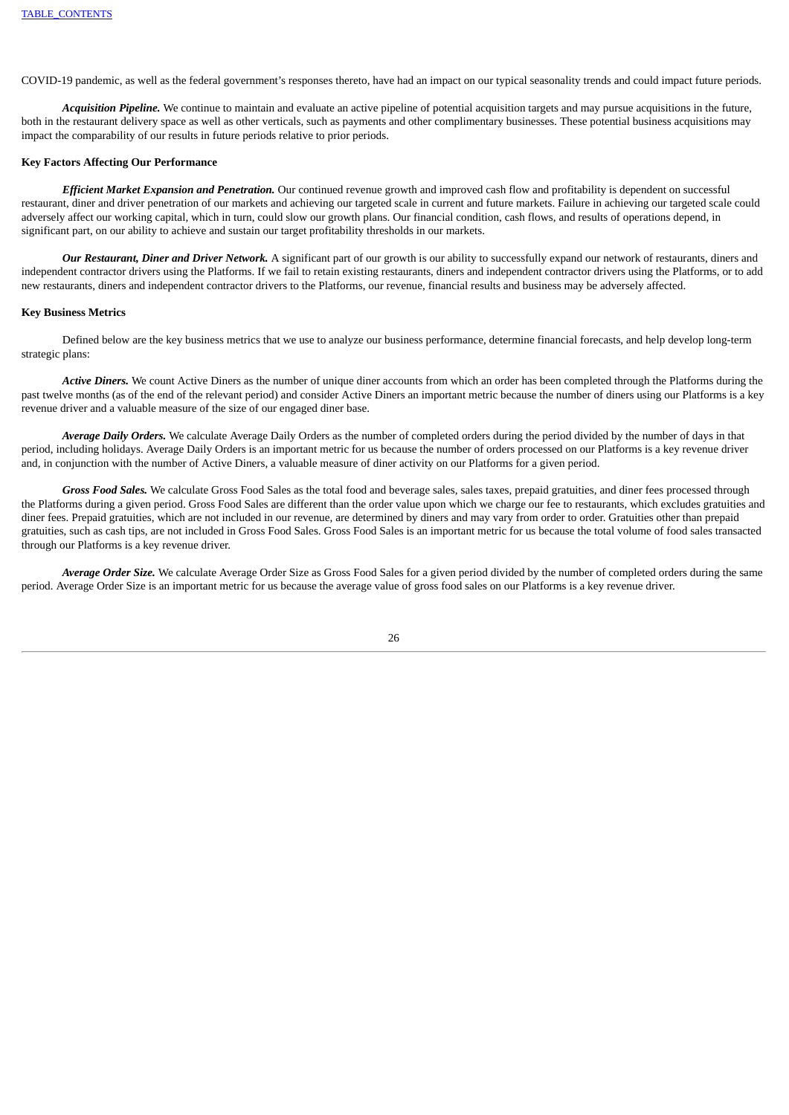COVID-19 pandemic, as well as the federal government's responses thereto, have had an impact on our typical seasonality trends and could impact future periods.

*Acquisition Pipeline.* We continue to maintain and evaluate an active pipeline of potential acquisition targets and may pursue acquisitions in the future, both in the restaurant delivery space as well as other verticals, such as payments and other complimentary businesses. These potential business acquisitions may impact the comparability of our results in future periods relative to prior periods.

#### **Key Factors Affecting Our Performance**

*Efficient Market Expansion and Penetration.* Our continued revenue growth and improved cash flow and profitability is dependent on successful restaurant, diner and driver penetration of our markets and achieving our targeted scale in current and future markets. Failure in achieving our targeted scale could adversely affect our working capital, which in turn, could slow our growth plans. Our financial condition, cash flows, and results of operations depend, in significant part, on our ability to achieve and sustain our target profitability thresholds in our markets.

*Our Restaurant, Diner and Driver Network.* A significant part of our growth is our ability to successfully expand our network of restaurants, diners and independent contractor drivers using the Platforms. If we fail to retain existing restaurants, diners and independent contractor drivers using the Platforms, or to add new restaurants, diners and independent contractor drivers to the Platforms, our revenue, financial results and business may be adversely affected.

### **Key Business Metrics**

Defined below are the key business metrics that we use to analyze our business performance, determine financial forecasts, and help develop long-term strategic plans:

*Active Diners.* We count Active Diners as the number of unique diner accounts from which an order has been completed through the Platforms during the past twelve months (as of the end of the relevant period) and consider Active Diners an important metric because the number of diners using our Platforms is a key revenue driver and a valuable measure of the size of our engaged diner base.

*Average Daily Orders.* We calculate Average Daily Orders as the number of completed orders during the period divided by the number of days in that period, including holidays. Average Daily Orders is an important metric for us because the number of orders processed on our Platforms is a key revenue driver and, in conjunction with the number of Active Diners, a valuable measure of diner activity on our Platforms for a given period.

*Gross Food Sales.* We calculate Gross Food Sales as the total food and beverage sales, sales taxes, prepaid gratuities, and diner fees processed through the Platforms during a given period. Gross Food Sales are different than the order value upon which we charge our fee to restaurants, which excludes gratuities and diner fees. Prepaid gratuities, which are not included in our revenue, are determined by diners and may vary from order to order. Gratuities other than prepaid gratuities, such as cash tips, are not included in Gross Food Sales. Gross Food Sales is an important metric for us because the total volume of food sales transacted through our Platforms is a key revenue driver.

*Average Order Size.* We calculate Average Order Size as Gross Food Sales for a given period divided by the number of completed orders during the same period. Average Order Size is an important metric for us because the average value of gross food sales on our Platforms is a key revenue driver.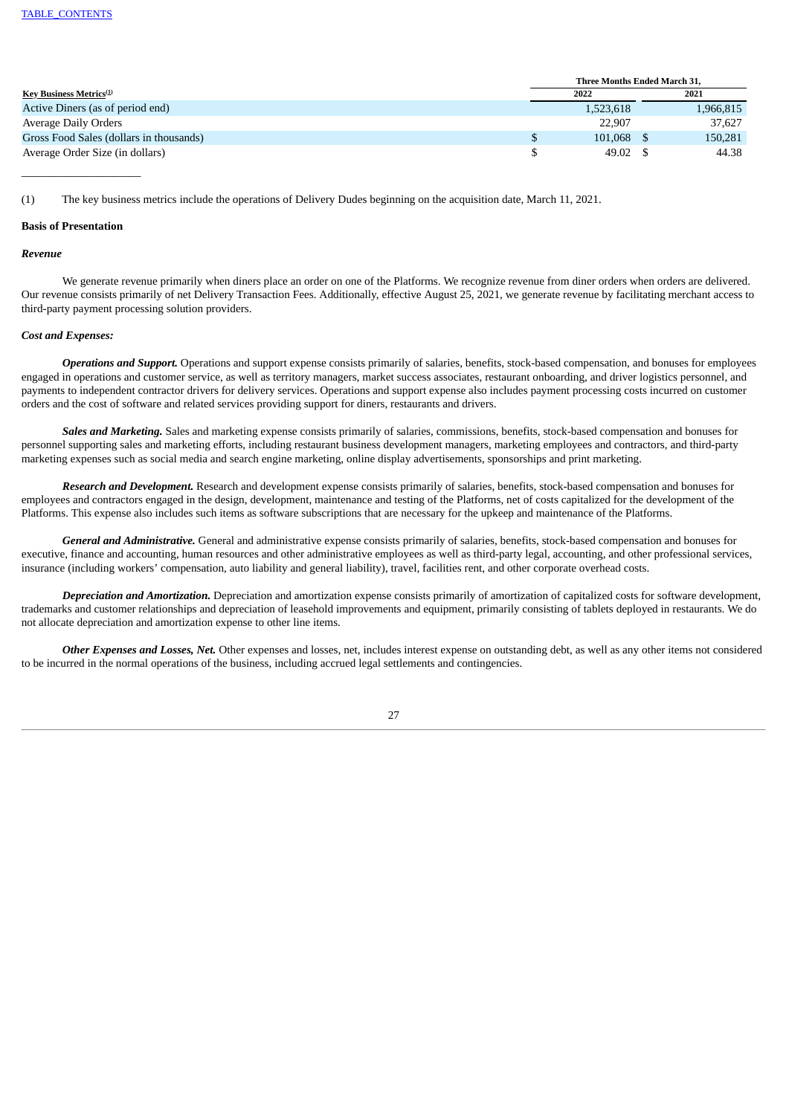|                                            | Three Months Ended March 31. |           |  |           |
|--------------------------------------------|------------------------------|-----------|--|-----------|
| <b>Key Business Metrics</b> <sup>(1)</sup> |                              | 2022      |  | 2021      |
| Active Diners (as of period end)           |                              | 1,523,618 |  | 1.966.815 |
| Average Daily Orders                       |                              | 22,907    |  | 37,627    |
| Gross Food Sales (dollars in thousands)    |                              | 101.068   |  | 150,281   |
| Average Order Size (in dollars)            |                              | 49.02     |  | 44.38     |

(1) The key business metrics include the operations of Delivery Dudes beginning on the acquisition date, March 11, 2021.

### **Basis of Presentation**

\_\_\_\_\_\_\_\_\_\_\_\_\_\_\_\_\_\_\_\_\_

### *Revenue*

We generate revenue primarily when diners place an order on one of the Platforms. We recognize revenue from diner orders when orders are delivered. Our revenue consists primarily of net Delivery Transaction Fees. Additionally, effective August 25, 2021, we generate revenue by facilitating merchant access to third-party payment processing solution providers.

#### *Cost and Expenses:*

*Operations and Support.* Operations and support expense consists primarily of salaries, benefits, stock-based compensation, and bonuses for employees engaged in operations and customer service, as well as territory managers, market success associates, restaurant onboarding, and driver logistics personnel, and payments to independent contractor drivers for delivery services. Operations and support expense also includes payment processing costs incurred on customer orders and the cost of software and related services providing support for diners, restaurants and drivers.

*Sales and Marketing.* Sales and marketing expense consists primarily of salaries, commissions, benefits, stock-based compensation and bonuses for personnel supporting sales and marketing efforts, including restaurant business development managers, marketing employees and contractors, and third-party marketing expenses such as social media and search engine marketing, online display advertisements, sponsorships and print marketing.

*Research and Development.* Research and development expense consists primarily of salaries, benefits, stock-based compensation and bonuses for employees and contractors engaged in the design, development, maintenance and testing of the Platforms, net of costs capitalized for the development of the Platforms. This expense also includes such items as software subscriptions that are necessary for the upkeep and maintenance of the Platforms.

*General and Administrative.* General and administrative expense consists primarily of salaries, benefits, stock-based compensation and bonuses for executive, finance and accounting, human resources and other administrative employees as well as third-party legal, accounting, and other professional services, insurance (including workers' compensation, auto liability and general liability), travel, facilities rent, and other corporate overhead costs.

*Depreciation and Amortization.* Depreciation and amortization expense consists primarily of amortization of capitalized costs for software development, trademarks and customer relationships and depreciation of leasehold improvements and equipment, primarily consisting of tablets deployed in restaurants. We do not allocate depreciation and amortization expense to other line items.

*Other Expenses and Losses, Net.* Other expenses and losses, net, includes interest expense on outstanding debt, as well as any other items not considered to be incurred in the normal operations of the business, including accrued legal settlements and contingencies.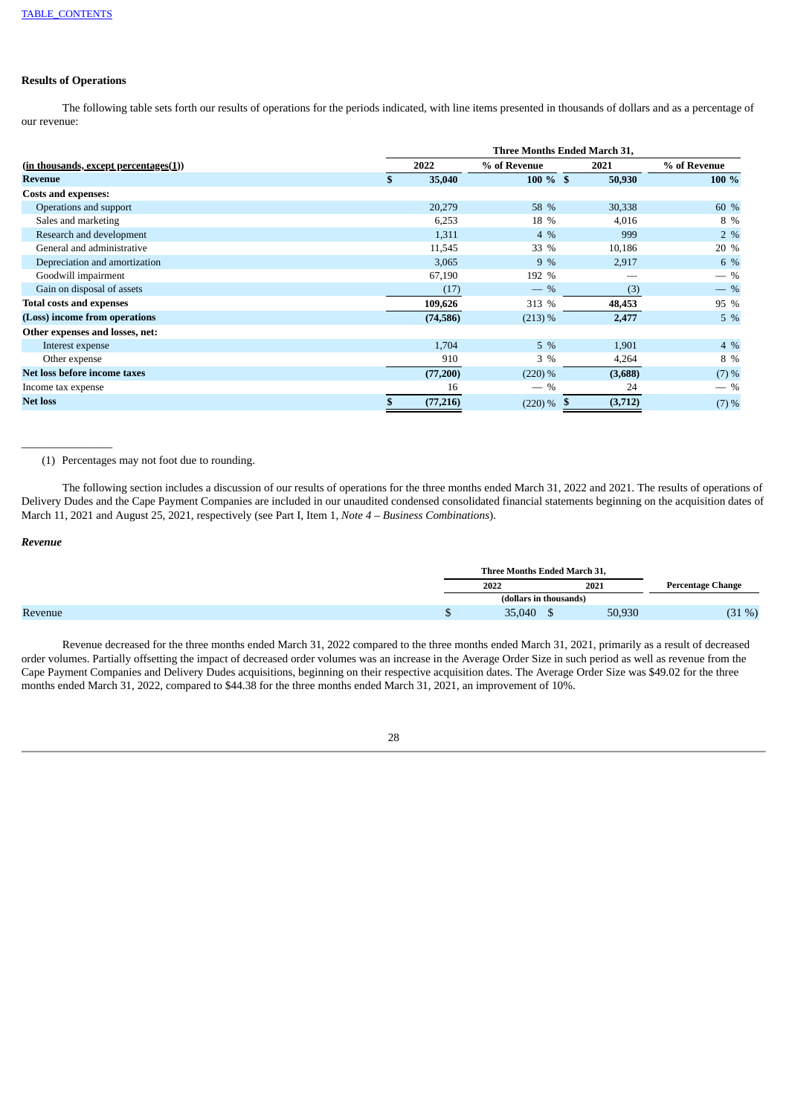# **Results of Operations**

The following table sets forth our results of operations for the periods indicated, with line items presented in thousands of dollars and as a percentage of our revenue:

|                                       | Three Months Ended March 31, |           |                    |         |                 |
|---------------------------------------|------------------------------|-----------|--------------------|---------|-----------------|
| (in thousands, except percentages(1)) | 2022                         |           | % of Revenue       | 2021    | % of Revenue    |
| <b>Revenue</b>                        | \$                           | 35,040    | $100 \%$ \$        | 50,930  | 100 %           |
| <b>Costs and expenses:</b>            |                              |           |                    |         |                 |
| Operations and support                |                              | 20,279    | 58 %               | 30,338  | 60 %            |
| Sales and marketing                   |                              | 6,253     | 18 %               | 4,016   | 8 %             |
| Research and development              |                              | 1,311     | $4\%$              | 999     | $2 \frac{9}{6}$ |
| General and administrative            |                              | 11,545    | 33 %               | 10,186  | 20 %            |
| Depreciation and amortization         |                              | 3,065     | $9\%$              | 2,917   | 6 %             |
| Goodwill impairment                   |                              | 67,190    | 192 %              |         | $-$ %           |
| Gain on disposal of assets            |                              | (17)      | $-$ %              | (3)     | $-$ %           |
| <b>Total costs and expenses</b>       |                              | 109,626   | 313 %              | 48,453  | 95 %            |
| (Loss) income from operations         |                              | (74, 586) | (213) %            | 2,477   | 5 %             |
| Other expenses and losses, net:       |                              |           |                    |         |                 |
| Interest expense                      |                              | 1,704     | $5\%$              | 1,901   | $4\%$           |
| Other expense                         |                              | 910       | $3\%$              | 4,264   | 8 %             |
| Net loss before income taxes          |                              | (77,200)  | $(220)\%$          | (3,688) | $(7) \%$        |
| Income tax expense                    |                              | 16        | $-$ %              | 24      | $-$ %           |
| <b>Net loss</b>                       |                              | (77, 216) | $(220) \%$<br>- 10 | (3,712) | (7) %           |

(1) Percentages may not foot due to rounding.

The following section includes a discussion of our results of operations for the three months ended March 31, 2022 and 2021. The results of operations of Delivery Dudes and the Cape Payment Companies are included in our unaudited condensed consolidated financial statements beginning on the acquisition dates of March 11, 2021 and August 25, 2021, respectively (see Part I, Item 1, *Note 4 – Business Combinations*).

### *Revenue*

 $\overline{\phantom{a}}$  ,  $\overline{\phantom{a}}$  ,  $\overline{\phantom{a}}$  ,  $\overline{\phantom{a}}$  ,  $\overline{\phantom{a}}$  ,  $\overline{\phantom{a}}$  ,  $\overline{\phantom{a}}$  ,  $\overline{\phantom{a}}$  ,  $\overline{\phantom{a}}$  ,  $\overline{\phantom{a}}$  ,  $\overline{\phantom{a}}$  ,  $\overline{\phantom{a}}$  ,  $\overline{\phantom{a}}$  ,  $\overline{\phantom{a}}$  ,  $\overline{\phantom{a}}$  ,  $\overline{\phantom{a}}$ 

|        | Three Months Ended March 31, |                          |
|--------|------------------------------|--------------------------|
| 2022   | 2021                         | <b>Percentage Change</b> |
|        | (dollars in thousands)       |                          |
| 35,040 | 50,930<br>D                  | $(31\%)$                 |

Revenue decreased for the three months ended March 31, 2022 compared to the three months ended March 31, 2021, primarily as a result of decreased order volumes. Partially offsetting the impact of decreased order volumes was an increase in the Average Order Size in such period as well as revenue from the Cape Payment Companies and Delivery Dudes acquisitions, beginning on their respective acquisition dates. The Average Order Size was \$49.02 for the three months ended March 31, 2022, compared to \$44.38 for the three months ended March 31, 2021, an improvement of 10%.

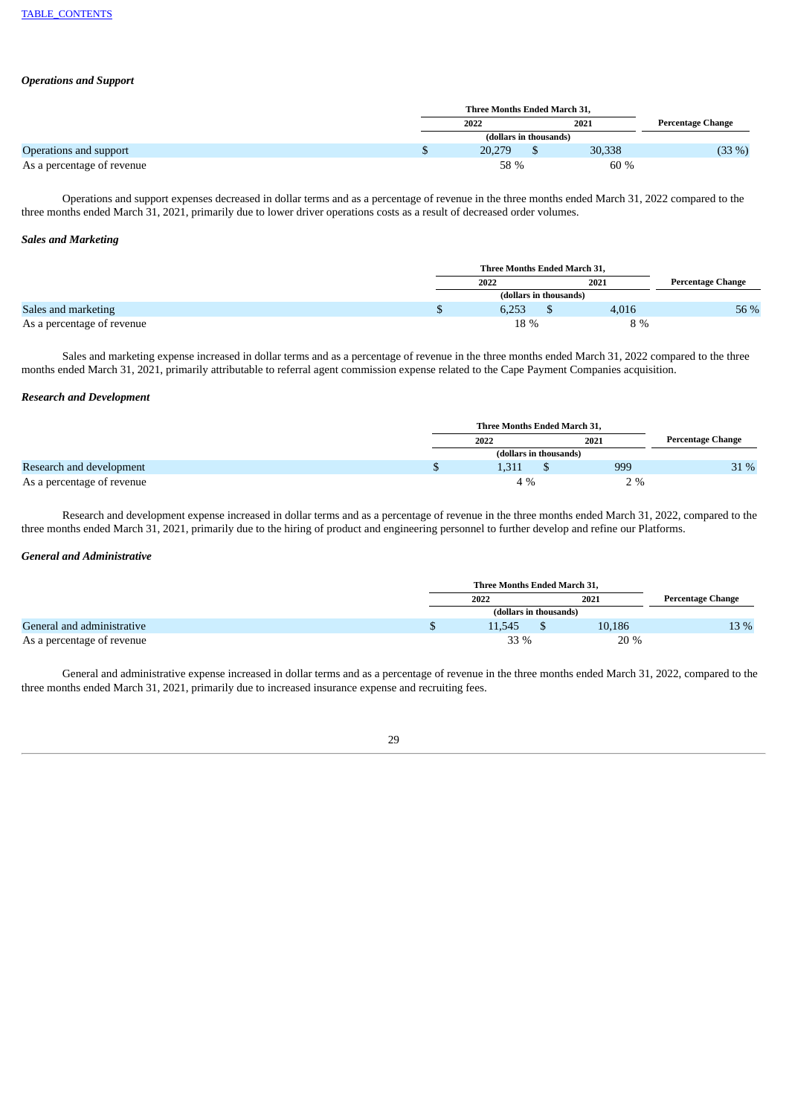### *Operations and Support*

|                            | Three Months Ended March 31. |  |        |                          |
|----------------------------|------------------------------|--|--------|--------------------------|
|                            | 2022                         |  | 2021   | <b>Percentage Change</b> |
|                            | (dollars in thousands)       |  |        |                          |
| Operations and support     | 20,279                       |  | 30,338 | (33%)                    |
| As a percentage of revenue | 58 %                         |  | 60 %   |                          |

Operations and support expenses decreased in dollar terms and as a percentage of revenue in the three months ended March 31, 2022 compared to the three months ended March 31, 2021, primarily due to lower driver operations costs as a result of decreased order volumes.

### *Sales and Marketing*

|                            | Three Months Ended March 31, |                        |       |      |  |                          |
|----------------------------|------------------------------|------------------------|-------|------|--|--------------------------|
|                            | 2022                         |                        | 2021  |      |  | <b>Percentage Change</b> |
|                            |                              | (dollars in thousands) |       |      |  |                          |
| Sales and marketing        |                              | 6.253                  | 4.016 | 56 % |  |                          |
| As a percentage of revenue |                              | 18 %                   | 8 %   |      |  |                          |

Sales and marketing expense increased in dollar terms and as a percentage of revenue in the three months ended March 31, 2022 compared to the three months ended March 31, 2021, primarily attributable to referral agent commission expense related to the Cape Payment Companies acquisition.

### *Research and Development*

|                            | Three Months Ended March 31, |     |                          |
|----------------------------|------------------------------|-----|--------------------------|
|                            | 2021<br>2022                 |     | <b>Percentage Change</b> |
|                            | (dollars in thousands)       |     |                          |
| Research and development   | 1,311                        | 999 | 31 %                     |
| As a percentage of revenue | 4 %                          |     | $2\%$                    |

Research and development expense increased in dollar terms and as a percentage of revenue in the three months ended March 31, 2022, compared to the three months ended March 31, 2021, primarily due to the hiring of product and engineering personnel to further develop and refine our Platforms.

### *General and Administrative*

|                            | Three Months Ended March 31. |  |                          |      |
|----------------------------|------------------------------|--|--------------------------|------|
|                            | 2021<br>2022                 |  | <b>Percentage Change</b> |      |
|                            | (dollars in thousands)       |  |                          |      |
| General and administrative | 11.545                       |  | 10,186                   | 13 % |
| As a percentage of revenue | 33 %                         |  | <b>20 %</b>              |      |

General and administrative expense increased in dollar terms and as a percentage of revenue in the three months ended March 31, 2022, compared to the three months ended March 31, 2021, primarily due to increased insurance expense and recruiting fees.

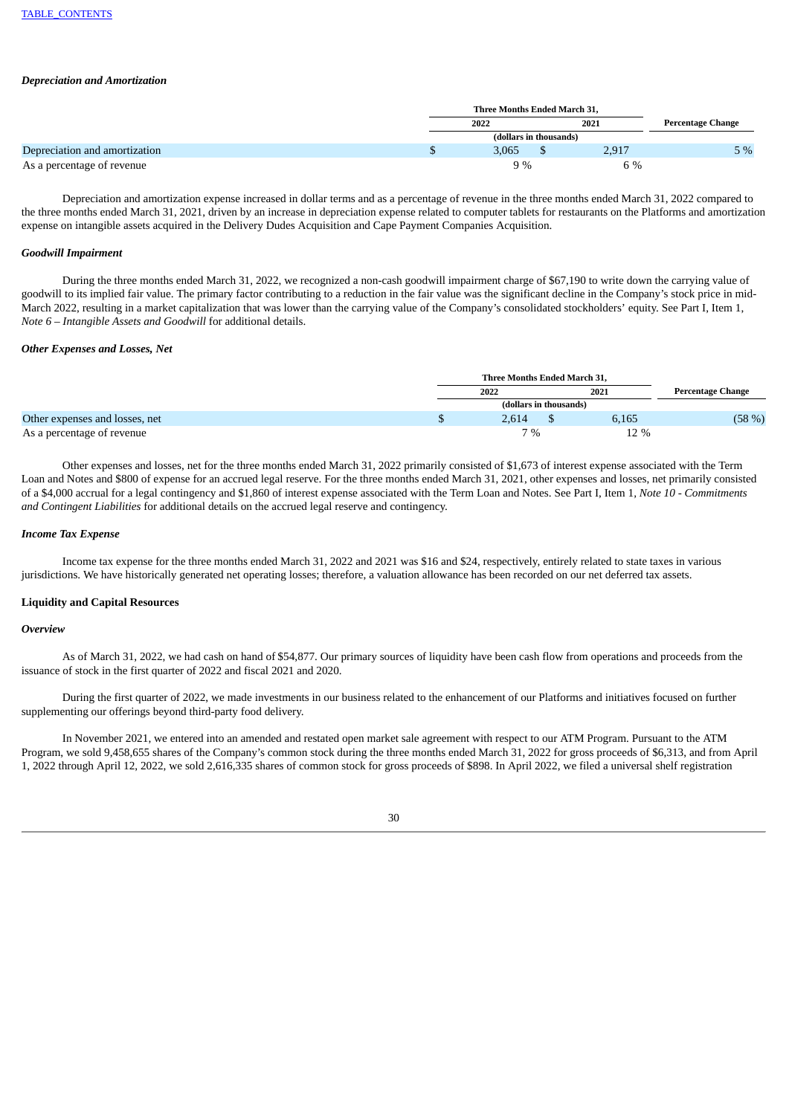#### *Depreciation and Amortization*

|                               | Three Months Ended March 31. |  |       |                          |
|-------------------------------|------------------------------|--|-------|--------------------------|
|                               | 2021<br>2022                 |  |       | <b>Percentage Change</b> |
|                               | (dollars in thousands)       |  |       |                          |
| Depreciation and amortization | 3.065                        |  | 2,917 | 5 %                      |
| As a percentage of revenue    | 9%                           |  | 6 %   |                          |

Depreciation and amortization expense increased in dollar terms and as a percentage of revenue in the three months ended March 31, 2022 compared to the three months ended March 31, 2021, driven by an increase in depreciation expense related to computer tablets for restaurants on the Platforms and amortization expense on intangible assets acquired in the Delivery Dudes Acquisition and Cape Payment Companies Acquisition.

### *Goodwill Impairment*

During the three months ended March 31, 2022, we recognized a non-cash goodwill impairment charge of \$67,190 to write down the carrying value of goodwill to its implied fair value. The primary factor contributing to a reduction in the fair value was the significant decline in the Company's stock price in mid-March 2022, resulting in a market capitalization that was lower than the carrying value of the Company's consolidated stockholders' equity. See Part I, Item 1, *Note 6 – Intangible Assets and Goodwill* for additional details.

#### *Other Expenses and Losses, Net*

|                                | Three Months Ended March 31. |       |                          |
|--------------------------------|------------------------------|-------|--------------------------|
|                                | 2022                         | 2021  | <b>Percentage Change</b> |
|                                | (dollars in thousands)       |       |                          |
| Other expenses and losses, net | 2.614                        | 6,165 | (58%)                    |
| As a percentage of revenue     | $7\%$                        | 12 %  |                          |

Other expenses and losses, net for the three months ended March 31, 2022 primarily consisted of \$1,673 of interest expense associated with the Term Loan and Notes and \$800 of expense for an accrued legal reserve. For the three months ended March 31, 2021, other expenses and losses, net primarily consisted of a \$4,000 accrual for a legal contingency and \$1,860 of interest expense associated with the Term Loan and Notes. See Part I, Item 1*, Note 10 - Commitments and Contingent Liabilities* for additional details on the accrued legal reserve and contingency.

#### *Income Tax Expense*

Income tax expense for the three months ended March 31, 2022 and 2021 was \$16 and \$24, respectively, entirely related to state taxes in various jurisdictions. We have historically generated net operating losses; therefore, a valuation allowance has been recorded on our net deferred tax assets.

#### **Liquidity and Capital Resources**

#### *Overview*

As of March 31, 2022, we had cash on hand of \$54,877. Our primary sources of liquidity have been cash flow from operations and proceeds from the issuance of stock in the first quarter of 2022 and fiscal 2021 and 2020.

During the first quarter of 2022, we made investments in our business related to the enhancement of our Platforms and initiatives focused on further supplementing our offerings beyond third-party food delivery.

In November 2021, we entered into an amended and restated open market sale agreement with respect to our ATM Program. Pursuant to the ATM Program, we sold 9,458,655 shares of the Company's common stock during the three months ended March 31, 2022 for gross proceeds of \$6,313, and from April 1, 2022 through April 12, 2022, we sold 2,616,335 shares of common stock for gross proceeds of \$898. In April 2022, we filed a universal shelf registration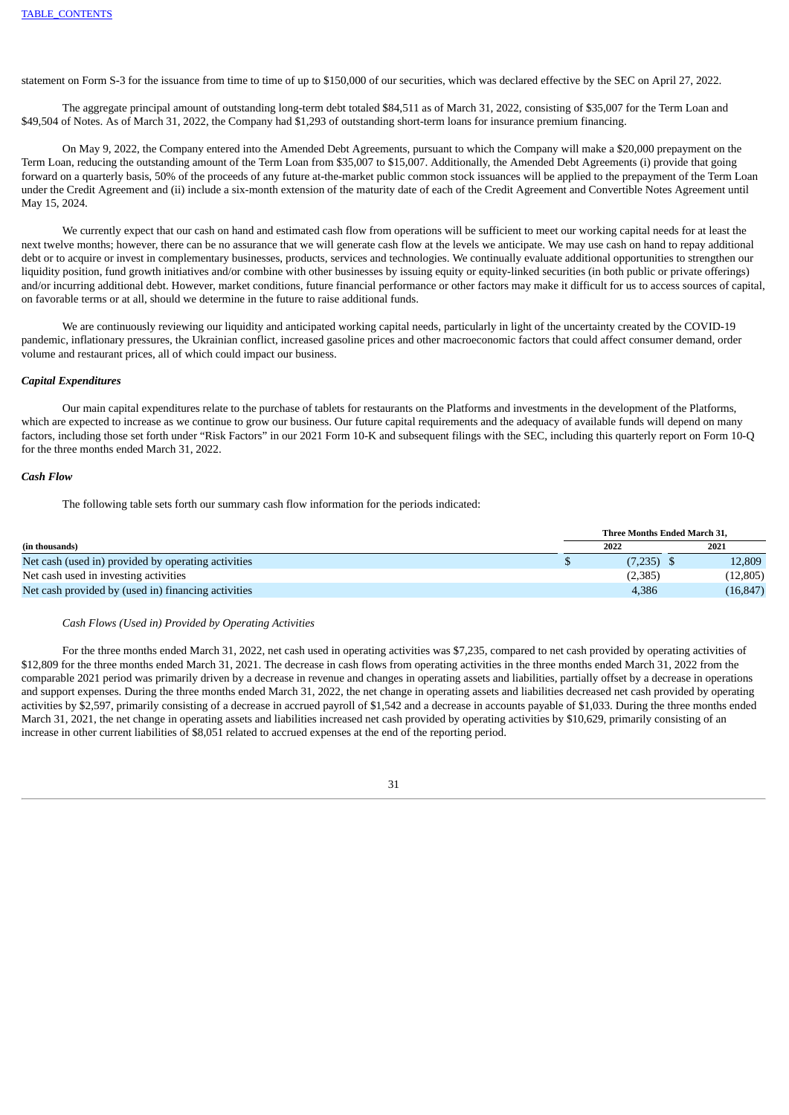statement on Form S-3 for the issuance from time to time of up to \$150,000 of our securities, which was declared effective by the SEC on April 27, 2022.

The aggregate principal amount of outstanding long-term debt totaled \$84,511 as of March 31, 2022, consisting of \$35,007 for the Term Loan and \$49,504 of Notes. As of March 31, 2022, the Company had \$1,293 of outstanding short-term loans for insurance premium financing.

On May 9, 2022, the Company entered into the Amended Debt Agreements, pursuant to which the Company will make a \$20,000 prepayment on the Term Loan, reducing the outstanding amount of the Term Loan from \$35,007 to \$15,007. Additionally, the Amended Debt Agreements (i) provide that going forward on a quarterly basis, 50% of the proceeds of any future at-the-market public common stock issuances will be applied to the prepayment of the Term Loan under the Credit Agreement and (ii) include a six-month extension of the maturity date of each of the Credit Agreement and Convertible Notes Agreement until May 15, 2024.

We currently expect that our cash on hand and estimated cash flow from operations will be sufficient to meet our working capital needs for at least the next twelve months; however, there can be no assurance that we will generate cash flow at the levels we anticipate. We may use cash on hand to repay additional debt or to acquire or invest in complementary businesses, products, services and technologies. We continually evaluate additional opportunities to strengthen our liquidity position, fund growth initiatives and/or combine with other businesses by issuing equity or equity-linked securities (in both public or private offerings) and/or incurring additional debt. However, market conditions, future financial performance or other factors may make it difficult for us to access sources of capital, on favorable terms or at all, should we determine in the future to raise additional funds.

We are continuously reviewing our liquidity and anticipated working capital needs, particularly in light of the uncertainty created by the COVID-19 pandemic, inflationary pressures, the Ukrainian conflict, increased gasoline prices and other macroeconomic factors that could affect consumer demand, order volume and restaurant prices, all of which could impact our business.

#### *Capital Expenditures*

Our main capital expenditures relate to the purchase of tablets for restaurants on the Platforms and investments in the development of the Platforms, which are expected to increase as we continue to grow our business. Our future capital requirements and the adequacy of available funds will depend on many factors, including those set forth under "Risk Factors" in our 2021 Form 10-K and subsequent filings with the SEC, including this quarterly report on Form 10-Q for the three months ended March 31, 2022.

#### *Cash Flow*

The following table sets forth our summary cash flow information for the periods indicated:

|                                                     | <b>Three Months Ended March 31.</b> |         |  |           |
|-----------------------------------------------------|-------------------------------------|---------|--|-----------|
| (in thousands)                                      |                                     | 2022    |  | 2021      |
| Net cash (used in) provided by operating activities |                                     | (7.235) |  | 12.809    |
| Net cash used in investing activities               |                                     | (2,385) |  | (12, 805) |
| Net cash provided by (used in) financing activities |                                     | 4.386   |  | (16, 847) |

#### *Cash Flows (Used in) Provided by Operating Activities*

For the three months ended March 31, 2022, net cash used in operating activities was \$7,235, compared to net cash provided by operating activities of \$12,809 for the three months ended March 31, 2021. The decrease in cash flows from operating activities in the three months ended March 31, 2022 from the comparable 2021 period was primarily driven by a decrease in revenue and changes in operating assets and liabilities, partially offset by a decrease in operations and support expenses. During the three months ended March 31, 2022, the net change in operating assets and liabilities decreased net cash provided by operating activities by \$2,597, primarily consisting of a decrease in accrued payroll of \$1,542 and a decrease in accounts payable of \$1,033. During the three months ended March 31, 2021, the net change in operating assets and liabilities increased net cash provided by operating activities by \$10,629, primarily consisting of an increase in other current liabilities of \$8,051 related to accrued expenses at the end of the reporting period.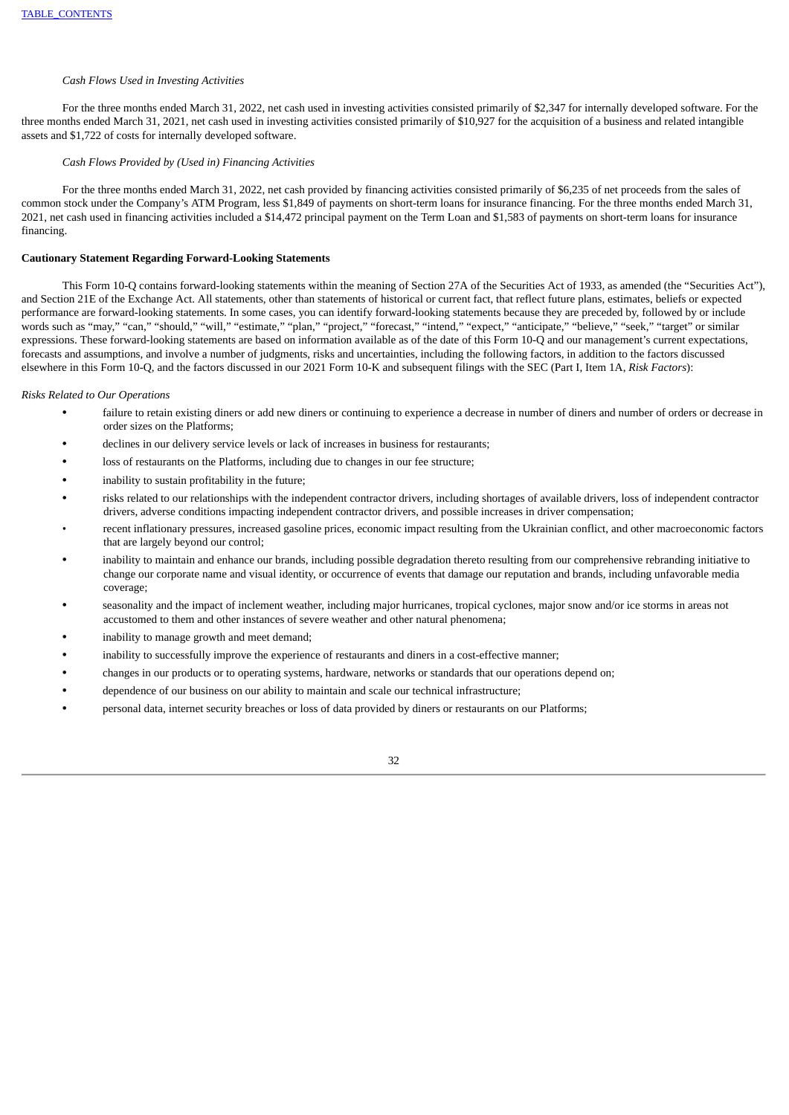# *Cash Flows Used in Investing Activities*

For the three months ended March 31, 2022, net cash used in investing activities consisted primarily of \$2,347 for internally developed software. For the three months ended March 31, 2021, net cash used in investing activities consisted primarily of \$10,927 for the acquisition of a business and related intangible assets and \$1,722 of costs for internally developed software.

# *Cash Flows Provided by (Used in) Financing Activities*

For the three months ended March 31, 2022, net cash provided by financing activities consisted primarily of \$6,235 of net proceeds from the sales of common stock under the Company's ATM Program, less \$1,849 of payments on short-term loans for insurance financing. For the three months ended March 31, 2021, net cash used in financing activities included a \$14,472 principal payment on the Term Loan and \$1,583 of payments on short-term loans for insurance financing.

# **Cautionary Statement Regarding Forward-Looking Statements**

This Form 10-Q contains forward-looking statements within the meaning of Section 27A of the Securities Act of 1933, as amended (the "Securities Act"), and Section 21E of the Exchange Act. All statements, other than statements of historical or current fact, that reflect future plans, estimates, beliefs or expected performance are forward-looking statements. In some cases, you can identify forward-looking statements because they are preceded by, followed by or include words such as "may," "can," "should," "will," "estimate," "plan," "project," "forecast," "intend," "expect," "anticipate," "believe," "seek," "target" or similar expressions. These forward-looking statements are based on information available as of the date of this Form 10-Q and our management's current expectations, forecasts and assumptions, and involve a number of judgments, risks and uncertainties, including the following factors, in addition to the factors discussed elsewhere in this Form 10-Q, and the factors discussed in our 2021 Form 10-K and subsequent filings with the SEC (Part I, Item 1A, *Risk Factors*):

# *Risks Related to Our Operations*

- failure to retain existing diners or add new diners or continuing to experience a decrease in number of diners and number of orders or decrease in order sizes on the Platforms;
- declines in our delivery service levels or lack of increases in business for restaurants;
- loss of restaurants on the Platforms, including due to changes in our fee structure;
- inability to sustain profitability in the future;
- risks related to our relationships with the independent contractor drivers, including shortages of available drivers, loss of independent contractor drivers, adverse conditions impacting independent contractor drivers, and possible increases in driver compensation;
- recent inflationary pressures, increased gasoline prices, economic impact resulting from the Ukrainian conflict, and other macroeconomic factors that are largely beyond our control;
- inability to maintain and enhance our brands, including possible degradation thereto resulting from our comprehensive rebranding initiative to change our corporate name and visual identity, or occurrence of events that damage our reputation and brands, including unfavorable media coverage;
- seasonality and the impact of inclement weather, including major hurricanes, tropical cyclones, major snow and/or ice storms in areas not accustomed to them and other instances of severe weather and other natural phenomena;
- inability to manage growth and meet demand;
- inability to successfully improve the experience of restaurants and diners in a cost-effective manner;
- changes in our products or to operating systems, hardware, networks or standards that our operations depend on;
- dependence of our business on our ability to maintain and scale our technical infrastructure;
- personal data, internet security breaches or loss of data provided by diners or restaurants on our Platforms;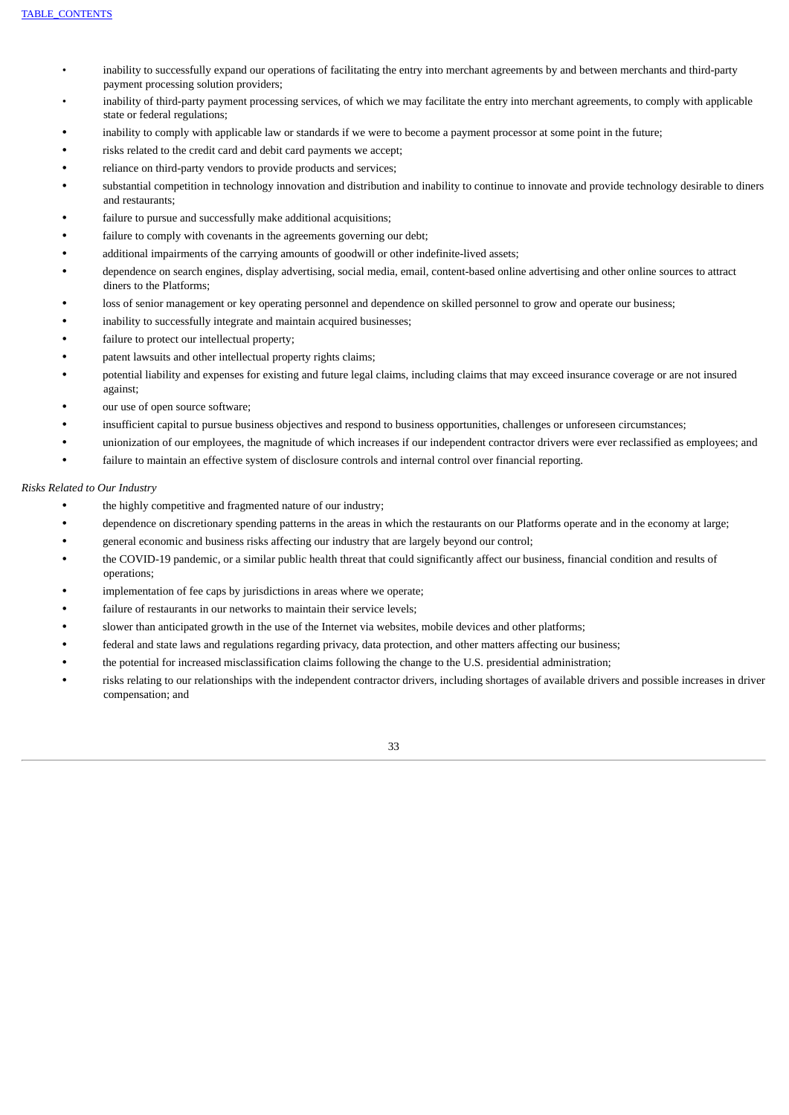- inability to successfully expand our operations of facilitating the entry into merchant agreements by and between merchants and third-party payment processing solution providers;
- inability of third-party payment processing services, of which we may facilitate the entry into merchant agreements, to comply with applicable state or federal regulations;
- inability to comply with applicable law or standards if we were to become a payment processor at some point in the future;
- risks related to the credit card and debit card payments we accept;
- reliance on third-party vendors to provide products and services;
- substantial competition in technology innovation and distribution and inability to continue to innovate and provide technology desirable to diners and restaurants;
- failure to pursue and successfully make additional acquisitions;
- failure to comply with covenants in the agreements governing our debt;
- additional impairments of the carrying amounts of goodwill or other indefinite-lived assets;
- dependence on search engines, display advertising, social media, email, content-based online advertising and other online sources to attract diners to the Platforms;
- loss of senior management or key operating personnel and dependence on skilled personnel to grow and operate our business;
- inability to successfully integrate and maintain acquired businesses;
- failure to protect our intellectual property;
- patent lawsuits and other intellectual property rights claims;
- potential liability and expenses for existing and future legal claims, including claims that may exceed insurance coverage or are not insured against;
- our use of open source software;
- insufficient capital to pursue business objectives and respond to business opportunities, challenges or unforeseen circumstances;
- unionization of our employees, the magnitude of which increases if our independent contractor drivers were ever reclassified as employees; and
- failure to maintain an effective system of disclosure controls and internal control over financial reporting.

# *Risks Related to Our Industry*

- the highly competitive and fragmented nature of our industry;
- dependence on discretionary spending patterns in the areas in which the restaurants on our Platforms operate and in the economy at large;
- general economic and business risks affecting our industry that are largely beyond our control;
- the COVID-19 pandemic, or a similar public health threat that could significantly affect our business, financial condition and results of operations;
- implementation of fee caps by jurisdictions in areas where we operate;
- failure of restaurants in our networks to maintain their service levels;
- slower than anticipated growth in the use of the Internet via websites, mobile devices and other platforms;
- federal and state laws and regulations regarding privacy, data protection, and other matters affecting our business;
- the potential for increased misclassification claims following the change to the U.S. presidential administration;
- risks relating to our relationships with the independent contractor drivers, including shortages of available drivers and possible increases in driver compensation; and

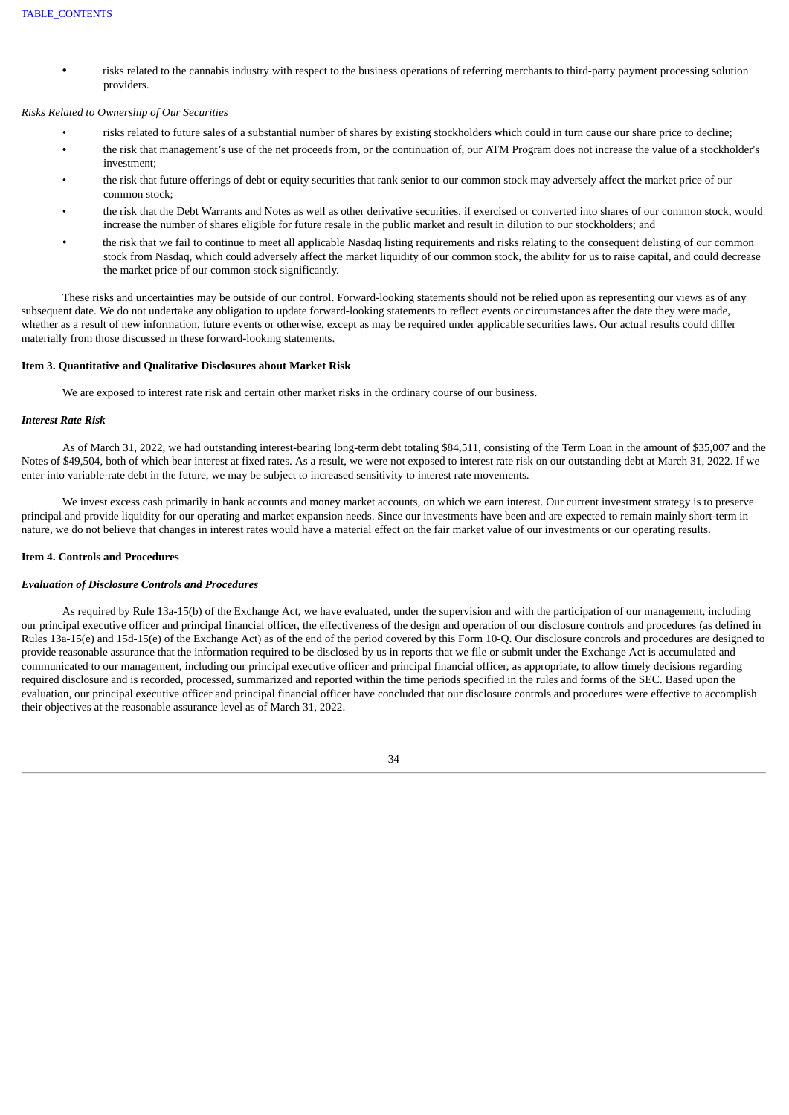• risks related to the cannabis industry with respect to the business operations of referring merchants to third-party payment processing solution providers.

### *Risks Related to Ownership of Our Securities*

- risks related to future sales of a substantial number of shares by existing stockholders which could in turn cause our share price to decline;
- *•* the risk that management's use of the net proceeds from, or the continuation of, our ATM Program does not increase the value of a stockholder's investment;
- the risk that future offerings of debt or equity securities that rank senior to our common stock may adversely affect the market price of our common stock;
- the risk that the Debt Warrants and Notes as well as other derivative securities, if exercised or converted into shares of our common stock, would increase the number of shares eligible for future resale in the public market and result in dilution to our stockholders; and
- the risk that we fail to continue to meet all applicable Nasdaq listing requirements and risks relating to the consequent delisting of our common stock from Nasdaq, which could adversely affect the market liquidity of our common stock, the ability for us to raise capital, and could decrease the market price of our common stock significantly.

These risks and uncertainties may be outside of our control. Forward-looking statements should not be relied upon as representing our views as of any subsequent date. We do not undertake any obligation to update forward-looking statements to reflect events or circumstances after the date they were made, whether as a result of new information, future events or otherwise, except as may be required under applicable securities laws. Our actual results could differ materially from those discussed in these forward-looking statements.

#### <span id="page-36-0"></span>**Item 3. Quantitative and Qualitative Disclosures about Market Risk**

We are exposed to interest rate risk and certain other market risks in the ordinary course of our business.

#### *Interest Rate Risk*

As of March 31, 2022, we had outstanding interest-bearing long-term debt totaling \$84,511, consisting of the Term Loan in the amount of \$35,007 and the Notes of \$49,504, both of which bear interest at fixed rates. As a result, we were not exposed to interest rate risk on our outstanding debt at March 31, 2022. If we enter into variable-rate debt in the future, we may be subject to increased sensitivity to interest rate movements.

We invest excess cash primarily in bank accounts and money market accounts, on which we earn interest. Our current investment strategy is to preserve principal and provide liquidity for our operating and market expansion needs. Since our investments have been and are expected to remain mainly short-term in nature, we do not believe that changes in interest rates would have a material effect on the fair market value of our investments or our operating results.

### <span id="page-36-1"></span>**Item 4. Controls and Procedures**

#### *Evaluation of Disclosure Controls and Procedures*

As required by Rule 13a-15(b) of the Exchange Act, we have evaluated, under the supervision and with the participation of our management, including our principal executive officer and principal financial officer, the effectiveness of the design and operation of our disclosure controls and procedures (as defined in Rules 13a-15(e) and 15d-15(e) of the Exchange Act) as of the end of the period covered by this Form 10-Q. Our disclosure controls and procedures are designed to provide reasonable assurance that the information required to be disclosed by us in reports that we file or submit under the Exchange Act is accumulated and communicated to our management, including our principal executive officer and principal financial officer, as appropriate, to allow timely decisions regarding required disclosure and is recorded, processed, summarized and reported within the time periods specified in the rules and forms of the SEC. Based upon the evaluation, our principal executive officer and principal financial officer have concluded that our disclosure controls and procedures were effective to accomplish their objectives at the reasonable assurance level as of March 31, 2022.

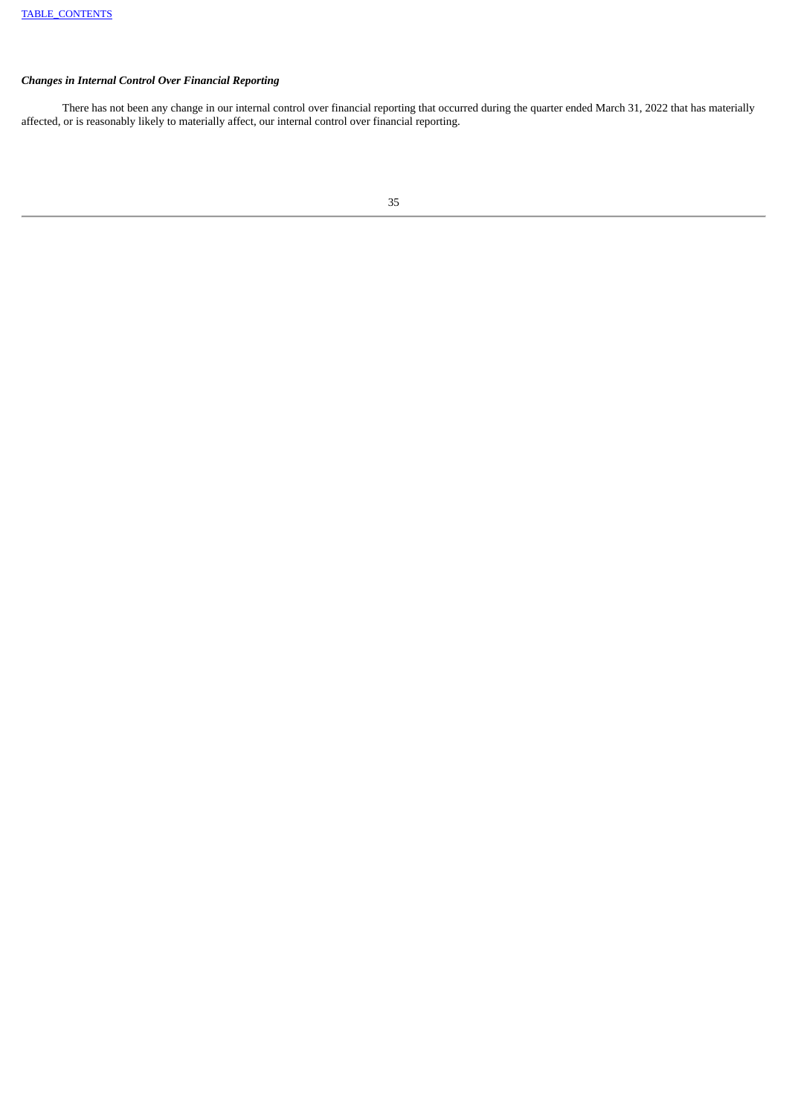# *Changes in Internal Control Over Financial Reporting*

<span id="page-37-0"></span>There has not been any change in our internal control over financial reporting that occurred during the quarter ended March 31, 2022 that has materially affected, or is reasonably likely to materially affect, our internal control over financial reporting.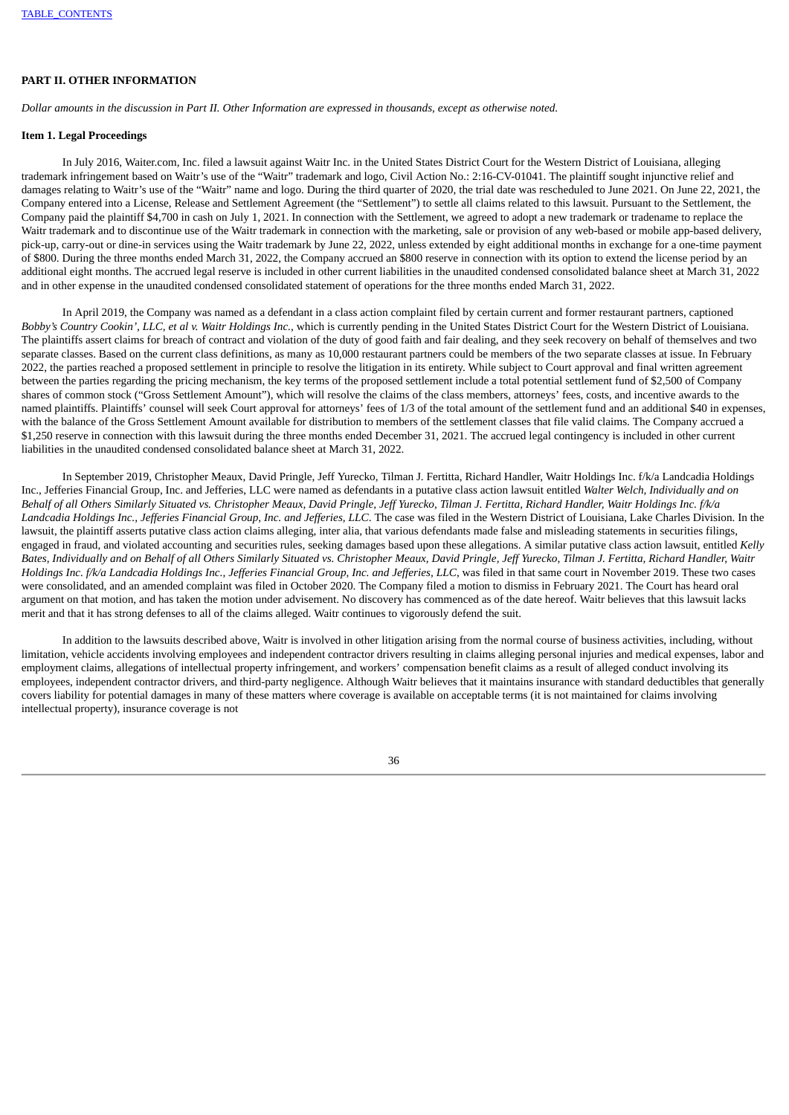# **PART II. OTHER INFORMATION**

<span id="page-38-0"></span>Dollar amounts in the discussion in Part II. Other Information are expressed in thousands, except as otherwise noted.

# **Item 1. Legal Proceedings**

In July 2016, Waiter.com, Inc. filed a lawsuit against Waitr Inc. in the United States District Court for the Western District of Louisiana, alleging trademark infringement based on Waitr's use of the "Waitr" trademark and logo, Civil Action No.: 2:16-CV-01041. The plaintiff sought injunctive relief and damages relating to Waitr's use of the "Waitr" name and logo. During the third quarter of 2020, the trial date was rescheduled to June 2021. On June 22, 2021, the Company entered into a License, Release and Settlement Agreement (the "Settlement") to settle all claims related to this lawsuit. Pursuant to the Settlement, the Company paid the plaintiff \$4,700 in cash on July 1, 2021. In connection with the Settlement, we agreed to adopt a new trademark or tradename to replace the Waitr trademark and to discontinue use of the Waitr trademark in connection with the marketing, sale or provision of any web-based or mobile app-based delivery, pick-up, carry-out or dine-in services using the Waitr trademark by June 22, 2022, unless extended by eight additional months in exchange for a one-time payment of \$800. During the three months ended March 31, 2022, the Company accrued an \$800 reserve in connection with its option to extend the license period by an additional eight months. The accrued legal reserve is included in other current liabilities in the unaudited condensed consolidated balance sheet at March 31, 2022 and in other expense in the unaudited condensed consolidated statement of operations for the three months ended March 31, 2022.

In April 2019, the Company was named as a defendant in a class action complaint filed by certain current and former restaurant partners, captioned Bobby's Country Cookin', LLC, et al v. Waitr Holdings Inc., which is currently pending in the United States District Court for the Western District of Louisiana. The plaintiffs assert claims for breach of contract and violation of the duty of good faith and fair dealing, and they seek recovery on behalf of themselves and two separate classes. Based on the current class definitions, as many as 10,000 restaurant partners could be members of the two separate classes at issue. In February 2022, the parties reached a proposed settlement in principle to resolve the litigation in its entirety. While subject to Court approval and final written agreement between the parties regarding the pricing mechanism, the key terms of the proposed settlement include a total potential settlement fund of \$2,500 of Company shares of common stock ("Gross Settlement Amount"), which will resolve the claims of the class members, attorneys' fees, costs, and incentive awards to the named plaintiffs. Plaintiffs' counsel will seek Court approval for attorneys' fees of 1/3 of the total amount of the settlement fund and an additional \$40 in expenses, with the balance of the Gross Settlement Amount available for distribution to members of the settlement classes that file valid claims. The Company accrued a \$1,250 reserve in connection with this lawsuit during the three months ended December 31, 2021. The accrued legal contingency is included in other current liabilities in the unaudited condensed consolidated balance sheet at March 31, 2022.

In September 2019, Christopher Meaux, David Pringle, Jeff Yurecko, Tilman J. Fertitta, Richard Handler, Waitr Holdings Inc. f/k/a Landcadia Holdings Inc., Jefferies Financial Group, Inc. and Jefferies, LLC were named as defendants in a putative class action lawsuit entitled *Walter Welch, Individually and on* Behalf of all Others Similarly Situated vs. Christopher Meaux, David Pringle, Jeff Yurecko, Tilman J. Fertitta, Richard Handler, Waitr Holdings Inc. f/k/a Landcadia Holdings Inc., Jefferies Financial Group, Inc. and Jefferies, LLC. The case was filed in the Western District of Louisiana, Lake Charles Division. In the lawsuit, the plaintiff asserts putative class action claims alleging, inter alia, that various defendants made false and misleading statements in securities filings, engaged in fraud, and violated accounting and securities rules, seeking damages based upon these allegations. A similar putative class action lawsuit, entitled *Kelly* Bates, Individually and on Behalf of all Others Similarly Situated vs. Christopher Meaux, David Pringle, Jeff Yurecko, Tilman J. Fertitta, Richard Handler, Waitr Holdings Inc. f/k/a Landcadia Holdings Inc., Jefferies Financial Group, Inc. and Jefferies, LLC, was filed in that same court in November 2019. These two cases were consolidated, and an amended complaint was filed in October 2020. The Company filed a motion to dismiss in February 2021. The Court has heard oral argument on that motion, and has taken the motion under advisement. No discovery has commenced as of the date hereof. Waitr believes that this lawsuit lacks merit and that it has strong defenses to all of the claims alleged. Waitr continues to vigorously defend the suit.

In addition to the lawsuits described above, Waitr is involved in other litigation arising from the normal course of business activities, including, without limitation, vehicle accidents involving employees and independent contractor drivers resulting in claims alleging personal injuries and medical expenses, labor and employment claims, allegations of intellectual property infringement, and workers' compensation benefit claims as a result of alleged conduct involving its employees, independent contractor drivers, and third-party negligence. Although Waitr believes that it maintains insurance with standard deductibles that generally covers liability for potential damages in many of these matters where coverage is available on acceptable terms (it is not maintained for claims involving intellectual property), insurance coverage is not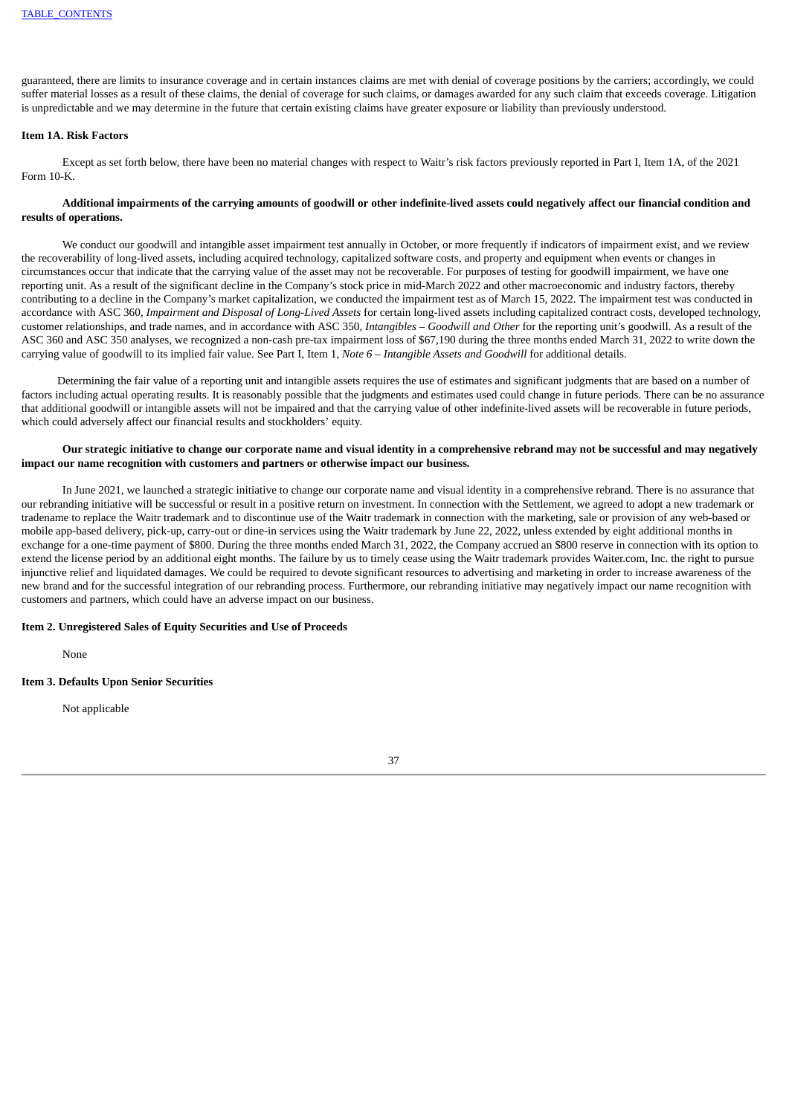guaranteed, there are limits to insurance coverage and in certain instances claims are met with denial of coverage positions by the carriers; accordingly, we could suffer material losses as a result of these claims, the denial of coverage for such claims, or damages awarded for any such claim that exceeds coverage. Litigation is unpredictable and we may determine in the future that certain existing claims have greater exposure or liability than previously understood.

#### <span id="page-39-0"></span>**Item 1A. Risk Factors**

Except as set forth below, there have been no material changes with respect to Waitr's risk factors previously reported in Part I, Item 1A, of the 2021  $Form 10-K$ 

# Additional impairments of the carrying amounts of goodwill or other indefinite-lived assets could negatively affect our financial condition and **results of operations.**

We conduct our goodwill and intangible asset impairment test annually in October, or more frequently if indicators of impairment exist, and we review the recoverability of long-lived assets, including acquired technology, capitalized software costs, and property and equipment when events or changes in circumstances occur that indicate that the carrying value of the asset may not be recoverable. For purposes of testing for goodwill impairment, we have one reporting unit. As a result of the significant decline in the Company's stock price in mid-March 2022 and other macroeconomic and industry factors, thereby contributing to a decline in the Company's market capitalization, we conducted the impairment test as of March 15, 2022. The impairment test was conducted in accordance with ASC 360, *Impairment and Disposal of Long-Lived Assets* for certain long-lived assets including capitalized contract costs, developed technology, customer relationships, and trade names, and in accordance with ASC 350, *Intangibles – Goodwill and Other* for the reporting unit's goodwill. As a result of the ASC 360 and ASC 350 analyses, we recognized a non-cash pre-tax impairment loss of \$67,190 during the three months ended March 31, 2022 to write down the carrying value of goodwill to its implied fair value. See Part I, Item 1, *Note 6 – Intangible Assets and Goodwill* for additional details.

Determining the fair value of a reporting unit and intangible assets requires the use of estimates and significant judgments that are based on a number of factors including actual operating results. It is reasonably possible that the judgments and estimates used could change in future periods. There can be no assurance that additional goodwill or intangible assets will not be impaired and that the carrying value of other indefinite-lived assets will be recoverable in future periods, which could adversely affect our financial results and stockholders' equity.

### Our strategic initiative to change our corporate name and visual identity in a comprehensive rebrand may not be successful and may negatively **impact our name recognition with customers and partners or otherwise impact our business.**

In June 2021, we launched a strategic initiative to change our corporate name and visual identity in a comprehensive rebrand. There is no assurance that our rebranding initiative will be successful or result in a positive return on investment. In connection with the Settlement, we agreed to adopt a new trademark or tradename to replace the Waitr trademark and to discontinue use of the Waitr trademark in connection with the marketing, sale or provision of any web-based or mobile app-based delivery, pick-up, carry-out or dine-in services using the Waitr trademark by June 22, 2022, unless extended by eight additional months in exchange for a one-time payment of \$800. During the three months ended March 31, 2022, the Company accrued an \$800 reserve in connection with its option to extend the license period by an additional eight months. The failure by us to timely cease using the Waitr trademark provides Waiter.com, Inc. the right to pursue injunctive relief and liquidated damages. We could be required to devote significant resources to advertising and marketing in order to increase awareness of the new brand and for the successful integration of our rebranding process. Furthermore, our rebranding initiative may negatively impact our name recognition with customers and partners, which could have an adverse impact on our business.

#### <span id="page-39-1"></span>**Item 2. Unregistered Sales of Equity Securities and Use of Proceeds**

None

#### <span id="page-39-2"></span>**Item 3. Defaults Upon Senior Securities**

<span id="page-39-3"></span>Not applicable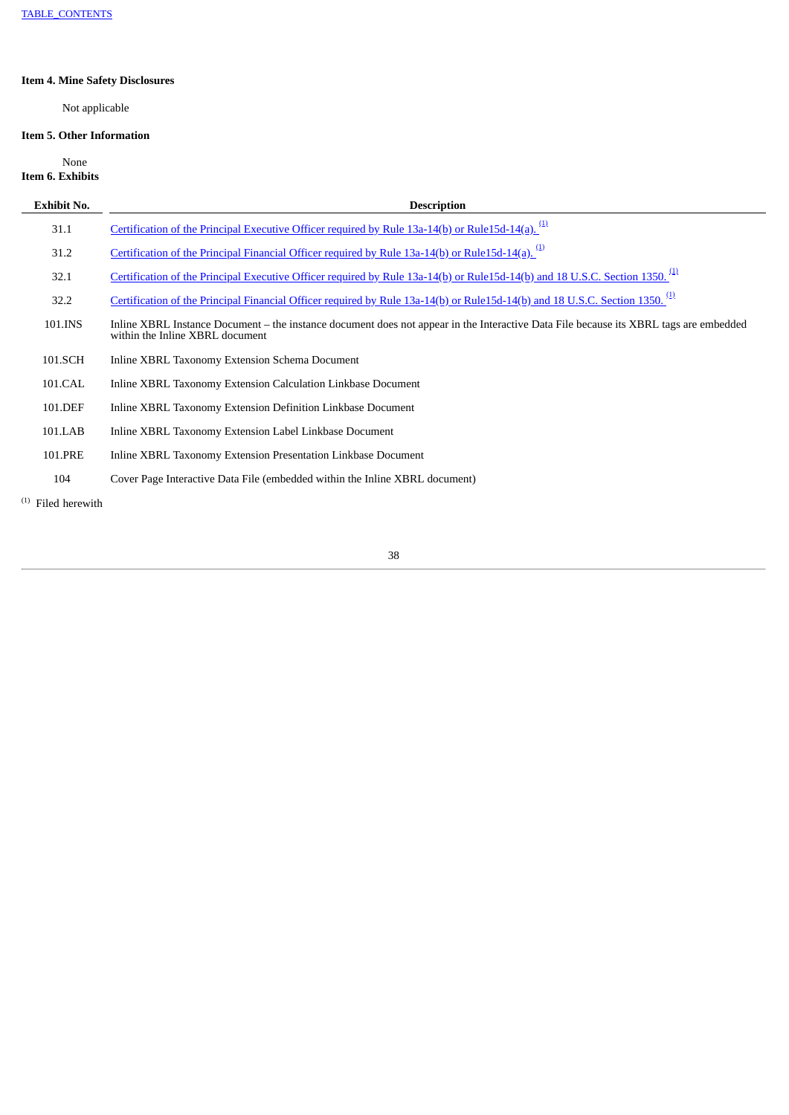# **Item 4. Mine Safety Disclosures**

Not applicable

# <span id="page-40-0"></span>**Item 5. Other Information**

<span id="page-40-1"></span>None **Item 6. Exhibits**

<span id="page-40-2"></span>

| <b>Exhibit No.</b>   | <b>Description</b>                                                                                                                                                       |
|----------------------|--------------------------------------------------------------------------------------------------------------------------------------------------------------------------|
| 31.1                 | Certification of the Principal Executive Officer required by Rule 13a-14(b) or Rule15d-14(a). <sup>(1)</sup>                                                             |
| 31.2                 | Certification of the Principal Financial Officer required by Rule 13a-14(b) or Rule15d-14(a). <sup>(1)</sup>                                                             |
| 32.1                 | Certification of the Principal Executive Officer required by Rule 13a-14(b) or Rule15d-14(b) and 18 U.S.C. Section 1350. <sup>(1)</sup>                                  |
| 32.2                 | Certification of the Principal Financial Officer required by Rule 13a-14(b) or Rule15d-14(b) and 18 U.S.C. Section 1350. <sup>(1)</sup>                                  |
| 101.INS              | Inline XBRL Instance Document - the instance document does not appear in the Interactive Data File because its XBRL tags are embedded<br>within the Inline XBRL document |
| 101.SCH              | Inline XBRL Taxonomy Extension Schema Document                                                                                                                           |
| 101.CAL              | Inline XBRL Taxonomy Extension Calculation Linkbase Document                                                                                                             |
| 101.DEF              | Inline XBRL Taxonomy Extension Definition Linkbase Document                                                                                                              |
| 101.LAB              | Inline XBRL Taxonomy Extension Label Linkbase Document                                                                                                                   |
| 101.PRE              | Inline XBRL Taxonomy Extension Presentation Linkbase Document                                                                                                            |
| 104                  | Cover Page Interactive Data File (embedded within the Inline XBRL document)                                                                                              |
| $(1)$ Filed herewith |                                                                                                                                                                          |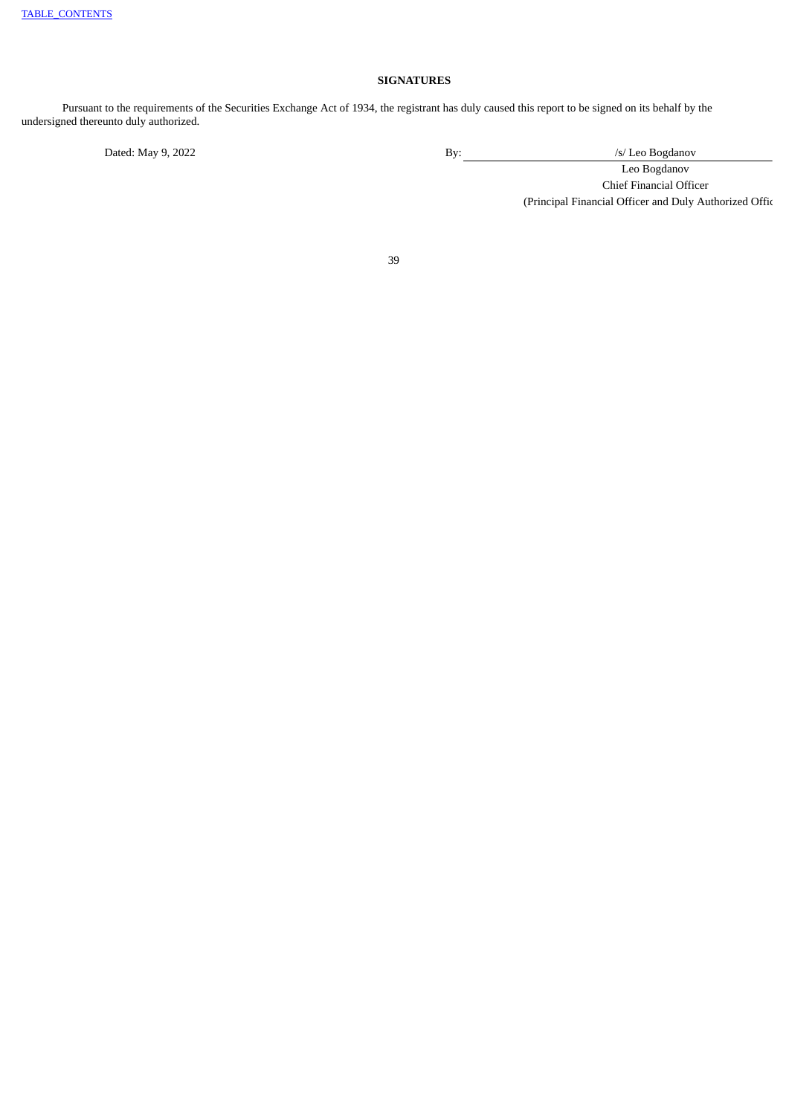# **SIGNATURES**

Pursuant to the requirements of the Securities Exchange Act of 1934, the registrant has duly caused this report to be signed on its behalf by the undersigned thereunto duly authorized.

Dated: May 9, 2022 By: By: /s/ Leo Bogdanov

Leo Bogdanov Chief Financial Officer (Principal Financial Officer and Duly Authorized Offic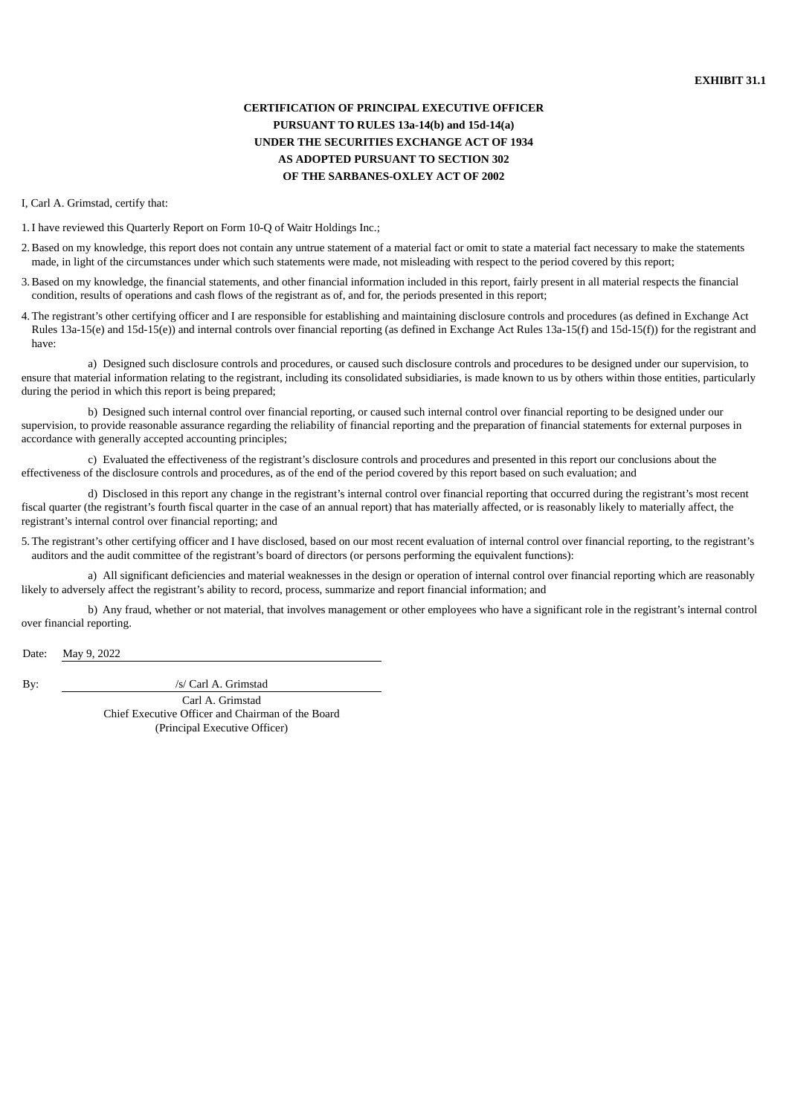# **CERTIFICATION OF PRINCIPAL EXECUTIVE OFFICER PURSUANT TO RULES 13a-14(b) and 15d-14(a) UNDER THE SECURITIES EXCHANGE ACT OF 1934 AS ADOPTED PURSUANT TO SECTION 302 OF THE SARBANES-OXLEY ACT OF 2002**

<span id="page-42-0"></span>I, Carl A. Grimstad, certify that:

1.I have reviewed this Quarterly Report on Form 10-Q of Waitr Holdings Inc.;

- 2.Based on my knowledge, this report does not contain any untrue statement of a material fact or omit to state a material fact necessary to make the statements made, in light of the circumstances under which such statements were made, not misleading with respect to the period covered by this report;
- 3.Based on my knowledge, the financial statements, and other financial information included in this report, fairly present in all material respects the financial condition, results of operations and cash flows of the registrant as of, and for, the periods presented in this report;
- 4.The registrant's other certifying officer and I are responsible for establishing and maintaining disclosure controls and procedures (as defined in Exchange Act Rules 13a-15(e) and 15d-15(e)) and internal controls over financial reporting (as defined in Exchange Act Rules 13a-15(f) and 15d-15(f)) for the registrant and have:

a) Designed such disclosure controls and procedures, or caused such disclosure controls and procedures to be designed under our supervision, to ensure that material information relating to the registrant, including its consolidated subsidiaries, is made known to us by others within those entities, particularly during the period in which this report is being prepared;

b) Designed such internal control over financial reporting, or caused such internal control over financial reporting to be designed under our supervision, to provide reasonable assurance regarding the reliability of financial reporting and the preparation of financial statements for external purposes in accordance with generally accepted accounting principles;

c) Evaluated the effectiveness of the registrant's disclosure controls and procedures and presented in this report our conclusions about the effectiveness of the disclosure controls and procedures, as of the end of the period covered by this report based on such evaluation; and

d) Disclosed in this report any change in the registrant's internal control over financial reporting that occurred during the registrant's most recent fiscal quarter (the registrant's fourth fiscal quarter in the case of an annual report) that has materially affected, or is reasonably likely to materially affect, the registrant's internal control over financial reporting; and

5.The registrant's other certifying officer and I have disclosed, based on our most recent evaluation of internal control over financial reporting, to the registrant's auditors and the audit committee of the registrant's board of directors (or persons performing the equivalent functions):

a) All significant deficiencies and material weaknesses in the design or operation of internal control over financial reporting which are reasonably likely to adversely affect the registrant's ability to record, process, summarize and report financial information; and

b) Any fraud, whether or not material, that involves management or other employees who have a significant role in the registrant's internal control over financial reporting.

Date: May 9, 2022

By: /s/ Carl A. Grimstad

Carl A. Grimstad Chief Executive Officer and Chairman of the Board (Principal Executive Officer)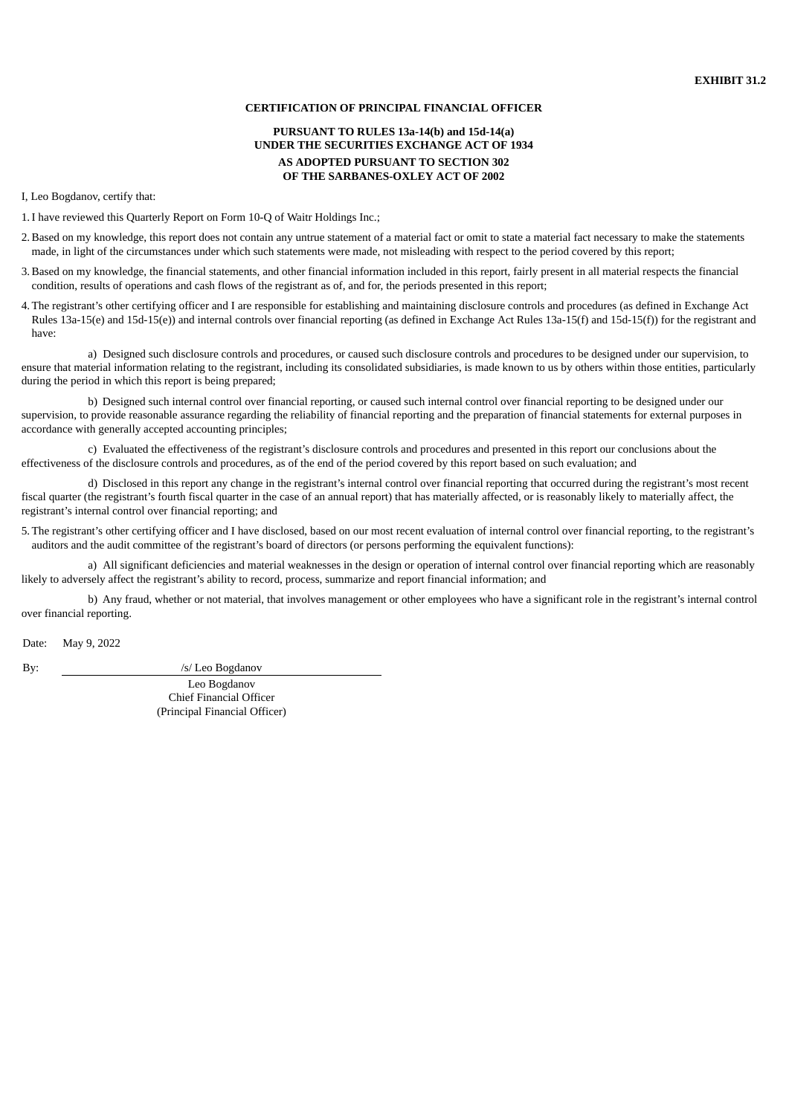### **CERTIFICATION OF PRINCIPAL FINANCIAL OFFICER**

# **PURSUANT TO RULES 13a-14(b) and 15d-14(a) UNDER THE SECURITIES EXCHANGE ACT OF 1934 AS ADOPTED PURSUANT TO SECTION 302 OF THE SARBANES-OXLEY ACT OF 2002**

<span id="page-43-0"></span>I, Leo Bogdanov, certify that:

1.I have reviewed this Quarterly Report on Form 10-Q of Waitr Holdings Inc.;

- 2.Based on my knowledge, this report does not contain any untrue statement of a material fact or omit to state a material fact necessary to make the statements made, in light of the circumstances under which such statements were made, not misleading with respect to the period covered by this report;
- 3.Based on my knowledge, the financial statements, and other financial information included in this report, fairly present in all material respects the financial condition, results of operations and cash flows of the registrant as of, and for, the periods presented in this report;
- 4.The registrant's other certifying officer and I are responsible for establishing and maintaining disclosure controls and procedures (as defined in Exchange Act Rules 13a-15(e) and 15d-15(e)) and internal controls over financial reporting (as defined in Exchange Act Rules 13a-15(f) and 15d-15(f)) for the registrant and have:

a) Designed such disclosure controls and procedures, or caused such disclosure controls and procedures to be designed under our supervision, to ensure that material information relating to the registrant, including its consolidated subsidiaries, is made known to us by others within those entities, particularly during the period in which this report is being prepared;

b) Designed such internal control over financial reporting, or caused such internal control over financial reporting to be designed under our supervision, to provide reasonable assurance regarding the reliability of financial reporting and the preparation of financial statements for external purposes in accordance with generally accepted accounting principles;

c) Evaluated the effectiveness of the registrant's disclosure controls and procedures and presented in this report our conclusions about the effectiveness of the disclosure controls and procedures, as of the end of the period covered by this report based on such evaluation; and

d) Disclosed in this report any change in the registrant's internal control over financial reporting that occurred during the registrant's most recent fiscal quarter (the registrant's fourth fiscal quarter in the case of an annual report) that has materially affected, or is reasonably likely to materially affect, the registrant's internal control over financial reporting; and

5.The registrant's other certifying officer and I have disclosed, based on our most recent evaluation of internal control over financial reporting, to the registrant's auditors and the audit committee of the registrant's board of directors (or persons performing the equivalent functions):

a) All significant deficiencies and material weaknesses in the design or operation of internal control over financial reporting which are reasonably likely to adversely affect the registrant's ability to record, process, summarize and report financial information; and

b) Any fraud, whether or not material, that involves management or other employees who have a significant role in the registrant's internal control over financial reporting.

Date: May 9, 2022

By:  $\frac{1}{s}$  /s/ Leo Bogdanov Leo Bogdanov

Chief Financial Officer (Principal Financial Officer)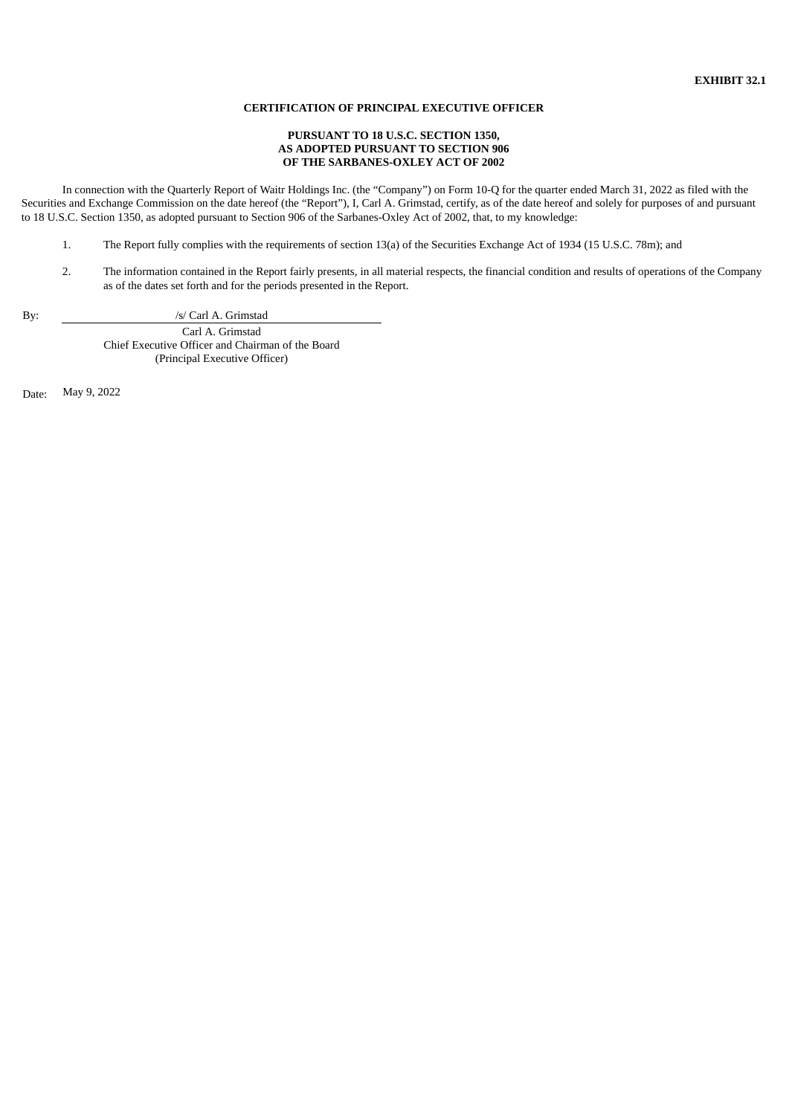# **CERTIFICATION OF PRINCIPAL EXECUTIVE OFFICER**

# **PURSUANT TO 18 U.S.C. SECTION 1350, AS ADOPTED PURSUANT TO SECTION 906 OF THE SARBANES-OXLEY ACT OF 2002**

<span id="page-44-0"></span>In connection with the Quarterly Report of Waitr Holdings Inc. (the "Company") on Form 10-Q for the quarter ended March 31, 2022 as filed with the Securities and Exchange Commission on the date hereof (the "Report"), I, Carl A. Grimstad, certify, as of the date hereof and solely for purposes of and pursuant to 18 U.S.C. Section 1350, as adopted pursuant to Section 906 of the Sarbanes-Oxley Act of 2002, that, to my knowledge:

- 1. The Report fully complies with the requirements of section 13(a) of the Securities Exchange Act of 1934 (15 U.S.C. 78m); and
- 2. The information contained in the Report fairly presents, in all material respects, the financial condition and results of operations of the Company as of the dates set forth and for the periods presented in the Report.

By: /s/ Carl A. Grimstad

Carl A. Grimstad Chief Executive Officer and Chairman of the Board (Principal Executive Officer)

Date: May 9, 2022